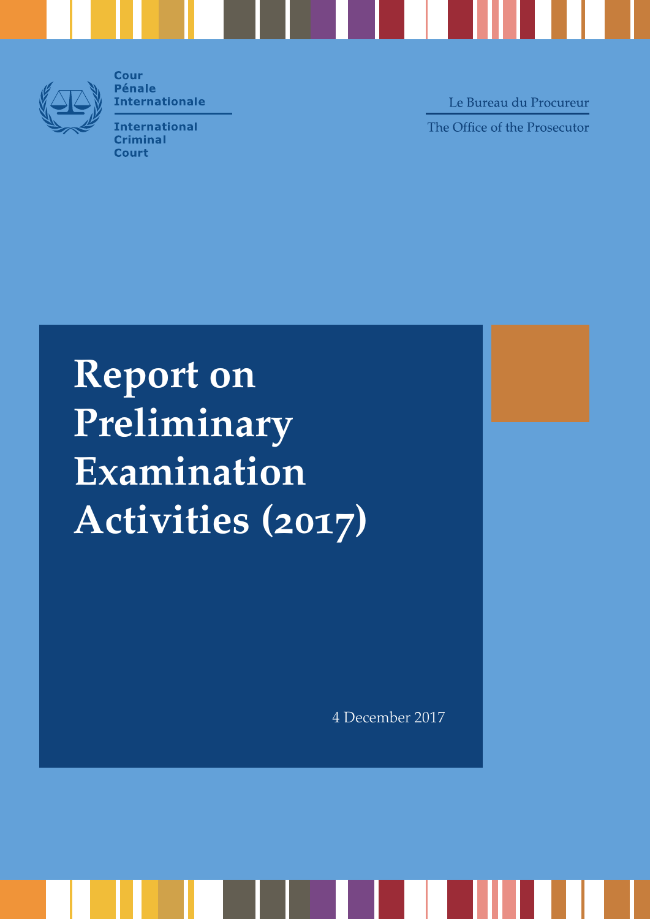

**Cour Pénale Internationale** 

**International Criminal Court** 

Le Bureau du Procureur The Office of the Prosecutor

**Report on Preliminary Examination Activities (2017)**

4 December 2017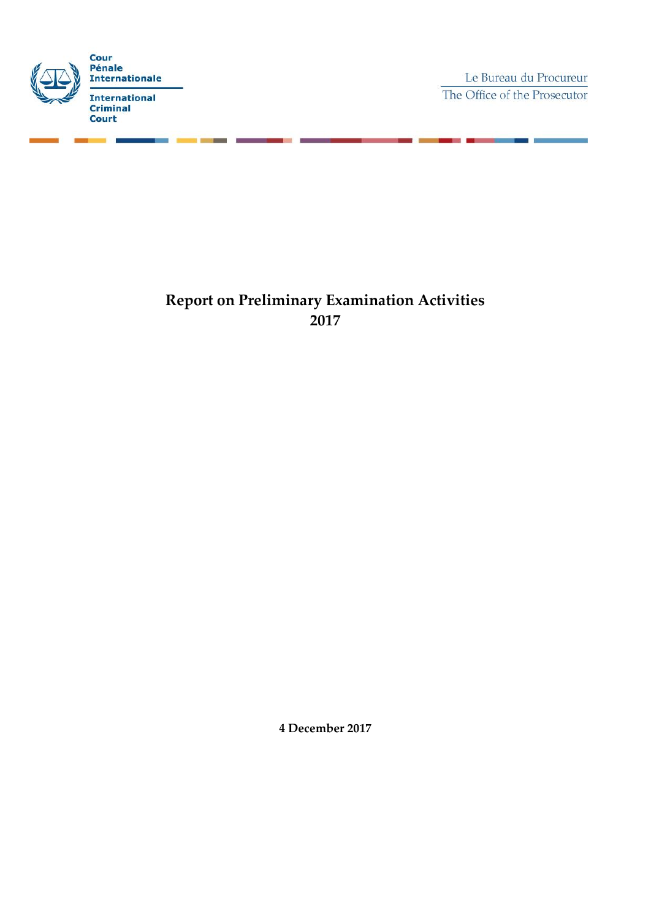

Le Bureau du Procureur The Office of the Prosecutor

> 'n ٠

# **Report on Preliminary Examination Activities 2017**

**4 December 2017**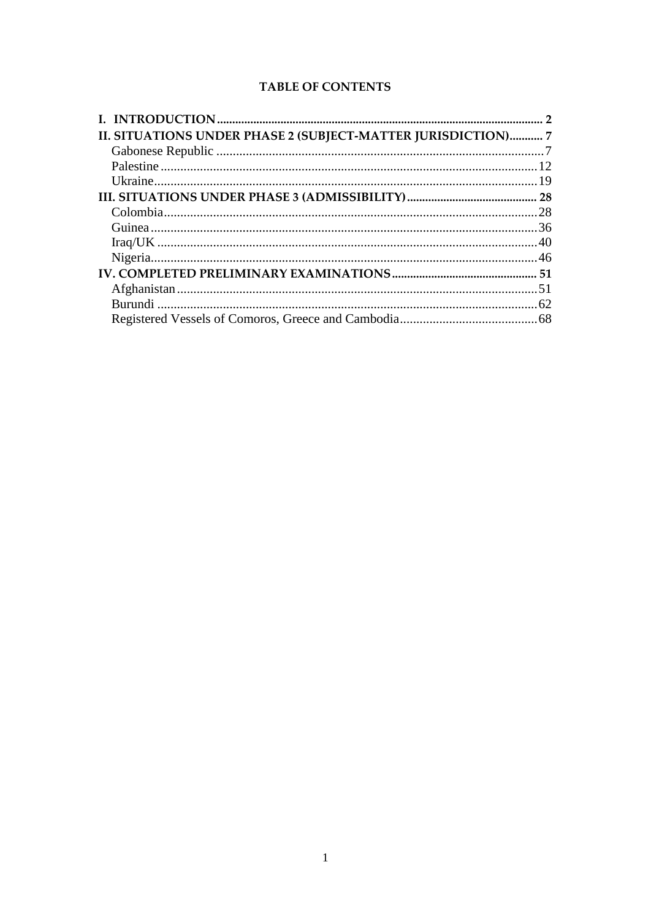# **TABLE OF CONTENTS**

| II. SITUATIONS UNDER PHASE 2 (SUBJECT-MATTER JURISDICTION) 7 |  |
|--------------------------------------------------------------|--|
|                                                              |  |
|                                                              |  |
|                                                              |  |
|                                                              |  |
|                                                              |  |
|                                                              |  |
|                                                              |  |
|                                                              |  |
|                                                              |  |
|                                                              |  |
|                                                              |  |
|                                                              |  |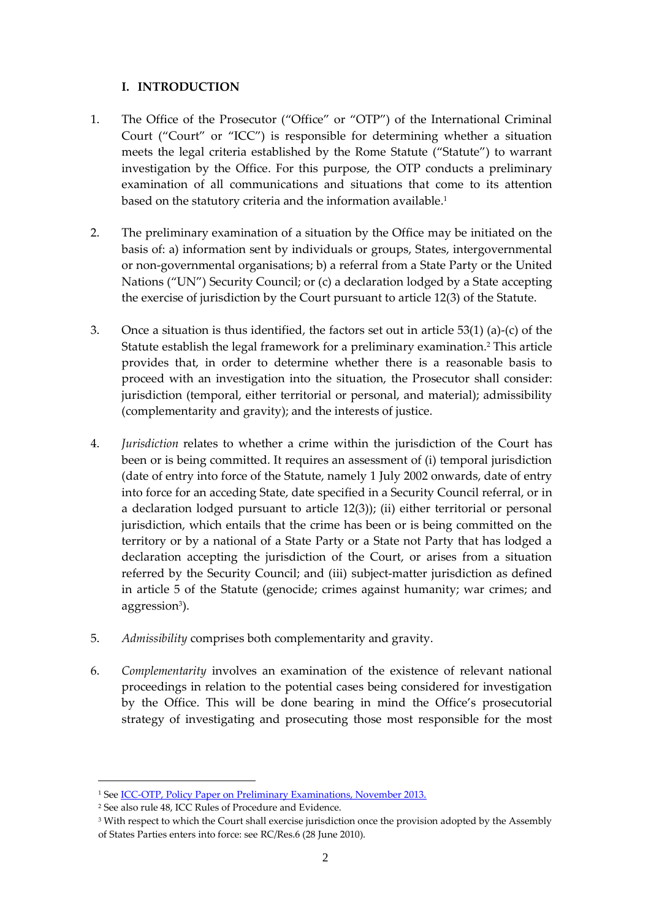### <span id="page-3-0"></span>**I. INTRODUCTION**

- 1. The Office of the Prosecutor ("Office" or "OTP") of the International Criminal Court ("Court" or "ICC") is responsible for determining whether a situation meets the legal criteria established by the Rome Statute ("Statute") to warrant investigation by the Office. For this purpose, the OTP conducts a preliminary examination of all communications and situations that come to its attention based on the statutory criteria and the information available.<sup>1</sup>
- 2. The preliminary examination of a situation by the Office may be initiated on the basis of: a) information sent by individuals or groups, States, intergovernmental or non-governmental organisations; b) a referral from a State Party or the United Nations ("UN") Security Council; or (c) a declaration lodged by a State accepting the exercise of jurisdiction by the Court pursuant to article 12(3) of the Statute.
- 3. Once a situation is thus identified, the factors set out in article 53(1) (a)-(c) of the Statute establish the legal framework for a preliminary examination.<sup>2</sup> This article provides that, in order to determine whether there is a reasonable basis to proceed with an investigation into the situation, the Prosecutor shall consider: jurisdiction (temporal, either territorial or personal, and material); admissibility (complementarity and gravity); and the interests of justice.
- 4. *Jurisdiction* relates to whether a crime within the jurisdiction of the Court has been or is being committed. It requires an assessment of (i) temporal jurisdiction (date of entry into force of the Statute, namely 1 July 2002 onwards, date of entry into force for an acceding State, date specified in a Security Council referral, or in a declaration lodged pursuant to article 12(3)); (ii) either territorial or personal jurisdiction, which entails that the crime has been or is being committed on the territory or by a national of a State Party or a State not Party that has lodged a declaration accepting the jurisdiction of the Court, or arises from a situation referred by the Security Council; and (iii) subject-matter jurisdiction as defined in article 5 of the Statute (genocide; crimes against humanity; war crimes; and aggression<sup>3</sup>).
- 5. *Admissibility* comprises both complementarity and gravity.
- 6. *Complementarity* involves an examination of the existence of relevant national proceedings in relation to the potential cases being considered for investigation by the Office. This will be done bearing in mind the Office's prosecutorial strategy of investigating and prosecuting those most responsible for the most

<sup>&</sup>lt;sup>1</sup> See <u>ICC-OTP, Policy Paper on Preliminary Examinations, November 2013.</u>

<sup>2</sup> See also rule 48, ICC Rules of Procedure and Evidence.

<sup>&</sup>lt;sup>3</sup> With respect to which the Court shall exercise jurisdiction once the provision adopted by the Assembly of States Parties enters into force: see RC/Res.6 (28 June 2010).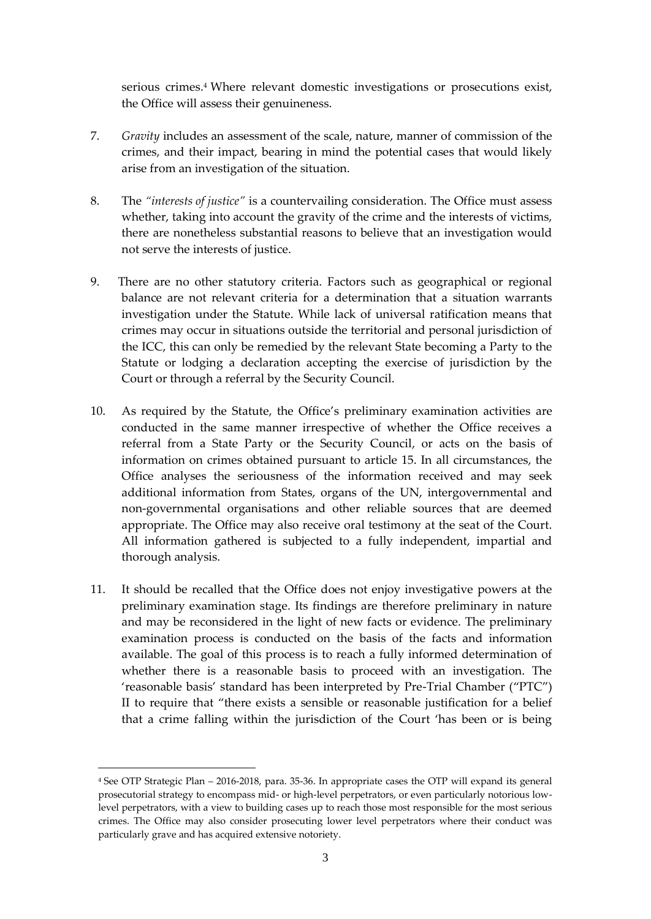serious crimes. <sup>4</sup> Where relevant domestic investigations or prosecutions exist, the Office will assess their genuineness.

- 7. *Gravity* includes an assessment of the scale, nature, manner of commission of the crimes, and their impact, bearing in mind the potential cases that would likely arise from an investigation of the situation.
- 8. The *"interests of justice"* is a countervailing consideration. The Office must assess whether, taking into account the gravity of the crime and the interests of victims, there are nonetheless substantial reasons to believe that an investigation would not serve the interests of justice.
- 9. There are no other statutory criteria. Factors such as geographical or regional balance are not relevant criteria for a determination that a situation warrants investigation under the Statute. While lack of universal ratification means that crimes may occur in situations outside the territorial and personal jurisdiction of the ICC, this can only be remedied by the relevant State becoming a Party to the Statute or lodging a declaration accepting the exercise of jurisdiction by the Court or through a referral by the Security Council.
- 10. As required by the Statute, the Office's preliminary examination activities are conducted in the same manner irrespective of whether the Office receives a referral from a State Party or the Security Council, or acts on the basis of information on crimes obtained pursuant to article 15. In all circumstances, the Office analyses the seriousness of the information received and may seek additional information from States, organs of the UN, intergovernmental and non-governmental organisations and other reliable sources that are deemed appropriate. The Office may also receive oral testimony at the seat of the Court. All information gathered is subjected to a fully independent, impartial and thorough analysis.
- 11. It should be recalled that the Office does not enjoy investigative powers at the preliminary examination stage. Its findings are therefore preliminary in nature and may be reconsidered in the light of new facts or evidence. The preliminary examination process is conducted on the basis of the facts and information available. The goal of this process is to reach a fully informed determination of whether there is a reasonable basis to proceed with an investigation. The 'reasonable basis' standard has been interpreted by Pre-Trial Chamber ("PTC") II to require that "there exists a sensible or reasonable justification for a belief that a crime falling within the jurisdiction of the Court 'has been or is being

<sup>4</sup> See OTP Strategic Plan – 2016-2018, para. 35-36. In appropriate cases the OTP will expand its general prosecutorial strategy to encompass mid- or high-level perpetrators, or even particularly notorious lowlevel perpetrators, with a view to building cases up to reach those most responsible for the most serious crimes. The Office may also consider prosecuting lower level perpetrators where their conduct was particularly grave and has acquired extensive notoriety.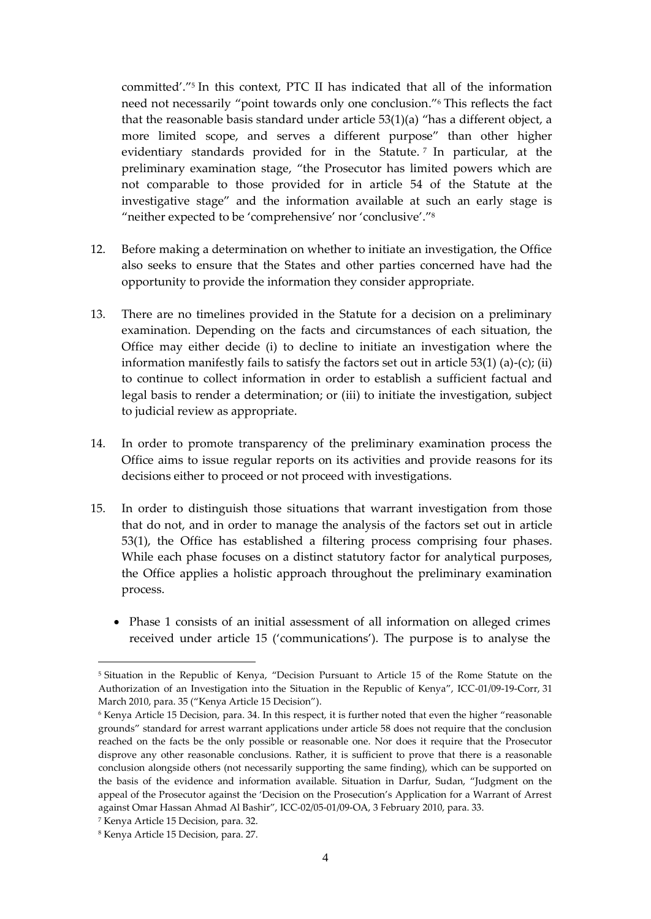committed'." 5 In this context, PTC II has indicated that all of the information need not necessarily "point towards only one conclusion." <sup>6</sup> This reflects the fact that the reasonable basis standard under article 53(1)(a) "has a different object, a more limited scope, and serves a different purpose" than other higher evidentiary standards provided for in the Statute. <sup>7</sup> In particular, at the preliminary examination stage, "the Prosecutor has limited powers which are not comparable to those provided for in article 54 of the Statute at the investigative stage" and the information available at such an early stage is "neither expected to be 'comprehensive' nor 'conclusive'." 8

- 12. Before making a determination on whether to initiate an investigation, the Office also seeks to ensure that the States and other parties concerned have had the opportunity to provide the information they consider appropriate.
- 13. There are no timelines provided in the Statute for a decision on a preliminary examination. Depending on the facts and circumstances of each situation, the Office may either decide (i) to decline to initiate an investigation where the information manifestly fails to satisfy the factors set out in article  $53(1)$  (a)-(c); (ii) to continue to collect information in order to establish a sufficient factual and legal basis to render a determination; or (iii) to initiate the investigation, subject to judicial review as appropriate.
- 14. In order to promote transparency of the preliminary examination process the Office aims to issue regular reports on its activities and provide reasons for its decisions either to proceed or not proceed with investigations.
- 15. In order to distinguish those situations that warrant investigation from those that do not, and in order to manage the analysis of the factors set out in article 53(1), the Office has established a filtering process comprising four phases. While each phase focuses on a distinct statutory factor for analytical purposes, the Office applies a holistic approach throughout the preliminary examination process.
	- Phase 1 consists of an initial assessment of all information on alleged crimes received under article 15 ('communications'). The purpose is to analyse the

<sup>5</sup> Situation in the Republic of Kenya, "Decision Pursuant to Article 15 of the Rome Statute on the Authorization of an Investigation into the Situation in the Republic of Kenya", ICC-01/09-19-Corr, 31 March 2010, para. 35 ("Kenya Article 15 Decision").

<sup>6</sup> Kenya Article 15 Decision, para. 34. In this respect, it is further noted that even the higher "reasonable grounds" standard for arrest warrant applications under article 58 does not require that the conclusion reached on the facts be the only possible or reasonable one. Nor does it require that the Prosecutor disprove any other reasonable conclusions. Rather, it is sufficient to prove that there is a reasonable conclusion alongside others (not necessarily supporting the same finding), which can be supported on the basis of the evidence and information available. Situation in Darfur, Sudan, "Judgment on the appeal of the Prosecutor against the 'Decision on the Prosecution's Application for a Warrant of Arrest against Omar Hassan Ahmad Al Bashir", ICC-02/05-01/09-OA, 3 February 2010, para. 33.

<sup>7</sup> Kenya Article 15 Decision, para. 32.

<sup>8</sup> Kenya Article 15 Decision, para. 27.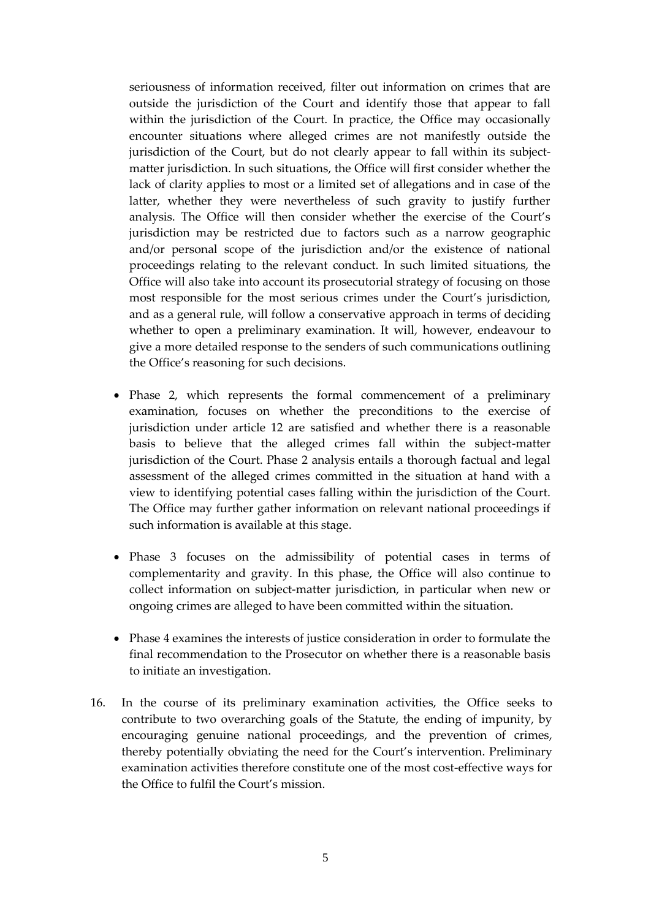seriousness of information received, filter out information on crimes that are outside the jurisdiction of the Court and identify those that appear to fall within the jurisdiction of the Court. In practice, the Office may occasionally encounter situations where alleged crimes are not manifestly outside the jurisdiction of the Court, but do not clearly appear to fall within its subjectmatter jurisdiction. In such situations, the Office will first consider whether the lack of clarity applies to most or a limited set of allegations and in case of the latter, whether they were nevertheless of such gravity to justify further analysis. The Office will then consider whether the exercise of the Court's jurisdiction may be restricted due to factors such as a narrow geographic and/or personal scope of the jurisdiction and/or the existence of national proceedings relating to the relevant conduct. In such limited situations, the Office will also take into account its prosecutorial strategy of focusing on those most responsible for the most serious crimes under the Court's jurisdiction, and as a general rule, will follow a conservative approach in terms of deciding whether to open a preliminary examination. It will, however, endeavour to give a more detailed response to the senders of such communications outlining the Office's reasoning for such decisions.

- Phase 2, which represents the formal commencement of a preliminary examination, focuses on whether the preconditions to the exercise of jurisdiction under article 12 are satisfied and whether there is a reasonable basis to believe that the alleged crimes fall within the subject-matter jurisdiction of the Court. Phase 2 analysis entails a thorough factual and legal assessment of the alleged crimes committed in the situation at hand with a view to identifying potential cases falling within the jurisdiction of the Court. The Office may further gather information on relevant national proceedings if such information is available at this stage.
- Phase 3 focuses on the admissibility of potential cases in terms of complementarity and gravity. In this phase, the Office will also continue to collect information on subject-matter jurisdiction, in particular when new or ongoing crimes are alleged to have been committed within the situation.
- Phase 4 examines the interests of justice consideration in order to formulate the final recommendation to the Prosecutor on whether there is a reasonable basis to initiate an investigation.
- 16. In the course of its preliminary examination activities, the Office seeks to contribute to two overarching goals of the Statute, the ending of impunity, by encouraging genuine national proceedings, and the prevention of crimes, thereby potentially obviating the need for the Court's intervention. Preliminary examination activities therefore constitute one of the most cost-effective ways for the Office to fulfil the Court's mission.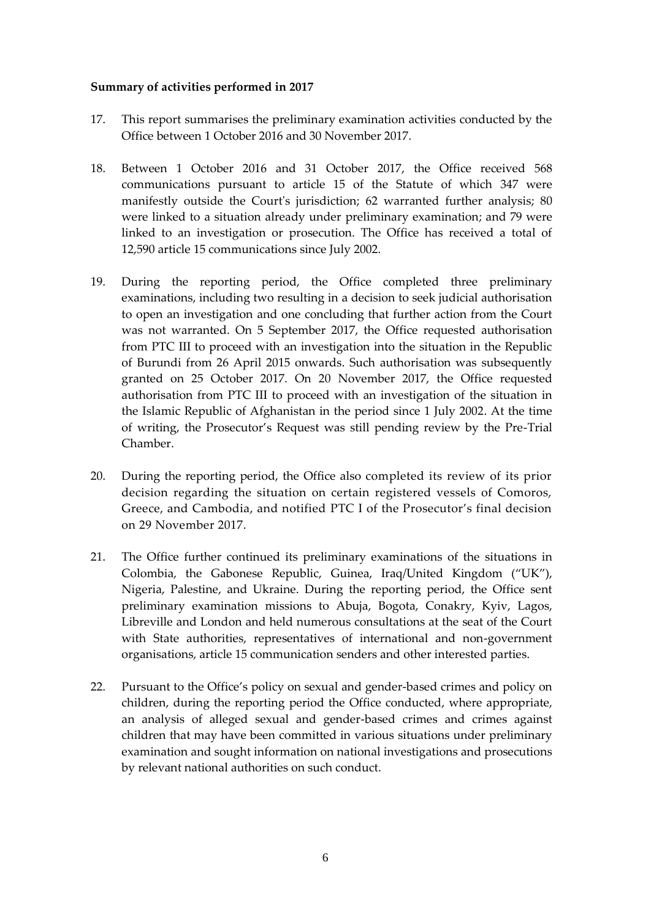### **Summary of activities performed in 2017**

- 17. This report summarises the preliminary examination activities conducted by the Office between 1 October 2016 and 30 November 2017.
- 18. Between 1 October 2016 and 31 October 2017, the Office received 568 communications pursuant to article 15 of the Statute of which 347 were manifestly outside the Court's jurisdiction; 62 warranted further analysis; 80 were linked to a situation already under preliminary examination; and 79 were linked to an investigation or prosecution. The Office has received a total of 12,590 article 15 communications since July 2002.
- 19. During the reporting period, the Office completed three preliminary examinations, including two resulting in a decision to seek judicial authorisation to open an investigation and one concluding that further action from the Court was not warranted. On 5 September 2017, the Office requested authorisation from PTC III to proceed with an investigation into the situation in the Republic of Burundi from 26 April 2015 onwards. Such authorisation was subsequently granted on 25 October 2017. On 20 November 2017, the Office requested authorisation from PTC III to proceed with an investigation of the situation in the Islamic Republic of Afghanistan in the period since 1 July 2002. At the time of writing, the Prosecutor's Request was still pending review by the Pre-Trial Chamber.
- 20. During the reporting period, the Office also completed its review of its prior decision regarding the situation on certain registered vessels of Comoros, Greece, and Cambodia, and notified PTC I of the Prosecutor's final decision on 29 November 2017.
- 21. The Office further continued its preliminary examinations of the situations in Colombia, the Gabonese Republic, Guinea, Iraq/United Kingdom ("UK"), Nigeria, Palestine, and Ukraine. During the reporting period, the Office sent preliminary examination missions to Abuja, Bogota, Conakry, Kyiv, Lagos, Libreville and London and held numerous consultations at the seat of the Court with State authorities, representatives of international and non-government organisations, article 15 communication senders and other interested parties.
- 22. Pursuant to the Office's policy on sexual and gender-based crimes and policy on children, during the reporting period the Office conducted, where appropriate, an analysis of alleged sexual and gender-based crimes and crimes against children that may have been committed in various situations under preliminary examination and sought information on national investigations and prosecutions by relevant national authorities on such conduct.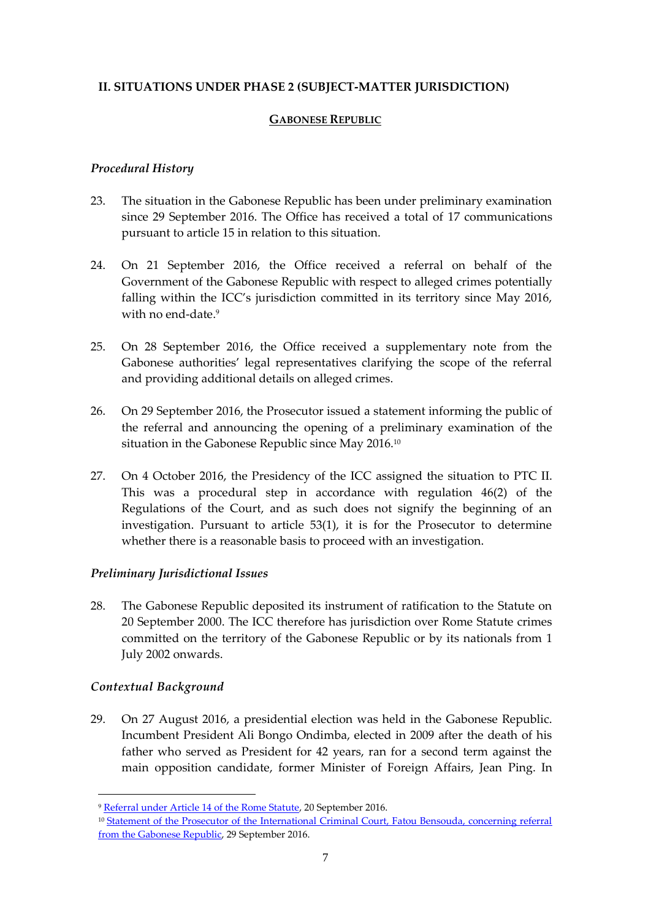### <span id="page-8-1"></span><span id="page-8-0"></span>**II. SITUATIONS UNDER PHASE 2 (SUBJECT-MATTER JURISDICTION)**

### **GABONESE REPUBLIC**

### *Procedural History*

- 23. The situation in the Gabonese Republic has been under preliminary examination since 29 September 2016. The Office has received a total of 17 communications pursuant to article 15 in relation to this situation.
- 24. On 21 September 2016, the Office received a referral on behalf of the Government of the Gabonese Republic with respect to alleged crimes potentially falling within the ICC's jurisdiction committed in its territory since May 2016, with no end-date. 9
- 25. On 28 September 2016, the Office received a supplementary note from the Gabonese authorities' legal representatives clarifying the scope of the referral and providing additional details on alleged crimes.
- 26. On 29 September 2016, the Prosecutor issued a statement informing the public of the referral and announcing the opening of a preliminary examination of the situation in the Gabonese Republic since May 2016. 10
- 27. On 4 October 2016, the Presidency of the ICC assigned the situation to PTC II. This was a procedural step in accordance with regulation 46(2) of the Regulations of the Court, and as such does not signify the beginning of an investigation. Pursuant to article 53(1), it is for the Prosecutor to determine whether there is a reasonable basis to proceed with an investigation.

### *Preliminary Jurisdictional Issues*

28. The Gabonese Republic deposited its instrument of ratification to the Statute on 20 September 2000. The ICC therefore has jurisdiction over Rome Statute crimes committed on the territory of the Gabonese Republic or by its nationals from 1 July 2002 onwards.

### *Contextual Background*

1

29. On 27 August 2016, a presidential election was held in the Gabonese Republic. Incumbent President Ali Bongo Ondimba, elected in 2009 after the death of his father who served as President for 42 years, ran for a second term against the main opposition candidate, former Minister of Foreign Affairs, Jean Ping. In

<sup>9</sup> [Referral under Article 14 of the Rome Statute,](https://www.icc-cpi.int/iccdocs/otp/Referral-Gabon.pdf) 20 September 2016.

<sup>&</sup>lt;sup>10</sup> Statement of the Prosecutor of the International Criminal Court, Fatou Bensouda, concerning referral [from the Gabonese Republic,](https://www.icc-cpi.int/Pages/item.aspx?name=160929-otp-stat-gabon) 29 September 2016.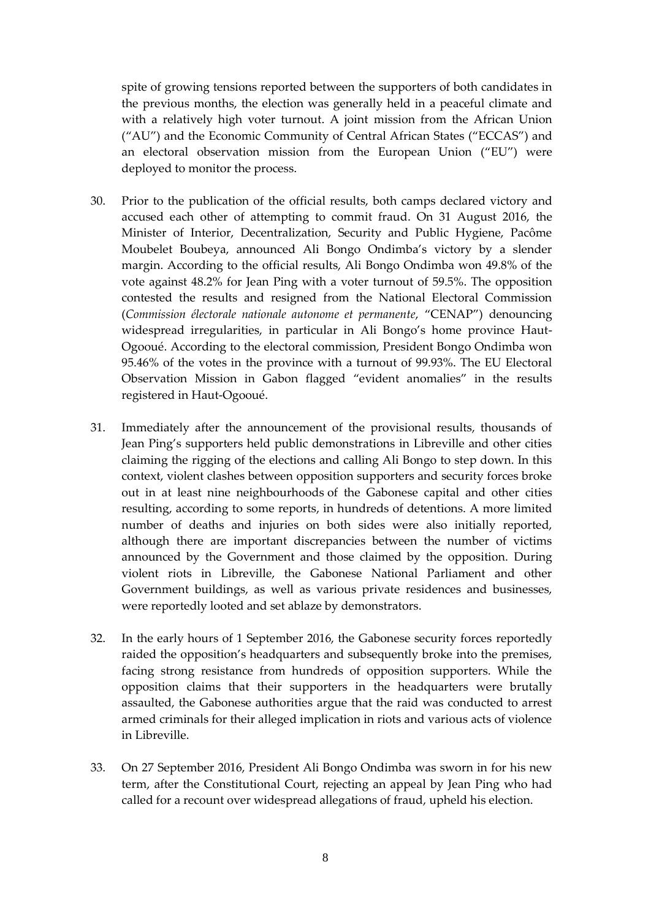spite of growing tensions reported between the supporters of both candidates in the previous months, the election was generally held in a peaceful climate and with a relatively high voter turnout. A joint mission from the African Union ("AU") and the Economic Community of Central African States ("ECCAS") and an electoral observation mission from the European Union ("EU") were deployed to monitor the process.

- 30. Prior to the publication of the official results, both camps declared victory and accused each other of attempting to commit fraud. On 31 August 2016, the Minister of Interior, Decentralization, Security and Public Hygiene, Pacôme Moubelet Boubeya, announced Ali Bongo Ondimba's victory by a slender margin. According to the official results, Ali Bongo Ondimba won 49.8% of the vote against 48.2% for Jean Ping with a voter turnout of 59.5%. The opposition contested the results and resigned from the National Electoral Commission (*Commission électorale nationale autonome et permanente*, "CENAP") denouncing widespread irregularities, in particular in Ali Bongo's home province Haut-Ogooué. According to the electoral commission, President Bongo Ondimba won 95.46% of the votes in the province with a turnout of 99.93%. The EU Electoral Observation Mission in Gabon flagged "evident anomalies" in the results registered in Haut-Ogooué.
- 31. Immediately after the announcement of the provisional results, thousands of Jean Ping's supporters held public demonstrations in Libreville and other cities claiming the rigging of the elections and calling Ali Bongo to step down. In this context, violent clashes between opposition supporters and security forces broke out in at least nine neighbourhoods of the Gabonese capital and other cities resulting, according to some reports, in hundreds of detentions. A more limited number of deaths and injuries on both sides were also initially reported, although there are important discrepancies between the number of victims announced by the Government and those claimed by the opposition. During violent riots in Libreville, the Gabonese National Parliament and other Government buildings, as well as various private residences and businesses, were reportedly looted and set ablaze by demonstrators.
- 32. In the early hours of 1 September 2016, the Gabonese security forces reportedly raided the opposition's headquarters and subsequently broke into the premises, facing strong resistance from hundreds of opposition supporters. While the opposition claims that their supporters in the headquarters were brutally assaulted, the Gabonese authorities argue that the raid was conducted to arrest armed criminals for their alleged implication in riots and various acts of violence in Libreville.
- 33. On 27 September 2016, President Ali Bongo Ondimba was sworn in for his new term, after the Constitutional Court, rejecting an appeal by Jean Ping who had called for a recount over widespread allegations of fraud, upheld his election.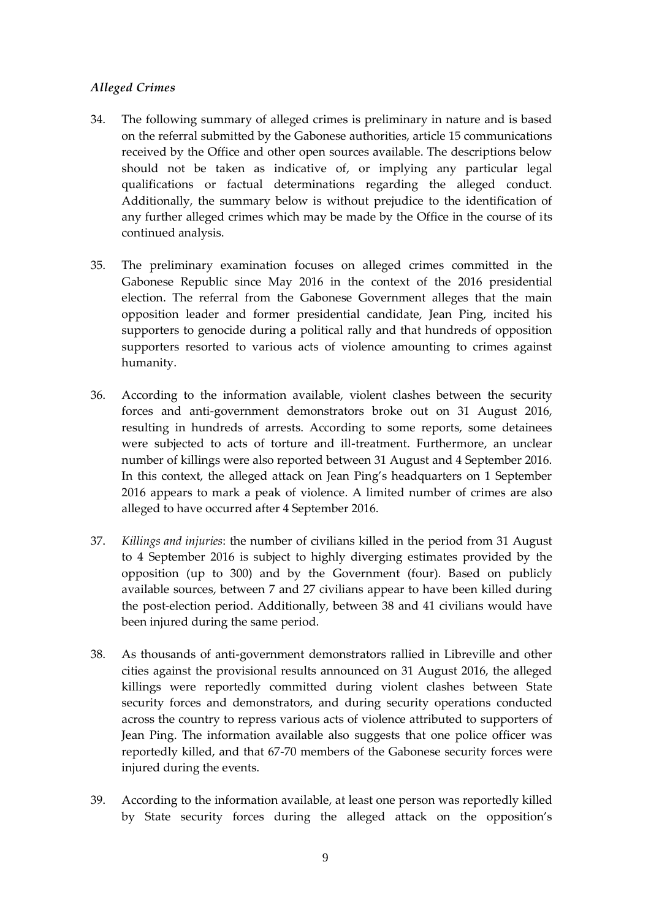# *Alleged Crimes*

- 34. The following summary of alleged crimes is preliminary in nature and is based on the referral submitted by the Gabonese authorities, article 15 communications received by the Office and other open sources available. The descriptions below should not be taken as indicative of, or implying any particular legal qualifications or factual determinations regarding the alleged conduct. Additionally, the summary below is without prejudice to the identification of any further alleged crimes which may be made by the Office in the course of its continued analysis.
- 35. The preliminary examination focuses on alleged crimes committed in the Gabonese Republic since May 2016 in the context of the 2016 presidential election. The referral from the Gabonese Government alleges that the main opposition leader and former presidential candidate, Jean Ping, incited his supporters to genocide during a political rally and that hundreds of opposition supporters resorted to various acts of violence amounting to crimes against humanity.
- 36. According to the information available, violent clashes between the security forces and anti-government demonstrators broke out on 31 August 2016, resulting in hundreds of arrests. According to some reports, some detainees were subjected to acts of torture and ill-treatment. Furthermore, an unclear number of killings were also reported between 31 August and 4 September 2016. In this context, the alleged attack on Jean Ping's headquarters on 1 September 2016 appears to mark a peak of violence. A limited number of crimes are also alleged to have occurred after 4 September 2016.
- 37. *Killings and injuries*: the number of civilians killed in the period from 31 August to 4 September 2016 is subject to highly diverging estimates provided by the opposition (up to 300) and by the Government (four). Based on publicly available sources, between 7 and 27 civilians appear to have been killed during the post-election period. Additionally, between 38 and 41 civilians would have been injured during the same period.
- 38. As thousands of anti-government demonstrators rallied in Libreville and other cities against the provisional results announced on 31 August 2016, the alleged killings were reportedly committed during violent clashes between State security forces and demonstrators, and during security operations conducted across the country to repress various acts of violence attributed to supporters of Jean Ping. The information available also suggests that one police officer was reportedly killed, and that 67-70 members of the Gabonese security forces were injured during the events.
- 39. According to the information available, at least one person was reportedly killed by State security forces during the alleged attack on the opposition's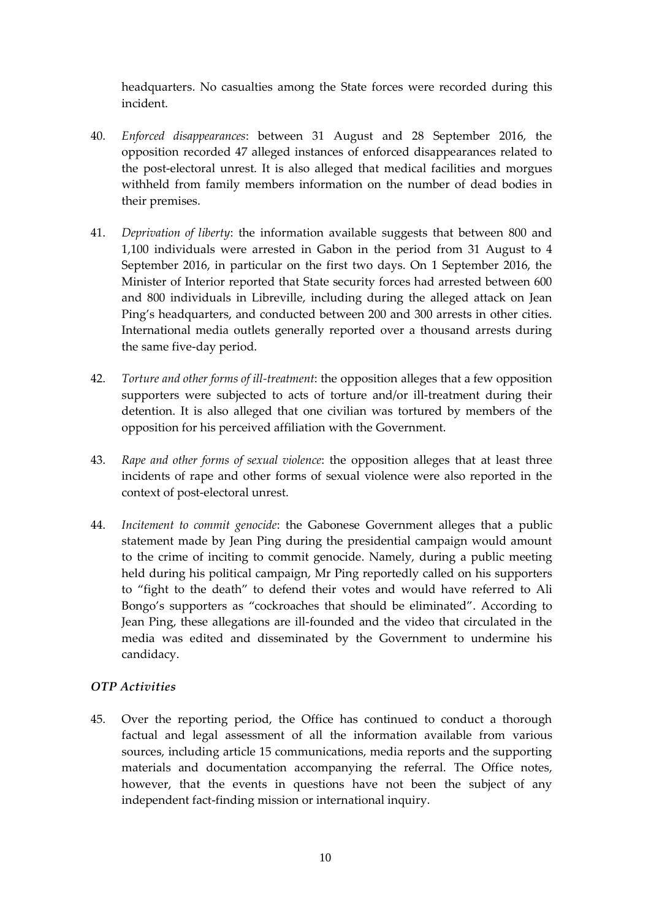headquarters. No casualties among the State forces were recorded during this incident.

- 40. *Enforced disappearances*: between 31 August and 28 September 2016, the opposition recorded 47 alleged instances of enforced disappearances related to the post-electoral unrest. It is also alleged that medical facilities and morgues withheld from family members information on the number of dead bodies in their premises.
- 41. *Deprivation of liberty*: the information available suggests that between 800 and 1,100 individuals were arrested in Gabon in the period from 31 August to 4 September 2016, in particular on the first two days. On 1 September 2016, the Minister of Interior reported that State security forces had arrested between 600 and 800 individuals in Libreville, including during the alleged attack on Jean Ping's headquarters, and conducted between 200 and 300 arrests in other cities. International media outlets generally reported over a thousand arrests during the same five-day period.
- 42. *Torture and other forms of ill-treatment*: the opposition alleges that a few opposition supporters were subjected to acts of torture and/or ill-treatment during their detention. It is also alleged that one civilian was tortured by members of the opposition for his perceived affiliation with the Government.
- 43. *Rape and other forms of sexual violence*: the opposition alleges that at least three incidents of rape and other forms of sexual violence were also reported in the context of post-electoral unrest.
- 44. *Incitement to commit genocide*: the Gabonese Government alleges that a public statement made by Jean Ping during the presidential campaign would amount to the crime of inciting to commit genocide. Namely, during a public meeting held during his political campaign, Mr Ping reportedly called on his supporters to "fight to the death" to defend their votes and would have referred to Ali Bongo's supporters as "cockroaches that should be eliminated". According to Jean Ping, these allegations are ill-founded and the video that circulated in the media was edited and disseminated by the Government to undermine his candidacy.

# *OTP Activities*

45. Over the reporting period, the Office has continued to conduct a thorough factual and legal assessment of all the information available from various sources, including article 15 communications, media reports and the supporting materials and documentation accompanying the referral. The Office notes, however, that the events in questions have not been the subject of any independent fact-finding mission or international inquiry.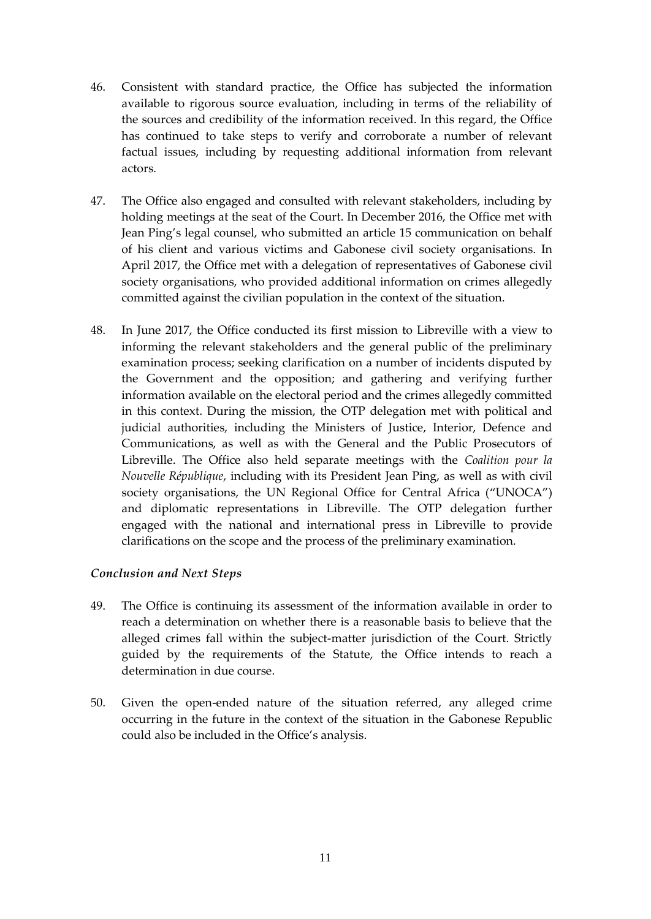- 46. Consistent with standard practice, the Office has subjected the information available to rigorous source evaluation, including in terms of the reliability of the sources and credibility of the information received. In this regard, the Office has continued to take steps to verify and corroborate a number of relevant factual issues, including by requesting additional information from relevant actors.
- 47. The Office also engaged and consulted with relevant stakeholders, including by holding meetings at the seat of the Court. In December 2016, the Office met with Jean Ping's legal counsel, who submitted an article 15 communication on behalf of his client and various victims and Gabonese civil society organisations. In April 2017, the Office met with a delegation of representatives of Gabonese civil society organisations, who provided additional information on crimes allegedly committed against the civilian population in the context of the situation.
- 48. In June 2017, the Office conducted its first mission to Libreville with a view to informing the relevant stakeholders and the general public of the preliminary examination process; seeking clarification on a number of incidents disputed by the Government and the opposition; and gathering and verifying further information available on the electoral period and the crimes allegedly committed in this context. During the mission, the OTP delegation met with political and judicial authorities, including the Ministers of Justice, Interior, Defence and Communications, as well as with the General and the Public Prosecutors of Libreville. The Office also held separate meetings with the *Coalition pour la Nouvelle République*, including with its President Jean Ping, as well as with civil society organisations, the UN Regional Office for Central Africa ("UNOCA") and diplomatic representations in Libreville. The OTP delegation further engaged with the national and international press in Libreville to provide clarifications on the scope and the process of the preliminary examination.

### *Conclusion and Next Steps*

- 49. The Office is continuing its assessment of the information available in order to reach a determination on whether there is a reasonable basis to believe that the alleged crimes fall within the subject-matter jurisdiction of the Court. Strictly guided by the requirements of the Statute, the Office intends to reach a determination in due course.
- 50. Given the open-ended nature of the situation referred, any alleged crime occurring in the future in the context of the situation in the Gabonese Republic could also be included in the Office's analysis.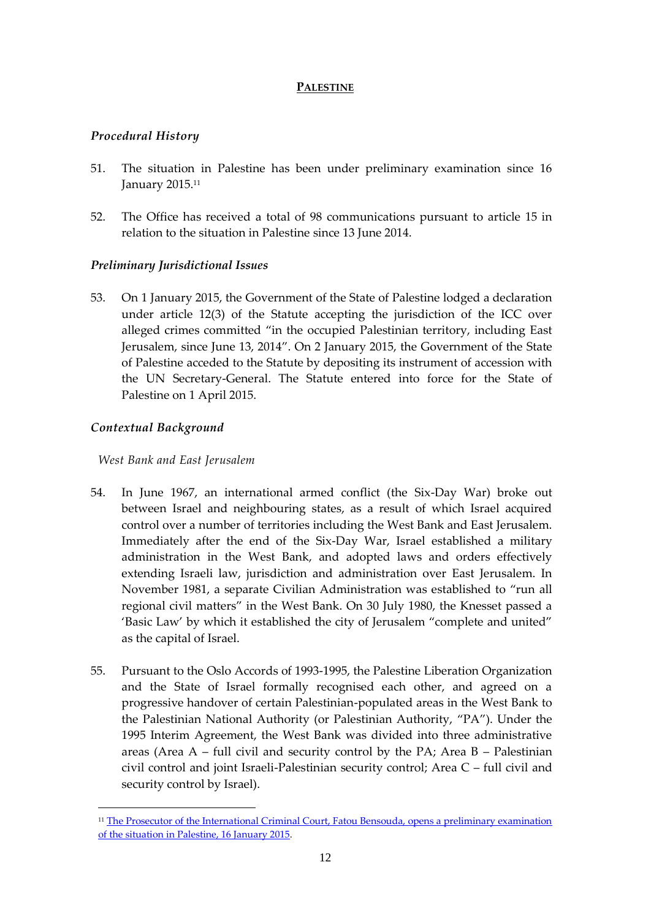# **PALESTINE**

# <span id="page-13-0"></span>*Procedural History*

- 51. The situation in Palestine has been under preliminary examination since 16 January 2015.<sup>11</sup>
- 52. The Office has received a total of 98 communications pursuant to article 15 in relation to the situation in Palestine since 13 June 2014.

# *Preliminary Jurisdictional Issues*

53. On 1 January 2015, the Government of the State of Palestine lodged a declaration under article 12(3) of the Statute accepting the jurisdiction of the ICC over alleged crimes committed "in the occupied Palestinian territory, including East Jerusalem, since June 13, 2014". On 2 January 2015, the Government of the State of Palestine acceded to the Statute by depositing its instrument of accession with the UN Secretary-General. The Statute entered into force for the State of Palestine on 1 April 2015.

# *Contextual Background*

1

*West Bank and East Jerusalem*

- 54. In June 1967, an international armed conflict (the Six-Day War) broke out between Israel and neighbouring states, as a result of which Israel acquired control over a number of territories including the West Bank and East Jerusalem. Immediately after the end of the Six-Day War, Israel established a military administration in the West Bank, and adopted laws and orders effectively extending Israeli law, jurisdiction and administration over East Jerusalem. In November 1981, a separate Civilian Administration was established to "run all regional civil matters" in the West Bank. On 30 July 1980, the Knesset passed a 'Basic Law' by which it established the city of Jerusalem "complete and united" as the capital of Israel.
- 55. Pursuant to the Oslo Accords of 1993-1995, the Palestine Liberation Organization and the State of Israel formally recognised each other, and agreed on a progressive handover of certain Palestinian-populated areas in the West Bank to the Palestinian National Authority (or Palestinian Authority, "PA"). Under the 1995 Interim Agreement, the West Bank was divided into three administrative areas (Area A – full civil and security control by the PA; Area B – Palestinian civil control and joint Israeli-Palestinian security control; Area C – full civil and security control by Israel).

<sup>&</sup>lt;sup>11</sup> The Prosecutor of the International Criminal Court, Fatou Bensouda, opens a preliminary examination [of the situation in Palestine, 16 January 2015.](https://www.icc-cpi.int/Pages/item.aspx?name=pr1083)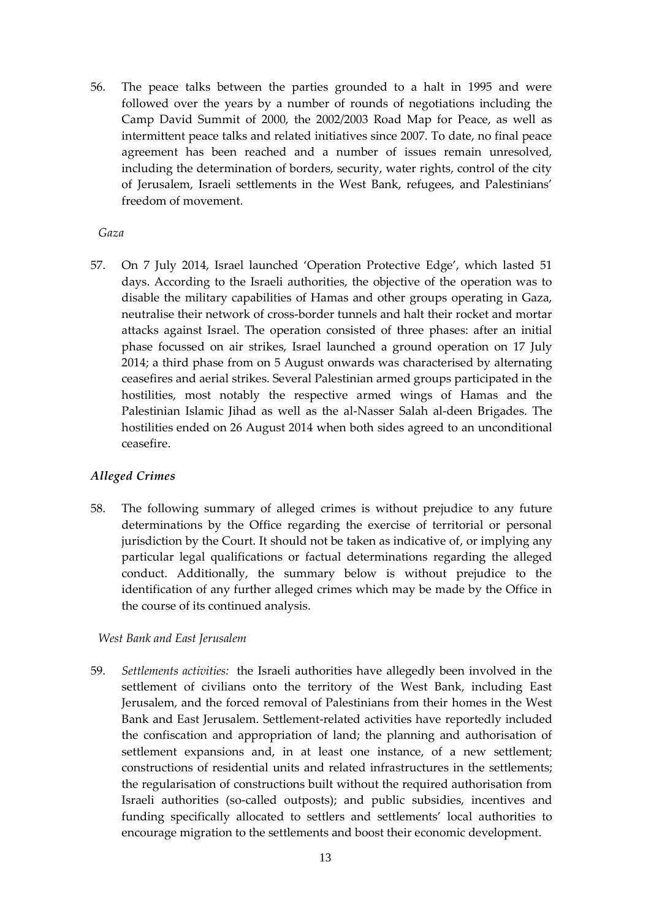56. The peace talks between the parties grounded to a halt in 1995 and were followed over the years by a number of rounds of negotiations including the Camp David Summit of 2000, the 2002/2003 Road Map for Peace, as well as intermittent peace talks and related initiatives since 2007. To date, no final peace agreement has been reached and a number of issues remain unresolved, including the determination of borders, security, water rights, control of the city of Jerusalem, Israeli settlements in the West Bank, refugees, and Palestinians' freedom of movement.

#### *Gaza*

57. On 7 July 2014, Israel launched 'Operation Protective Edge', which lasted 51 days. According to the Israeli authorities, the objective of the operation was to disable the military capabilities of Hamas and other groups operating in Gaza, neutralise their network of cross-border tunnels and halt their rocket and mortar attacks against Israel. The operation consisted of three phases: after an initial phase focussed on air strikes, Israel launched a ground operation on 17 July 2014; a third phase from on 5 August onwards was characterised by alternating ceasefires and aerial strikes. Several Palestinian armed groups participated in the hostilities, most notably the respective armed wings of Hamas and the Palestinian Islamic Jihad as well as the al-Nasser Salah al-deen Brigades. The hostilities ended on 26 August 2014 when both sides agreed to an unconditional ceasefire.

### *Alleged Crimes*

58. The following summary of alleged crimes is without prejudice to any future determinations by the Office regarding the exercise of territorial or personal jurisdiction by the Court. It should not be taken as indicative of, or implying any particular legal qualifications or factual determinations regarding the alleged conduct. Additionally, the summary below is without prejudice to the identification of any further alleged crimes which may be made by the Office in the course of its continued analysis.

### *West Bank and East Jerusalem*

59. *Settlements activities:* the Israeli authorities have allegedly been involved in the settlement of civilians onto the territory of the West Bank, including East Jerusalem, and the forced removal of Palestinians from their homes in the West Bank and East Jerusalem. Settlement-related activities have reportedly included the confiscation and appropriation of land; the planning and authorisation of settlement expansions and, in at least one instance, of a new settlement; constructions of residential units and related infrastructures in the settlements; the regularisation of constructions built without the required authorisation from Israeli authorities (so-called outposts); and public subsidies, incentives and funding specifically allocated to settlers and settlements' local authorities to encourage migration to the settlements and boost their economic development.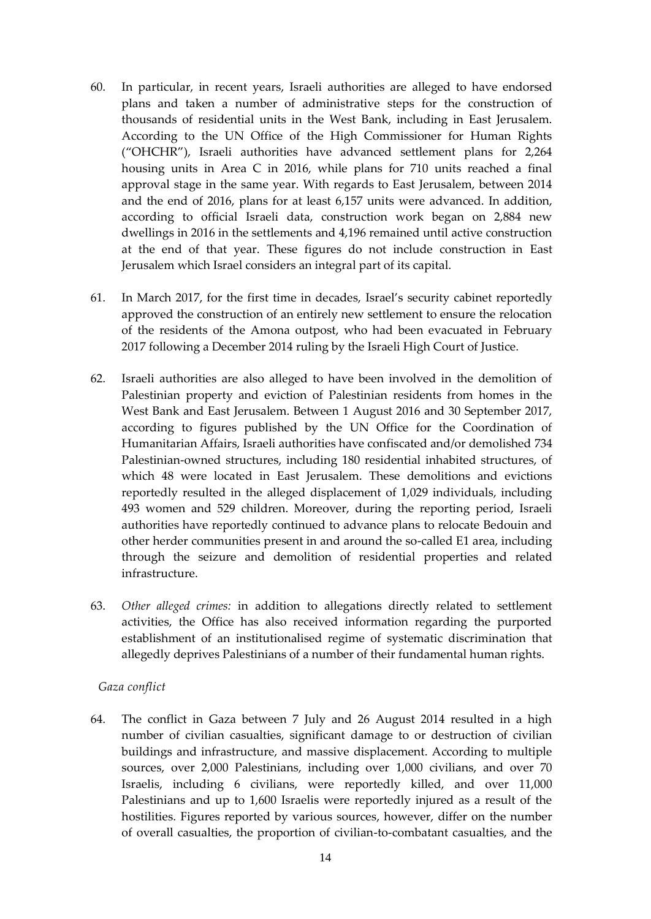- 60. In particular, in recent years, Israeli authorities are alleged to have endorsed plans and taken a number of administrative steps for the construction of thousands of residential units in the West Bank, including in East Jerusalem. According to the UN Office of the High Commissioner for Human Rights ("OHCHR"), Israeli authorities have advanced settlement plans for 2,264 housing units in Area C in 2016, while plans for 710 units reached a final approval stage in the same year. With regards to East Jerusalem, between 2014 and the end of 2016, plans for at least 6,157 units were advanced. In addition, according to official Israeli data, construction work began on 2,884 new dwellings in 2016 in the settlements and 4,196 remained until active construction at the end of that year. These figures do not include construction in East Jerusalem which Israel considers an integral part of its capital.
- 61. In March 2017, for the first time in decades, Israel's security cabinet reportedly approved the construction of an entirely new settlement to ensure the relocation of the residents of the Amona outpost, who had been evacuated in February 2017 following a December 2014 ruling by the Israeli High Court of Justice.
- 62. Israeli authorities are also alleged to have been involved in the demolition of Palestinian property and eviction of Palestinian residents from homes in the West Bank and East Jerusalem. Between 1 August 2016 and 30 September 2017, according to figures published by the UN Office for the Coordination of Humanitarian Affairs, Israeli authorities have confiscated and/or demolished 734 Palestinian-owned structures, including 180 residential inhabited structures, of which 48 were located in East Jerusalem. These demolitions and evictions reportedly resulted in the alleged displacement of 1,029 individuals, including 493 women and 529 children. Moreover, during the reporting period, Israeli authorities have reportedly continued to advance plans to relocate Bedouin and other herder communities present in and around the so-called E1 area, including through the seizure and demolition of residential properties and related infrastructure.
- 63. *Other alleged crimes:* in addition to allegations directly related to settlement activities, the Office has also received information regarding the purported establishment of an institutionalised regime of systematic discrimination that allegedly deprives Palestinians of a number of their fundamental human rights.

### *Gaza conflict*

64. The conflict in Gaza between 7 July and 26 August 2014 resulted in a high number of civilian casualties, significant damage to or destruction of civilian buildings and infrastructure, and massive displacement. According to multiple sources, over 2,000 Palestinians, including over 1,000 civilians, and over 70 Israelis, including 6 civilians, were reportedly killed, and over 11,000 Palestinians and up to 1,600 Israelis were reportedly injured as a result of the hostilities. Figures reported by various sources, however, differ on the number of overall casualties, the proportion of civilian-to-combatant casualties, and the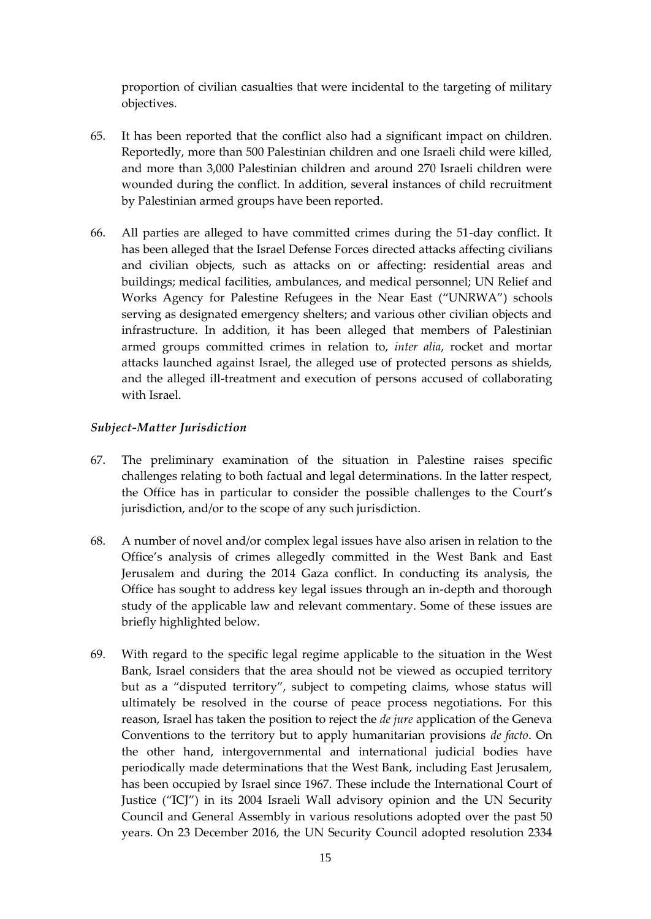proportion of civilian casualties that were incidental to the targeting of military objectives.

- 65. It has been reported that the conflict also had a significant impact on children. Reportedly, more than 500 Palestinian children and one Israeli child were killed, and more than 3,000 Palestinian children and around 270 Israeli children were wounded during the conflict. In addition, several instances of child recruitment by Palestinian armed groups have been reported.
- 66. All parties are alleged to have committed crimes during the 51-day conflict. It has been alleged that the Israel Defense Forces directed attacks affecting civilians and civilian objects, such as attacks on or affecting: residential areas and buildings; medical facilities, ambulances, and medical personnel; UN Relief and Works Agency for Palestine Refugees in the Near East ("UNRWA") schools serving as designated emergency shelters; and various other civilian objects and infrastructure. In addition, it has been alleged that members of Palestinian armed groups committed crimes in relation to, *inter alia*, rocket and mortar attacks launched against Israel, the alleged use of protected persons as shields, and the alleged ill-treatment and execution of persons accused of collaborating with Israel.

### *Subject-Matter Jurisdiction*

- 67. The preliminary examination of the situation in Palestine raises specific challenges relating to both factual and legal determinations. In the latter respect, the Office has in particular to consider the possible challenges to the Court's jurisdiction, and/or to the scope of any such jurisdiction.
- 68. A number of novel and/or complex legal issues have also arisen in relation to the Office's analysis of crimes allegedly committed in the West Bank and East Jerusalem and during the 2014 Gaza conflict. In conducting its analysis, the Office has sought to address key legal issues through an in-depth and thorough study of the applicable law and relevant commentary. Some of these issues are briefly highlighted below.
- 69. With regard to the specific legal regime applicable to the situation in the West Bank, Israel considers that the area should not be viewed as occupied territory but as a "disputed territory", subject to competing claims, whose status will ultimately be resolved in the course of peace process negotiations. For this reason, Israel has taken the position to reject the *de jure* application of the Geneva Conventions to the territory but to apply humanitarian provisions *de facto*. On the other hand, intergovernmental and international judicial bodies have periodically made determinations that the West Bank, including East Jerusalem, has been occupied by Israel since 1967. These include the International Court of Justice ("ICJ") in its 2004 Israeli Wall advisory opinion and the UN Security Council and General Assembly in various resolutions adopted over the past 50 years. On 23 December 2016, the UN Security Council adopted resolution 2334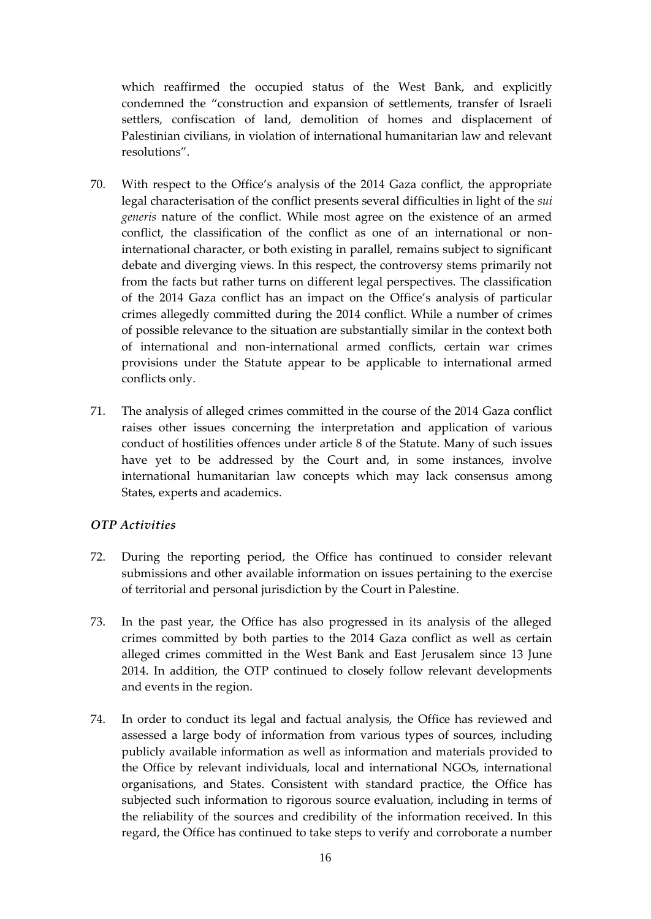which reaffirmed the occupied status of the West Bank, and explicitly condemned the "construction and expansion of settlements, transfer of Israeli settlers, confiscation of land, demolition of homes and displacement of Palestinian civilians, in violation of international humanitarian law and relevant resolutions".

- 70. With respect to the Office's analysis of the 2014 Gaza conflict, the appropriate legal characterisation of the conflict presents several difficulties in light of the *sui generis* nature of the conflict. While most agree on the existence of an armed conflict, the classification of the conflict as one of an international or noninternational character, or both existing in parallel, remains subject to significant debate and diverging views. In this respect, the controversy stems primarily not from the facts but rather turns on different legal perspectives. The classification of the 2014 Gaza conflict has an impact on the Office's analysis of particular crimes allegedly committed during the 2014 conflict. While a number of crimes of possible relevance to the situation are substantially similar in the context both of international and non-international armed conflicts, certain war crimes provisions under the Statute appear to be applicable to international armed conflicts only.
- 71. The analysis of alleged crimes committed in the course of the 2014 Gaza conflict raises other issues concerning the interpretation and application of various conduct of hostilities offences under article 8 of the Statute. Many of such issues have yet to be addressed by the Court and, in some instances, involve international humanitarian law concepts which may lack consensus among States, experts and academics.

# *OTP Activities*

- 72. During the reporting period, the Office has continued to consider relevant submissions and other available information on issues pertaining to the exercise of territorial and personal jurisdiction by the Court in Palestine.
- 73. In the past year, the Office has also progressed in its analysis of the alleged crimes committed by both parties to the 2014 Gaza conflict as well as certain alleged crimes committed in the West Bank and East Jerusalem since 13 June 2014. In addition, the OTP continued to closely follow relevant developments and events in the region.
- 74. In order to conduct its legal and factual analysis, the Office has reviewed and assessed a large body of information from various types of sources, including publicly available information as well as information and materials provided to the Office by relevant individuals, local and international NGOs, international organisations, and States. Consistent with standard practice, the Office has subjected such information to rigorous source evaluation, including in terms of the reliability of the sources and credibility of the information received. In this regard, the Office has continued to take steps to verify and corroborate a number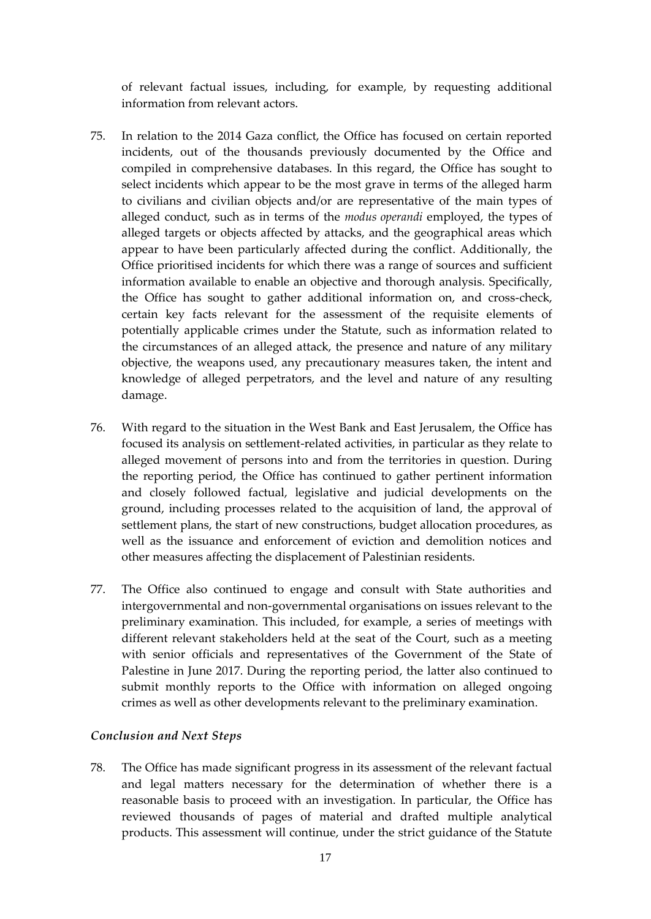of relevant factual issues, including, for example, by requesting additional information from relevant actors.

- 75. In relation to the 2014 Gaza conflict, the Office has focused on certain reported incidents, out of the thousands previously documented by the Office and compiled in comprehensive databases. In this regard, the Office has sought to select incidents which appear to be the most grave in terms of the alleged harm to civilians and civilian objects and/or are representative of the main types of alleged conduct, such as in terms of the *modus operandi* employed, the types of alleged targets or objects affected by attacks, and the geographical areas which appear to have been particularly affected during the conflict. Additionally, the Office prioritised incidents for which there was a range of sources and sufficient information available to enable an objective and thorough analysis. Specifically, the Office has sought to gather additional information on, and cross-check, certain key facts relevant for the assessment of the requisite elements of potentially applicable crimes under the Statute, such as information related to the circumstances of an alleged attack, the presence and nature of any military objective, the weapons used, any precautionary measures taken, the intent and knowledge of alleged perpetrators, and the level and nature of any resulting damage.
- 76. With regard to the situation in the West Bank and East Jerusalem, the Office has focused its analysis on settlement-related activities, in particular as they relate to alleged movement of persons into and from the territories in question. During the reporting period, the Office has continued to gather pertinent information and closely followed factual, legislative and judicial developments on the ground, including processes related to the acquisition of land, the approval of settlement plans, the start of new constructions, budget allocation procedures, as well as the issuance and enforcement of eviction and demolition notices and other measures affecting the displacement of Palestinian residents.
- 77. The Office also continued to engage and consult with State authorities and intergovernmental and non-governmental organisations on issues relevant to the preliminary examination. This included, for example, a series of meetings with different relevant stakeholders held at the seat of the Court, such as a meeting with senior officials and representatives of the Government of the State of Palestine in June 2017. During the reporting period, the latter also continued to submit monthly reports to the Office with information on alleged ongoing crimes as well as other developments relevant to the preliminary examination.

### *Conclusion and Next Steps*

78. The Office has made significant progress in its assessment of the relevant factual and legal matters necessary for the determination of whether there is a reasonable basis to proceed with an investigation. In particular, the Office has reviewed thousands of pages of material and drafted multiple analytical products. This assessment will continue, under the strict guidance of the Statute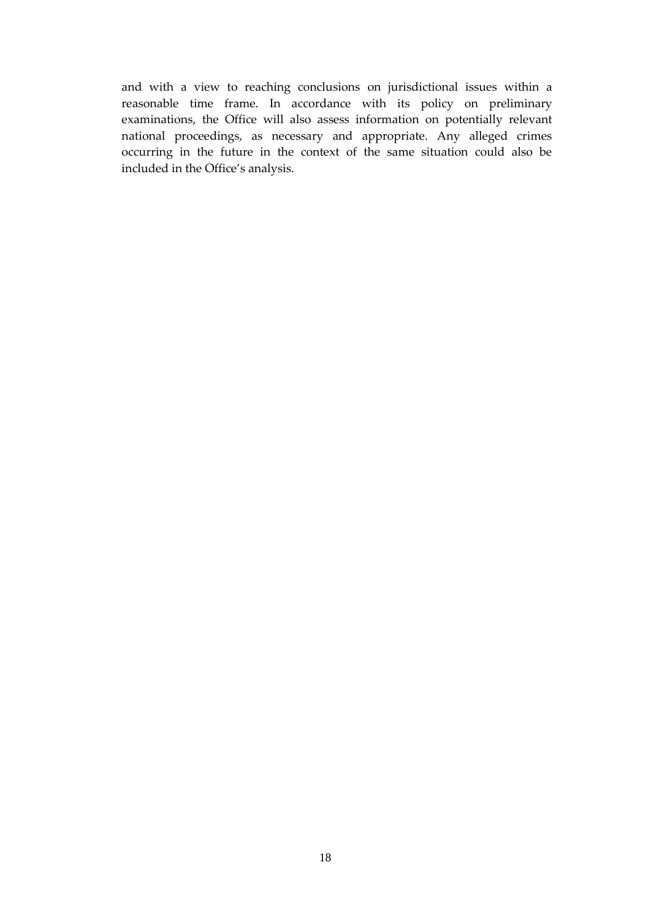and with a view to reaching conclusions on jurisdictional issues within a reasonable time frame. In accordance with its policy on preliminary examinations, the Office will also assess information on potentially relevant national proceedings, as necessary and appropriate. Any alleged crimes occurring in the future in the context of the same situation could also be included in the Office's analysis.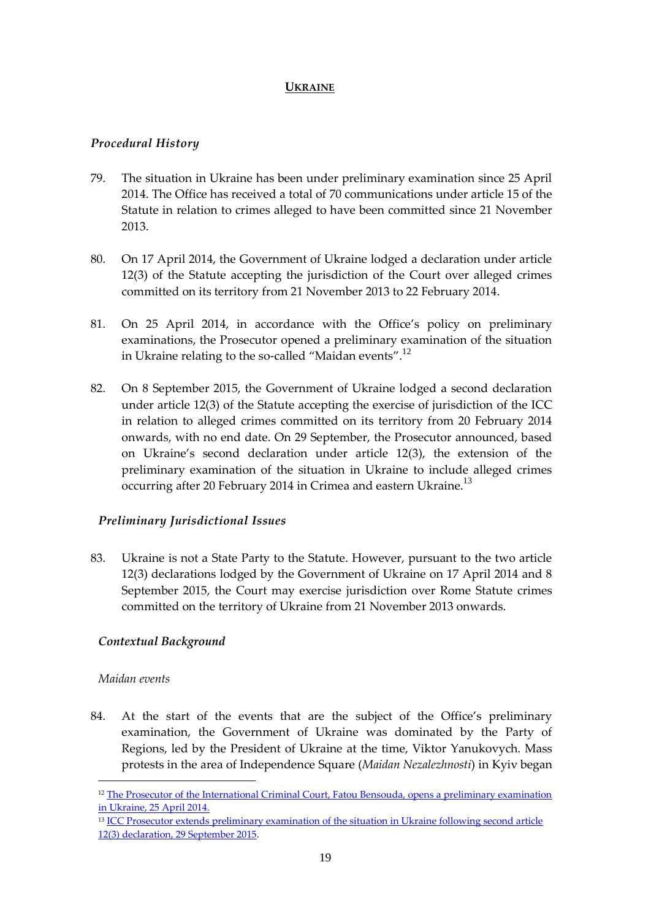# **UKRAINE**

# <span id="page-20-0"></span>*Procedural History*

- 79. The situation in Ukraine has been under preliminary examination since 25 April 2014. The Office has received a total of 70 communications under article 15 of the Statute in relation to crimes alleged to have been committed since 21 November 2013.
- 80. On 17 April 2014, the Government of Ukraine lodged a declaration under article 12(3) of the Statute accepting the jurisdiction of the Court over alleged crimes committed on its territory from 21 November 2013 to 22 February 2014.
- 81. On 25 April 2014, in accordance with the Office's policy on preliminary examinations, the Prosecutor opened a preliminary examination of the situation in Ukraine relating to the so-called "Maidan events".<sup>12</sup>
- 82. On 8 September 2015, the Government of Ukraine lodged a second declaration under article 12(3) of the Statute accepting the exercise of jurisdiction of the ICC in relation to alleged crimes committed on its territory from 20 February 2014 onwards, with no end date. On 29 September, the Prosecutor announced, based on Ukraine's second declaration under article 12(3), the extension of the preliminary examination of the situation in Ukraine to include alleged crimes occurring after 20 February 2014 in Crimea and eastern Ukraine.<sup>13</sup>

# *Preliminary Jurisdictional Issues*

83. Ukraine is not a State Party to the Statute. However, pursuant to the two article 12(3) declarations lodged by the Government of Ukraine on 17 April 2014 and 8 September 2015, the Court may exercise jurisdiction over Rome Statute crimes committed on the territory of Ukraine from 21 November 2013 onwards.

### *Contextual Background*

### *Maidan events*

1

84. At the start of the events that are the subject of the Office's preliminary examination, the Government of Ukraine was dominated by the Party of Regions, led by the President of Ukraine at the time, Viktor Yanukovych. Mass protests in the area of Independence Square (*Maidan Nezalezhnosti*) in Kyiv began

<sup>&</sup>lt;sup>12</sup> The Prosecutor of the International Criminal Court, Fatou Bensouda, opens a preliminary examination [in Ukraine, 25 April 2014.](http://www.icc-cpi.int/en_menus/icc/press%20and%20media/press%20releases/Pages/pr999.aspx)

<sup>&</sup>lt;sup>13</sup> ICC Prosecutor extends preliminary examination of the situation in Ukraine following second article [12\(3\) declaration, 29 September 2015.](https://www.icc-cpi.int/Pages/item.aspx?name=pr1156)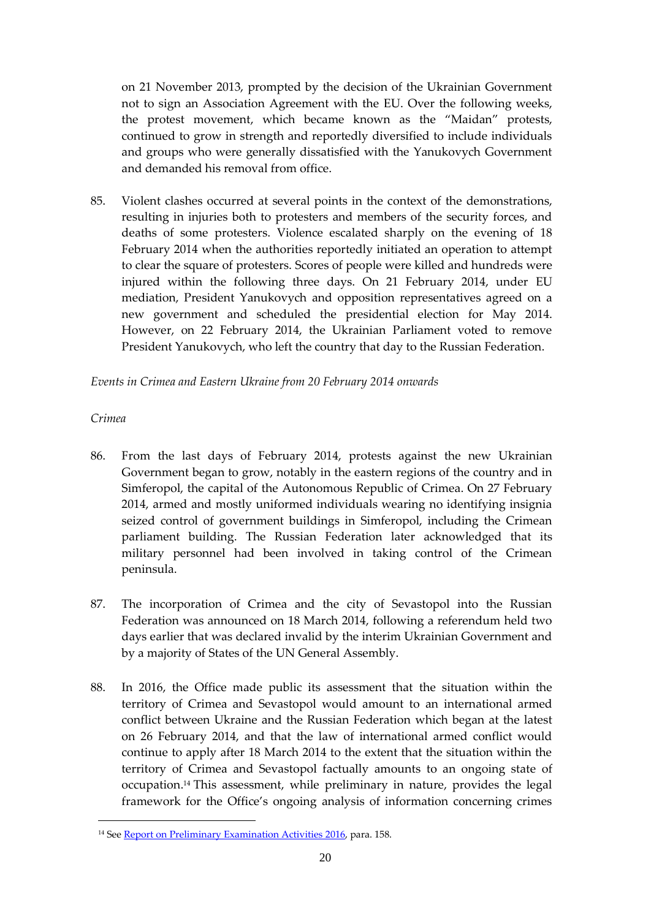on 21 November 2013, prompted by the decision of the Ukrainian Government not to sign an Association Agreement with the EU. Over the following weeks, the protest movement, which became known as the "Maidan" protests, continued to grow in strength and reportedly diversified to include individuals and groups who were generally dissatisfied with the Yanukovych Government and demanded his removal from office.

85. Violent clashes occurred at several points in the context of the demonstrations, resulting in injuries both to protesters and members of the security forces, and deaths of some protesters. Violence escalated sharply on the evening of 18 February 2014 when the authorities reportedly initiated an operation to attempt to clear the square of protesters. Scores of people were killed and hundreds were injured within the following three days. On 21 February 2014, under EU mediation, President Yanukovych and opposition representatives agreed on a new government and scheduled the presidential election for May 2014. However, on 22 February 2014, the Ukrainian Parliament voted to remove President Yanukovych, who left the country that day to the Russian Federation.

*Events in Crimea and Eastern Ukraine from 20 February 2014 onwards*

# *Crimea*

<u>.</u>

- 86. From the last days of February 2014, protests against the new Ukrainian Government began to grow, notably in the eastern regions of the country and in Simferopol, the capital of the Autonomous Republic of Crimea. On 27 February 2014, armed and mostly uniformed individuals wearing no identifying insignia seized control of government buildings in Simferopol, including the Crimean parliament building. The Russian Federation later acknowledged that its military personnel had been involved in taking control of the Crimean peninsula.
- 87. The incorporation of Crimea and the city of Sevastopol into the Russian Federation was announced on 18 March 2014, following a referendum held two days earlier that was declared invalid by the interim Ukrainian Government and by a majority of States of the UN General Assembly.
- 88. In 2016, the Office made public its assessment that the situation within the territory of Crimea and Sevastopol would amount to an international armed conflict between Ukraine and the Russian Federation which began at the latest on 26 February 2014, and that the law of international armed conflict would continue to apply after 18 March 2014 to the extent that the situation within the territory of Crimea and Sevastopol factually amounts to an ongoing state of occupation.<sup>14</sup> This assessment, while preliminary in nature, provides the legal framework for the Office's ongoing analysis of information concerning crimes

<sup>&</sup>lt;sup>14</sup> See **Report on Preliminary Examination Activities 2016**, para. 158.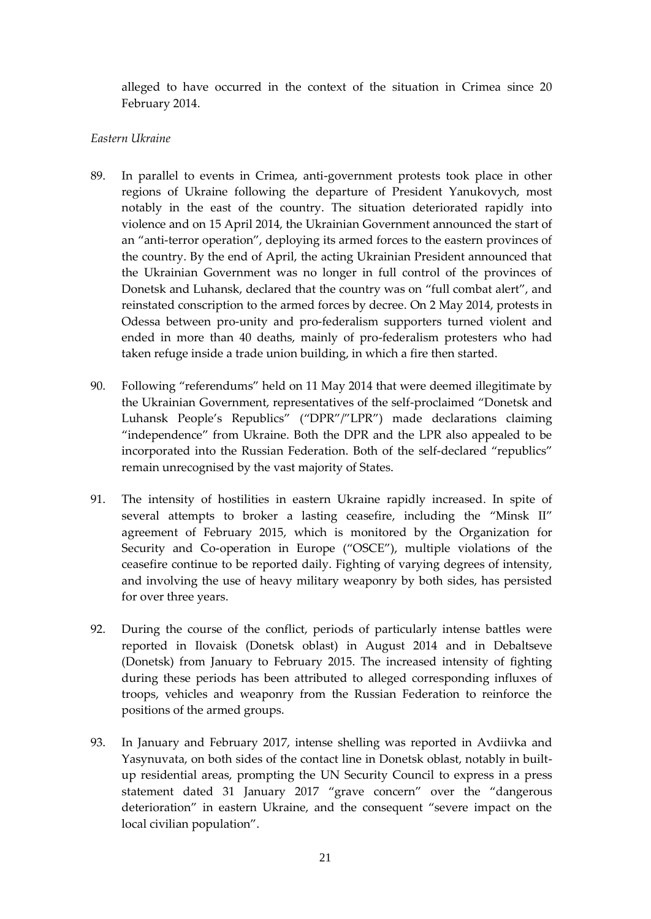alleged to have occurred in the context of the situation in Crimea since 20 February 2014.

### *Eastern Ukraine*

- 89. In parallel to events in Crimea, anti-government protests took place in other regions of Ukraine following the departure of President Yanukovych, most notably in the east of the country. The situation deteriorated rapidly into violence and on 15 April 2014, the Ukrainian Government announced the start of an "anti-terror operation", deploying its armed forces to the eastern provinces of the country. By the end of April, the acting Ukrainian President announced that the Ukrainian Government was no longer in full control of the provinces of Donetsk and Luhansk, declared that the country was on "full combat alert", and reinstated conscription to the armed forces by decree. On 2 May 2014, protests in Odessa between pro-unity and pro-federalism supporters turned violent and ended in more than 40 deaths, mainly of pro-federalism protesters who had taken refuge inside a trade union building, in which a fire then started.
- 90. Following "referendums" held on 11 May 2014 that were deemed illegitimate by the Ukrainian Government, representatives of the self-proclaimed "Donetsk and Luhansk People's Republics" ("DPR"/"LPR") made declarations claiming "independence" from Ukraine. Both the DPR and the LPR also appealed to be incorporated into the Russian Federation. Both of the self-declared "republics" remain unrecognised by the vast majority of States.
- 91. The intensity of hostilities in eastern Ukraine rapidly increased. In spite of several attempts to broker a lasting ceasefire, including the "Minsk II" agreement of February 2015, which is monitored by the Organization for Security and Co-operation in Europe ("OSCE"), multiple violations of the ceasefire continue to be reported daily. Fighting of varying degrees of intensity, and involving the use of heavy military weaponry by both sides, has persisted for over three years.
- 92. During the course of the conflict, periods of particularly intense battles were reported in Ilovaisk (Donetsk oblast) in August 2014 and in Debaltseve (Donetsk) from January to February 2015. The increased intensity of fighting during these periods has been attributed to alleged corresponding influxes of troops, vehicles and weaponry from the Russian Federation to reinforce the positions of the armed groups.
- 93. In January and February 2017, intense shelling was reported in Avdiivka and Yasynuvata, on both sides of the contact line in Donetsk oblast, notably in builtup residential areas, prompting the UN Security Council to express in a press statement dated 31 January 2017 "grave concern" over the "dangerous deterioration" in eastern Ukraine, and the consequent "severe impact on the local civilian population".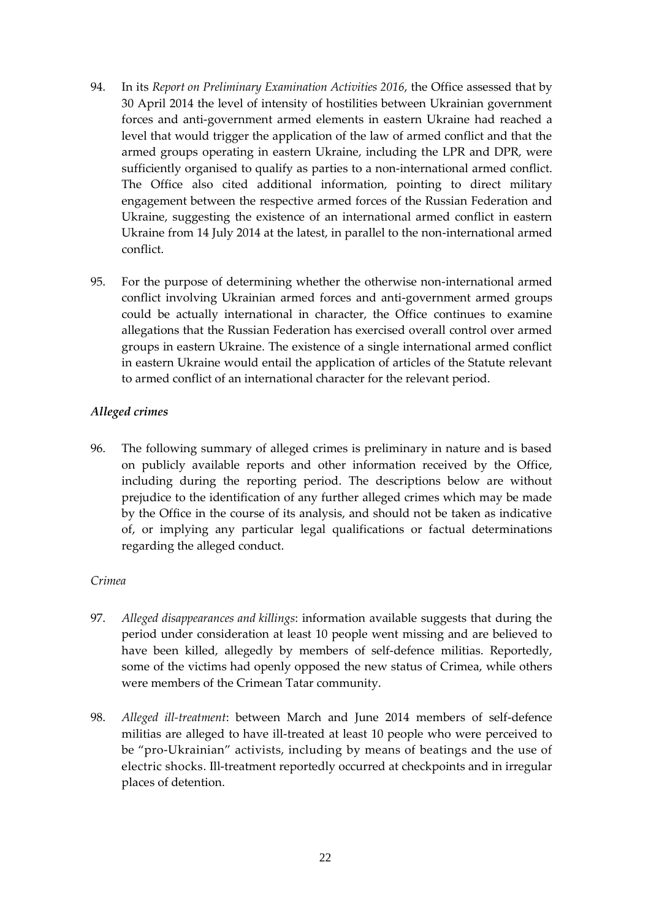- 94. In its *Report on Preliminary Examination Activities 2016*, the Office assessed that by 30 April 2014 the level of intensity of hostilities between Ukrainian government forces and anti-government armed elements in eastern Ukraine had reached a level that would trigger the application of the law of armed conflict and that the armed groups operating in eastern Ukraine, including the LPR and DPR, were sufficiently organised to qualify as parties to a non-international armed conflict. The Office also cited additional information, pointing to direct military engagement between the respective armed forces of the Russian Federation and Ukraine, suggesting the existence of an international armed conflict in eastern Ukraine from 14 July 2014 at the latest, in parallel to the non-international armed conflict.
- 95. For the purpose of determining whether the otherwise non-international armed conflict involving Ukrainian armed forces and anti-government armed groups could be actually international in character, the Office continues to examine allegations that the Russian Federation has exercised overall control over armed groups in eastern Ukraine. The existence of a single international armed conflict in eastern Ukraine would entail the application of articles of the Statute relevant to armed conflict of an international character for the relevant period.

### *Alleged crimes*

96. The following summary of alleged crimes is preliminary in nature and is based on publicly available reports and other information received by the Office, including during the reporting period. The descriptions below are without prejudice to the identification of any further alleged crimes which may be made by the Office in the course of its analysis, and should not be taken as indicative of, or implying any particular legal qualifications or factual determinations regarding the alleged conduct.

### *Crimea*

- 97. *Alleged disappearances and killings*: information available suggests that during the period under consideration at least 10 people went missing and are believed to have been killed, allegedly by members of self-defence militias. Reportedly, some of the victims had openly opposed the new status of Crimea, while others were members of the Crimean Tatar community.
- 98. *Alleged ill-treatment*: between March and June 2014 members of self-defence militias are alleged to have ill-treated at least 10 people who were perceived to be "pro-Ukrainian" activists, including by means of beatings and the use of electric shocks. Ill-treatment reportedly occurred at checkpoints and in irregular places of detention.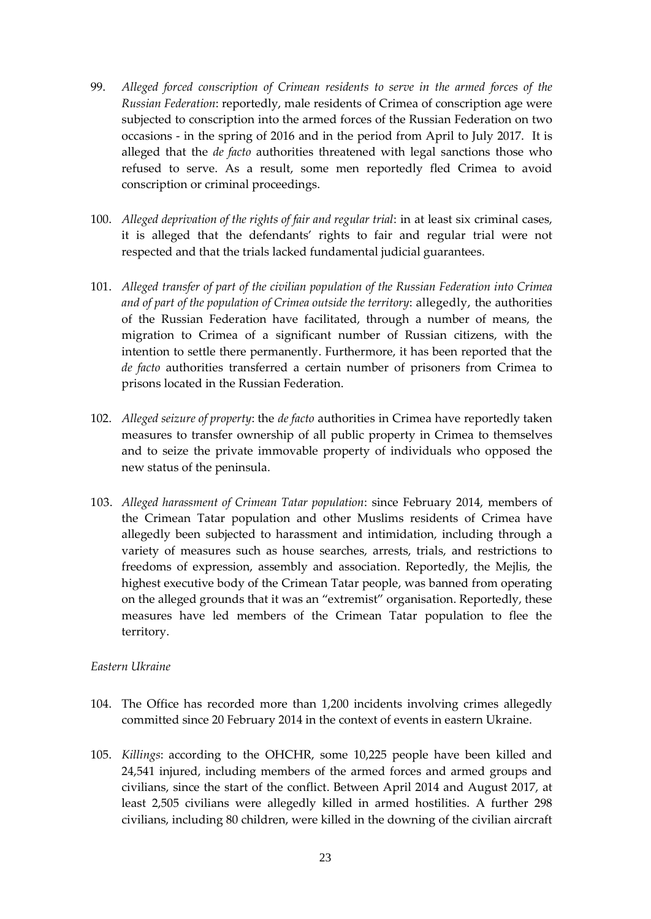- 99. *Alleged forced conscription of Crimean residents to serve in the armed forces of the Russian Federation*: reportedly, male residents of Crimea of conscription age were subjected to conscription into the armed forces of the Russian Federation on two occasions - in the spring of 2016 and in the period from April to July 2017. It is alleged that the *de facto* authorities threatened with legal sanctions those who refused to serve. As a result, some men reportedly fled Crimea to avoid conscription or criminal proceedings.
- 100. *Alleged deprivation of the rights of fair and regular trial*: in at least six criminal cases, it is alleged that the defendants' rights to fair and regular trial were not respected and that the trials lacked fundamental judicial guarantees.
- 101. *Alleged transfer of part of the civilian population of the Russian Federation into Crimea and of part of the population of Crimea outside the territory*: allegedly, the authorities of the Russian Federation have facilitated, through a number of means, the migration to Crimea of a significant number of Russian citizens, with the intention to settle there permanently. Furthermore, it has been reported that the *de facto* authorities transferred a certain number of prisoners from Crimea to prisons located in the Russian Federation.
- 102. *Alleged seizure of property*: the *de facto* authorities in Crimea have reportedly taken measures to transfer ownership of all public property in Crimea to themselves and to seize the private immovable property of individuals who opposed the new status of the peninsula.
- 103. *Alleged harassment of Crimean Tatar population*: since February 2014, members of the Crimean Tatar population and other Muslims residents of Crimea have allegedly been subjected to harassment and intimidation, including through a variety of measures such as house searches, arrests, trials, and restrictions to freedoms of expression, assembly and association. Reportedly, the Mejlis, the highest executive body of the Crimean Tatar people, was banned from operating on the alleged grounds that it was an "extremist" organisation. Reportedly, these measures have led members of the Crimean Tatar population to flee the territory.

#### *Eastern Ukraine*

- 104. The Office has recorded more than 1,200 incidents involving crimes allegedly committed since 20 February 2014 in the context of events in eastern Ukraine.
- 105. *Killings*: according to the OHCHR, some 10,225 people have been killed and 24,541 injured, including members of the armed forces and armed groups and civilians, since the start of the conflict. Between April 2014 and August 2017, at least 2,505 civilians were allegedly killed in armed hostilities. A further 298 civilians, including 80 children, were killed in the downing of the civilian aircraft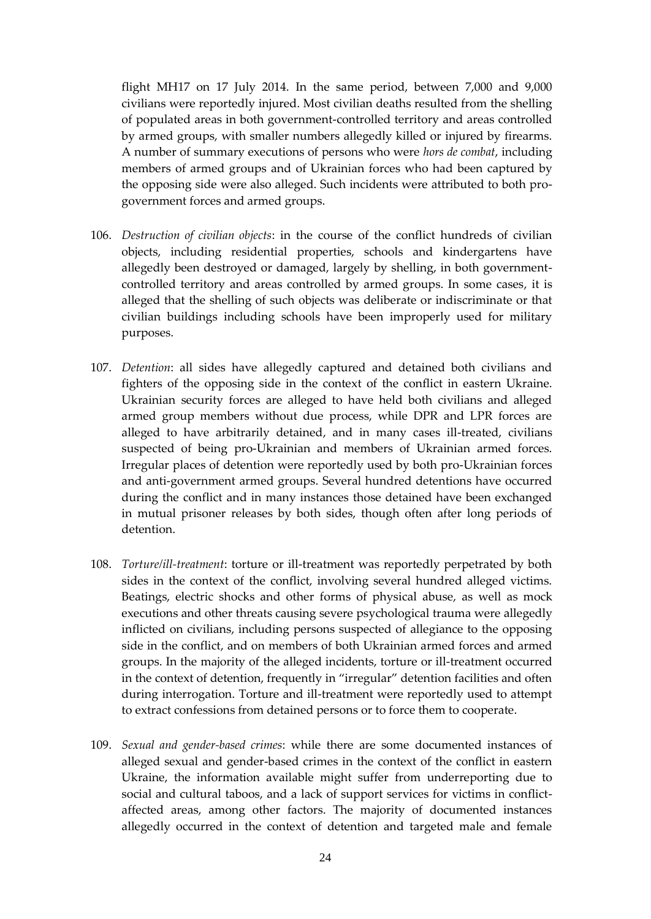flight MH17 on 17 July 2014. In the same period, between 7,000 and 9,000 civilians were reportedly injured. Most civilian deaths resulted from the shelling of populated areas in both government-controlled territory and areas controlled by armed groups, with smaller numbers allegedly killed or injured by firearms. A number of summary executions of persons who were *hors de combat*, including members of armed groups and of Ukrainian forces who had been captured by the opposing side were also alleged. Such incidents were attributed to both progovernment forces and armed groups.

- 106. *Destruction of civilian objects*: in the course of the conflict hundreds of civilian objects, including residential properties, schools and kindergartens have allegedly been destroyed or damaged, largely by shelling, in both governmentcontrolled territory and areas controlled by armed groups. In some cases, it is alleged that the shelling of such objects was deliberate or indiscriminate or that civilian buildings including schools have been improperly used for military purposes.
- 107. *Detention*: all sides have allegedly captured and detained both civilians and fighters of the opposing side in the context of the conflict in eastern Ukraine. Ukrainian security forces are alleged to have held both civilians and alleged armed group members without due process, while DPR and LPR forces are alleged to have arbitrarily detained, and in many cases ill-treated, civilians suspected of being pro-Ukrainian and members of Ukrainian armed forces. Irregular places of detention were reportedly used by both pro-Ukrainian forces and anti-government armed groups. Several hundred detentions have occurred during the conflict and in many instances those detained have been exchanged in mutual prisoner releases by both sides, though often after long periods of detention.
- 108. *Torture/ill-treatment*: torture or ill-treatment was reportedly perpetrated by both sides in the context of the conflict, involving several hundred alleged victims. Beatings, electric shocks and other forms of physical abuse, as well as mock executions and other threats causing severe psychological trauma were allegedly inflicted on civilians, including persons suspected of allegiance to the opposing side in the conflict, and on members of both Ukrainian armed forces and armed groups. In the majority of the alleged incidents, torture or ill-treatment occurred in the context of detention, frequently in "irregular" detention facilities and often during interrogation. Torture and ill-treatment were reportedly used to attempt to extract confessions from detained persons or to force them to cooperate.
- 109. *Sexual and gender-based crimes*: while there are some documented instances of alleged sexual and gender-based crimes in the context of the conflict in eastern Ukraine, the information available might suffer from underreporting due to social and cultural taboos, and a lack of support services for victims in conflictaffected areas, among other factors. The majority of documented instances allegedly occurred in the context of detention and targeted male and female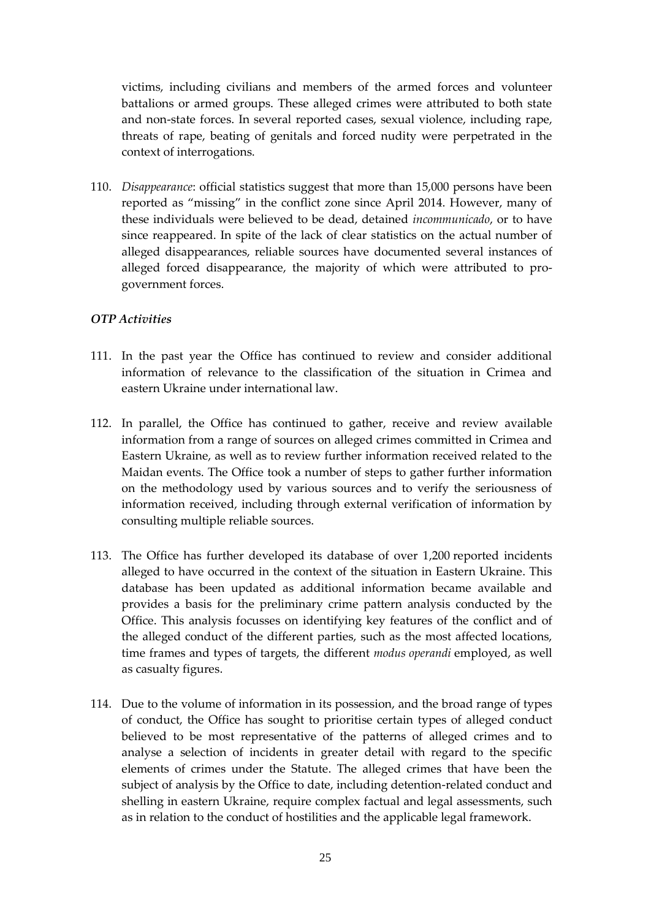victims, including civilians and members of the armed forces and volunteer battalions or armed groups. These alleged crimes were attributed to both state and non-state forces. In several reported cases, sexual violence, including rape, threats of rape, beating of genitals and forced nudity were perpetrated in the context of interrogations.

110. *Disappearance*: official statistics suggest that more than 15,000 persons have been reported as "missing" in the conflict zone since April 2014. However, many of these individuals were believed to be dead, detained *incommunicado*, or to have since reappeared. In spite of the lack of clear statistics on the actual number of alleged disappearances, reliable sources have documented several instances of alleged forced disappearance, the majority of which were attributed to progovernment forces.

### *OTP Activities*

- 111. In the past year the Office has continued to review and consider additional information of relevance to the classification of the situation in Crimea and eastern Ukraine under international law.
- 112. In parallel, the Office has continued to gather, receive and review available information from a range of sources on alleged crimes committed in Crimea and Eastern Ukraine, as well as to review further information received related to the Maidan events. The Office took a number of steps to gather further information on the methodology used by various sources and to verify the seriousness of information received, including through external verification of information by consulting multiple reliable sources.
- 113. The Office has further developed its database of over 1,200 reported incidents alleged to have occurred in the context of the situation in Eastern Ukraine. This database has been updated as additional information became available and provides a basis for the preliminary crime pattern analysis conducted by the Office. This analysis focusses on identifying key features of the conflict and of the alleged conduct of the different parties, such as the most affected locations, time frames and types of targets, the different *modus operandi* employed, as well as casualty figures.
- 114. Due to the volume of information in its possession, and the broad range of types of conduct, the Office has sought to prioritise certain types of alleged conduct believed to be most representative of the patterns of alleged crimes and to analyse a selection of incidents in greater detail with regard to the specific elements of crimes under the Statute. The alleged crimes that have been the subject of analysis by the Office to date, including detention-related conduct and shelling in eastern Ukraine, require complex factual and legal assessments, such as in relation to the conduct of hostilities and the applicable legal framework.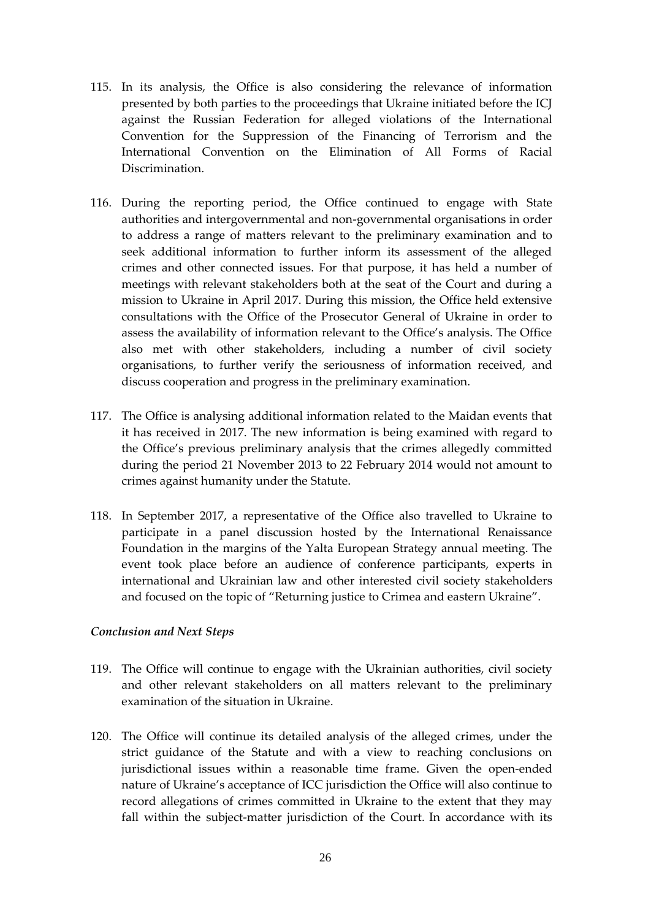- 115. In its analysis, the Office is also considering the relevance of information presented by both parties to the proceedings that Ukraine initiated before the ICJ against the Russian Federation for alleged violations of the International Convention for the Suppression of the Financing of Terrorism and the International Convention on the Elimination of All Forms of Racial Discrimination.
- 116. During the reporting period, the Office continued to engage with State authorities and intergovernmental and non-governmental organisations in order to address a range of matters relevant to the preliminary examination and to seek additional information to further inform its assessment of the alleged crimes and other connected issues. For that purpose, it has held a number of meetings with relevant stakeholders both at the seat of the Court and during a mission to Ukraine in April 2017. During this mission, the Office held extensive consultations with the Office of the Prosecutor General of Ukraine in order to assess the availability of information relevant to the Office's analysis. The Office also met with other stakeholders, including a number of civil society organisations, to further verify the seriousness of information received, and discuss cooperation and progress in the preliminary examination.
- 117. The Office is analysing additional information related to the Maidan events that it has received in 2017. The new information is being examined with regard to the Office's previous preliminary analysis that the crimes allegedly committed during the period 21 November 2013 to 22 February 2014 would not amount to crimes against humanity under the Statute.
- 118. In September 2017, a representative of the Office also travelled to Ukraine to participate in a panel discussion hosted by the International Renaissance Foundation in the margins of the Yalta European Strategy annual meeting. The event took place before an audience of conference participants, experts in international and Ukrainian law and other interested civil society stakeholders and focused on the topic of "Returning justice to Crimea and eastern Ukraine".

### *Conclusion and Next Steps*

- 119. The Office will continue to engage with the Ukrainian authorities, civil society and other relevant stakeholders on all matters relevant to the preliminary examination of the situation in Ukraine.
- 120. The Office will continue its detailed analysis of the alleged crimes, under the strict guidance of the Statute and with a view to reaching conclusions on jurisdictional issues within a reasonable time frame. Given the open-ended nature of Ukraine's acceptance of ICC jurisdiction the Office will also continue to record allegations of crimes committed in Ukraine to the extent that they may fall within the subject-matter jurisdiction of the Court. In accordance with its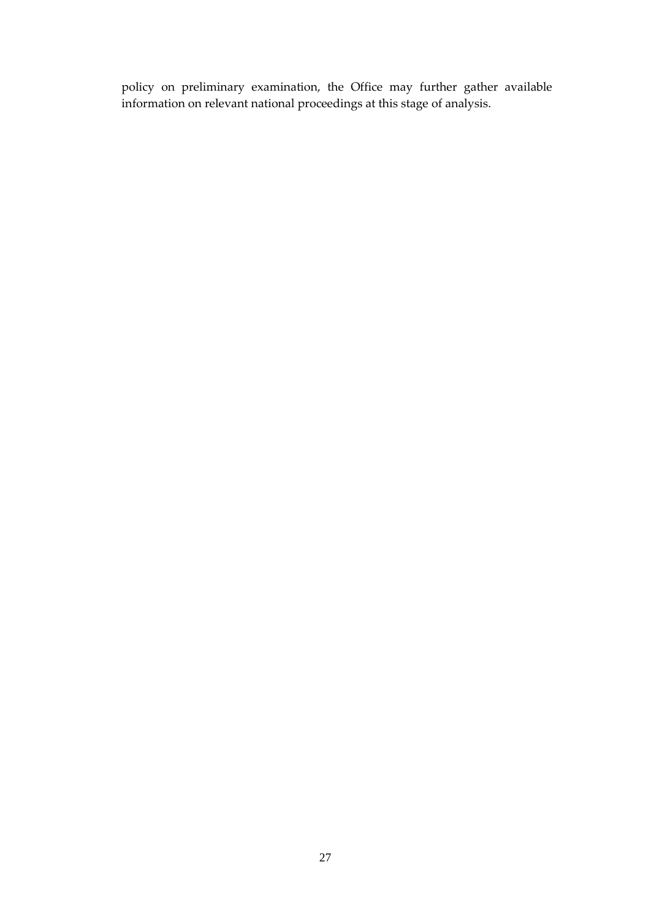policy on preliminary examination, the Office may further gather available information on relevant national proceedings at this stage of analysis.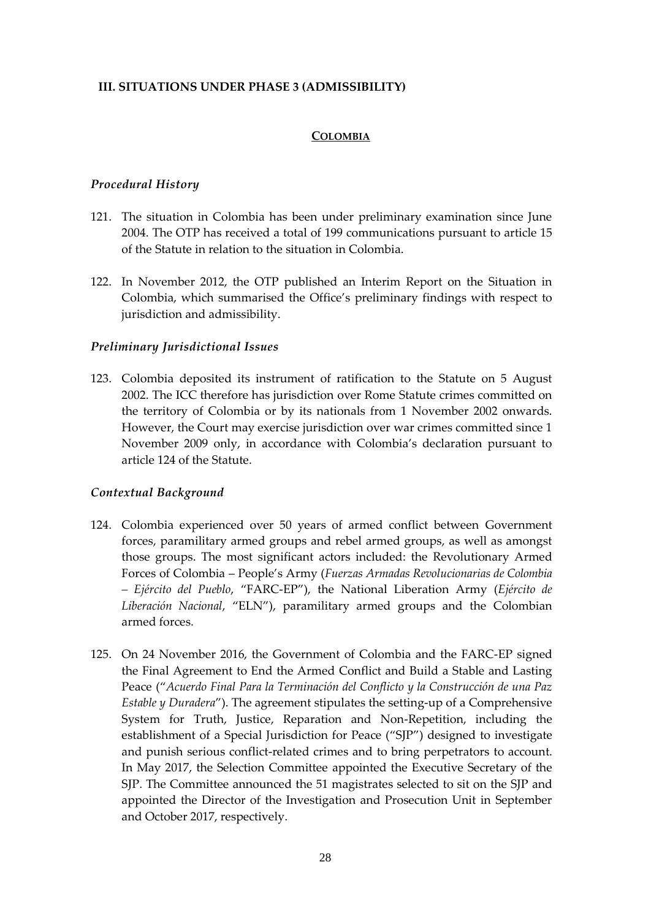### <span id="page-29-1"></span><span id="page-29-0"></span>**III. SITUATIONS UNDER PHASE 3 (ADMISSIBILITY)**

#### **COLOMBIA**

#### *Procedural History*

- 121. The situation in Colombia has been under preliminary examination since June 2004. The OTP has received a total of 199 communications pursuant to article 15 of the Statute in relation to the situation in Colombia.
- 122. In November 2012, the OTP published an Interim Report on the Situation in Colombia, which summarised the Office's preliminary findings with respect to jurisdiction and admissibility.

#### *Preliminary Jurisdictional Issues*

123. Colombia deposited its instrument of ratification to the Statute on 5 August 2002. The ICC therefore has jurisdiction over Rome Statute crimes committed on the territory of Colombia or by its nationals from 1 November 2002 onwards. However, the Court may exercise jurisdiction over war crimes committed since 1 November 2009 only, in accordance with Colombia's declaration pursuant to article 124 of the Statute.

#### *Contextual Background*

- 124. Colombia experienced over 50 years of armed conflict between Government forces, paramilitary armed groups and rebel armed groups, as well as amongst those groups. The most significant actors included: the Revolutionary Armed Forces of Colombia – People's Army (*Fuerzas Armadas Revolucionarias de Colombia – Ejército del Pueblo*, "FARC-EP"), the National Liberation Army (*Ejército de Liberación Nacional*, "ELN"), paramilitary armed groups and the Colombian armed forces.
- 125. On 24 November 2016, the Government of Colombia and the FARC-EP signed the Final Agreement to End the Armed Conflict and Build a Stable and Lasting Peace ("*Acuerdo Final Para la Terminación del Conflicto y la Construcción de una Paz Estable y Duradera*"). The agreement stipulates the setting-up of a Comprehensive System for Truth, Justice, Reparation and Non-Repetition, including the establishment of a Special Jurisdiction for Peace ("SJP") designed to investigate and punish serious conflict-related crimes and to bring perpetrators to account. In May 2017, the Selection Committee appointed the Executive Secretary of the SJP. The Committee announced the 51 magistrates selected to sit on the SJP and appointed the Director of the Investigation and Prosecution Unit in September and October 2017, respectively.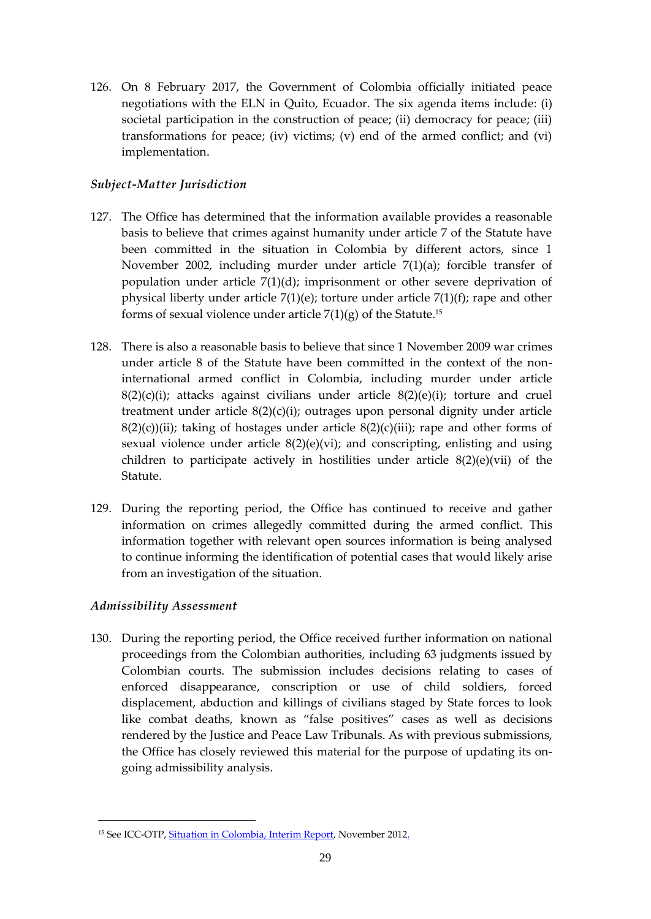126. On 8 February 2017, the Government of Colombia officially initiated peace negotiations with the ELN in Quito, Ecuador. The six agenda items include: (i) societal participation in the construction of peace; (ii) democracy for peace; (iii) transformations for peace; (iv) victims; (v) end of the armed conflict; and (vi) implementation.

# *Subject-Matter Jurisdiction*

- 127. The Office has determined that the information available provides a reasonable basis to believe that crimes against humanity under article 7 of the Statute have been committed in the situation in Colombia by different actors, since 1 November 2002, including murder under article  $7(1)(a)$ ; forcible transfer of population under article 7(1)(d); imprisonment or other severe deprivation of physical liberty under article 7(1)(e); torture under article 7(1)(f); rape and other forms of sexual violence under article  $7(1)(g)$  of the Statute.<sup>15</sup>
- 128. There is also a reasonable basis to believe that since 1 November 2009 war crimes under article 8 of the Statute have been committed in the context of the noninternational armed conflict in Colombia, including murder under article  $8(2)(c)(i)$ ; attacks against civilians under article  $8(2)(e)(i)$ ; torture and cruel treatment under article 8(2)(c)(i); outrages upon personal dignity under article  $8(2)(c)$ (ii); taking of hostages under article  $8(2)(c)$ (iii); rape and other forms of sexual violence under article  $8(2)(e)(vi)$ ; and conscripting, enlisting and using children to participate actively in hostilities under article 8(2)(e)(vii) of the Statute.
- 129. During the reporting period, the Office has continued to receive and gather information on crimes allegedly committed during the armed conflict. This information together with relevant open sources information is being analysed to continue informing the identification of potential cases that would likely arise from an investigation of the situation.

# *Admissibility Assessment*

<u>.</u>

130. During the reporting period, the Office received further information on national proceedings from the Colombian authorities, including 63 judgments issued by Colombian courts. The submission includes decisions relating to cases of enforced disappearance, conscription or use of child soldiers, forced displacement, abduction and killings of civilians staged by State forces to look like combat deaths, known as "false positives" cases as well as decisions rendered by the Justice and Peace Law Tribunals. As with previous submissions, the Office has closely reviewed this material for the purpose of updating its ongoing admissibility analysis.

<sup>&</sup>lt;sup>15</sup> See ICC-OTP, **Situation in Colombia, Interim Report**, November 2012.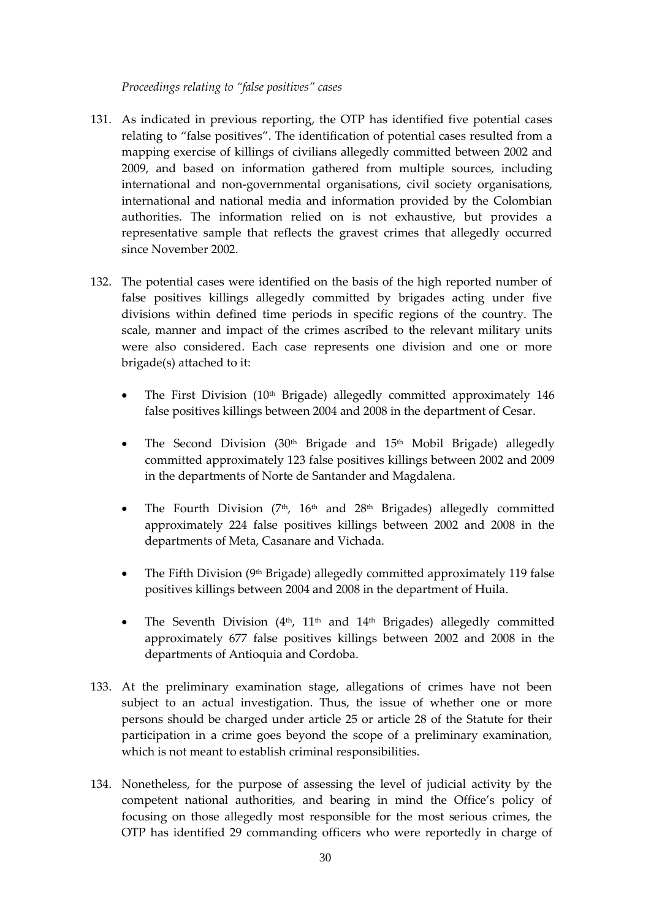#### *Proceedings relating to "false positives" cases*

- 131. As indicated in previous reporting, the OTP has identified five potential cases relating to "false positives". The identification of potential cases resulted from a mapping exercise of killings of civilians allegedly committed between 2002 and 2009, and based on information gathered from multiple sources, including international and non-governmental organisations, civil society organisations, international and national media and information provided by the Colombian authorities. The information relied on is not exhaustive, but provides a representative sample that reflects the gravest crimes that allegedly occurred since November 2002.
- 132. The potential cases were identified on the basis of the high reported number of false positives killings allegedly committed by brigades acting under five divisions within defined time periods in specific regions of the country. The scale, manner and impact of the crimes ascribed to the relevant military units were also considered. Each case represents one division and one or more brigade(s) attached to it:
	- The First Division  $(10<sup>th</sup>$  Brigade) allegedly committed approximately 146 false positives killings between 2004 and 2008 in the department of Cesar.
	- The Second Division  $(30<sup>th</sup>$  Brigade and  $15<sup>th</sup>$  Mobil Brigade) allegedly committed approximately 123 false positives killings between 2002 and 2009 in the departments of Norte de Santander and Magdalena.
	- The Fourth Division  $(7<sup>th</sup>, 16<sup>th</sup>$  and  $28<sup>th</sup>$  Brigades) allegedly committed approximately 224 false positives killings between 2002 and 2008 in the departments of Meta, Casanare and Vichada.
	- The Fifth Division ( $9<sup>th</sup>$  Brigade) allegedly committed approximately 119 false positives killings between 2004 and 2008 in the department of Huila.
	- The Seventh Division  $(4<sup>th</sup>, 11<sup>th</sup>$  and  $14<sup>th</sup>$  Brigades) allegedly committed approximately 677 false positives killings between 2002 and 2008 in the departments of Antioquia and Cordoba.
- 133. At the preliminary examination stage, allegations of crimes have not been subject to an actual investigation. Thus, the issue of whether one or more persons should be charged under article 25 or article 28 of the Statute for their participation in a crime goes beyond the scope of a preliminary examination, which is not meant to establish criminal responsibilities.
- 134. Nonetheless, for the purpose of assessing the level of judicial activity by the competent national authorities, and bearing in mind the Office's policy of focusing on those allegedly most responsible for the most serious crimes, the OTP has identified 29 commanding officers who were reportedly in charge of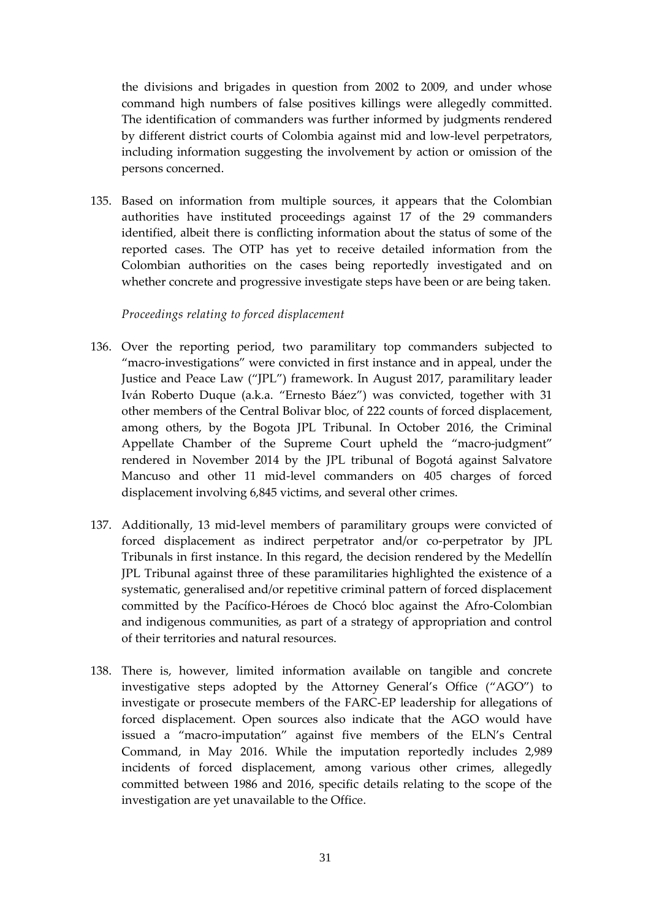the divisions and brigades in question from 2002 to 2009, and under whose command high numbers of false positives killings were allegedly committed. The identification of commanders was further informed by judgments rendered by different district courts of Colombia against mid and low-level perpetrators, including information suggesting the involvement by action or omission of the persons concerned.

135. Based on information from multiple sources, it appears that the Colombian authorities have instituted proceedings against 17 of the 29 commanders identified, albeit there is conflicting information about the status of some of the reported cases. The OTP has yet to receive detailed information from the Colombian authorities on the cases being reportedly investigated and on whether concrete and progressive investigate steps have been or are being taken.

#### *Proceedings relating to forced displacement*

- 136. Over the reporting period, two paramilitary top commanders subjected to "macro-investigations" were convicted in first instance and in appeal, under the Justice and Peace Law ("JPL") framework. In August 2017, paramilitary leader Iván Roberto Duque (a.k.a. "Ernesto Báez") was convicted, together with 31 other members of the Central Bolivar bloc, of 222 counts of forced displacement, among others, by the Bogota JPL Tribunal. In October 2016, the Criminal Appellate Chamber of the Supreme Court upheld the "macro-judgment" rendered in November 2014 by the JPL tribunal of Bogotá against Salvatore Mancuso and other 11 mid-level commanders on 405 charges of forced displacement involving 6,845 victims, and several other crimes.
- 137. Additionally, 13 mid-level members of paramilitary groups were convicted of forced displacement as indirect perpetrator and/or co-perpetrator by JPL Tribunals in first instance. In this regard, the decision rendered by the Medellín JPL Tribunal against three of these paramilitaries highlighted the existence of a systematic, generalised and/or repetitive criminal pattern of forced displacement committed by the Pacífico-Héroes de Chocó bloc against the Afro-Colombian and indigenous communities, as part of a strategy of appropriation and control of their territories and natural resources.
- 138. There is, however, limited information available on tangible and concrete investigative steps adopted by the Attorney General's Office ("AGO") to investigate or prosecute members of the FARC-EP leadership for allegations of forced displacement. Open sources also indicate that the AGO would have issued a "macro-imputation" against five members of the ELN's Central Command, in May 2016. While the imputation reportedly includes 2,989 incidents of forced displacement, among various other crimes, allegedly committed between 1986 and 2016, specific details relating to the scope of the investigation are yet unavailable to the Office.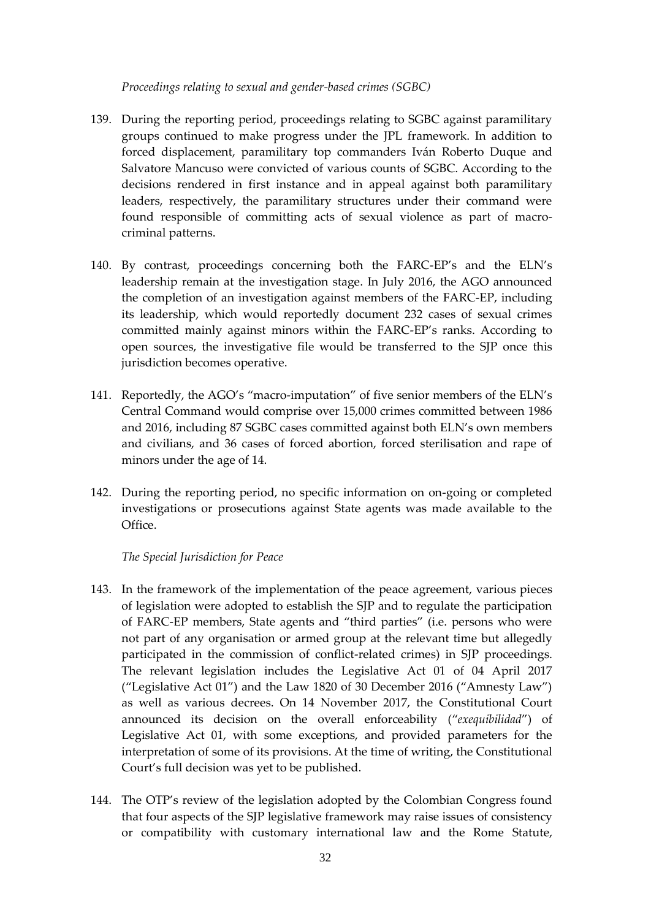#### *Proceedings relating to sexual and gender-based crimes (SGBC)*

- 139. During the reporting period, proceedings relating to SGBC against paramilitary groups continued to make progress under the JPL framework. In addition to forced displacement, paramilitary top commanders Iván Roberto Duque and Salvatore Mancuso were convicted of various counts of SGBC. According to the decisions rendered in first instance and in appeal against both paramilitary leaders, respectively, the paramilitary structures under their command were found responsible of committing acts of sexual violence as part of macrocriminal patterns.
- 140. By contrast, proceedings concerning both the FARC-EP's and the ELN's leadership remain at the investigation stage. In July 2016, the AGO announced the completion of an investigation against members of the FARC-EP, including its leadership, which would reportedly document 232 cases of sexual crimes committed mainly against minors within the FARC-EP's ranks. According to open sources, the investigative file would be transferred to the SJP once this jurisdiction becomes operative.
- 141. Reportedly, the AGO's "macro-imputation" of five senior members of the ELN's Central Command would comprise over 15,000 crimes committed between 1986 and 2016, including 87 SGBC cases committed against both ELN's own members and civilians, and 36 cases of forced abortion, forced sterilisation and rape of minors under the age of 14.
- 142. During the reporting period, no specific information on on-going or completed investigations or prosecutions against State agents was made available to the Office.

### *The Special Jurisdiction for Peace*

- 143. In the framework of the implementation of the peace agreement, various pieces of legislation were adopted to establish the SJP and to regulate the participation of FARC-EP members, State agents and "third parties" (i.e. persons who were not part of any organisation or armed group at the relevant time but allegedly participated in the commission of conflict-related crimes) in SJP proceedings. The relevant legislation includes the Legislative Act 01 of 04 April 2017 ("Legislative Act 01") and the Law 1820 of 30 December 2016 ("Amnesty Law") as well as various decrees. On 14 November 2017, the Constitutional Court announced its decision on the overall enforceability ("*exequibilidad*") of Legislative Act 01, with some exceptions, and provided parameters for the interpretation of some of its provisions. At the time of writing, the Constitutional Court's full decision was yet to be published.
- 144. The OTP's review of the legislation adopted by the Colombian Congress found that four aspects of the SJP legislative framework may raise issues of consistency or compatibility with customary international law and the Rome Statute,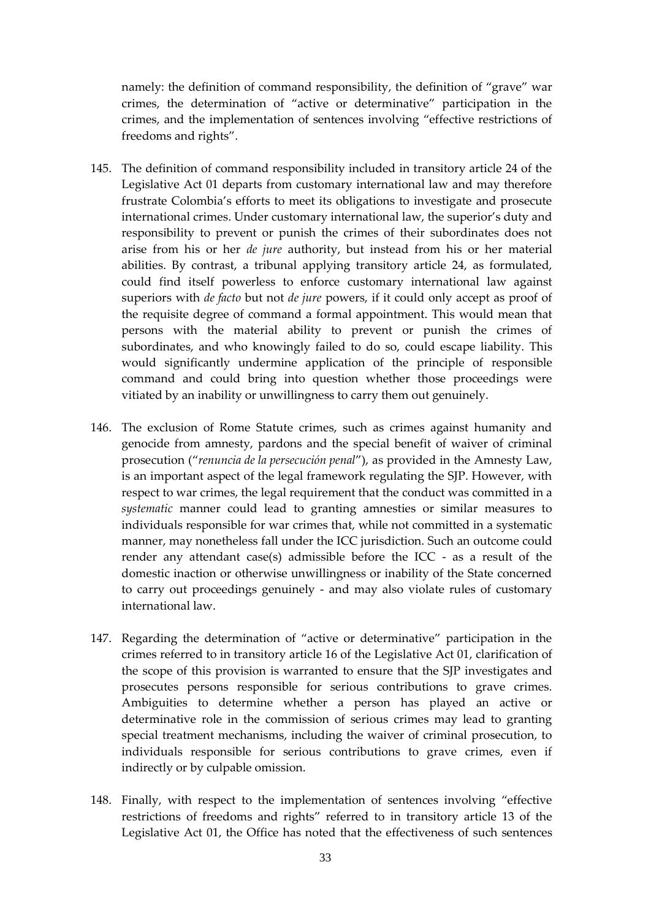namely: the definition of command responsibility, the definition of "grave" war crimes, the determination of "active or determinative" participation in the crimes, and the implementation of sentences involving "effective restrictions of freedoms and rights".

- 145. The definition of command responsibility included in transitory article 24 of the Legislative Act 01 departs from customary international law and may therefore frustrate Colombia's efforts to meet its obligations to investigate and prosecute international crimes. Under customary international law, the superior's duty and responsibility to prevent or punish the crimes of their subordinates does not arise from his or her *de jure* authority, but instead from his or her material abilities. By contrast, a tribunal applying transitory article 24, as formulated, could find itself powerless to enforce customary international law against superiors with *de facto* but not *de jure* powers, if it could only accept as proof of the requisite degree of command a formal appointment. This would mean that persons with the material ability to prevent or punish the crimes of subordinates, and who knowingly failed to do so, could escape liability. This would significantly undermine application of the principle of responsible command and could bring into question whether those proceedings were vitiated by an inability or unwillingness to carry them out genuinely.
- 146. The exclusion of Rome Statute crimes, such as crimes against humanity and genocide from amnesty, pardons and the special benefit of waiver of criminal prosecution ("*renuncia de la persecución penal*"), as provided in the Amnesty Law, is an important aspect of the legal framework regulating the SJP. However, with respect to war crimes, the legal requirement that the conduct was committed in a *systematic* manner could lead to granting amnesties or similar measures to individuals responsible for war crimes that, while not committed in a systematic manner, may nonetheless fall under the ICC jurisdiction. Such an outcome could render any attendant case(s) admissible before the ICC - as a result of the domestic inaction or otherwise unwillingness or inability of the State concerned to carry out proceedings genuinely - and may also violate rules of customary international law.
- 147. Regarding the determination of "active or determinative" participation in the crimes referred to in transitory article 16 of the Legislative Act 01, clarification of the scope of this provision is warranted to ensure that the SJP investigates and prosecutes persons responsible for serious contributions to grave crimes. Ambiguities to determine whether a person has played an active or determinative role in the commission of serious crimes may lead to granting special treatment mechanisms, including the waiver of criminal prosecution, to individuals responsible for serious contributions to grave crimes, even if indirectly or by culpable omission.
- 148. Finally, with respect to the implementation of sentences involving "effective restrictions of freedoms and rights" referred to in transitory article 13 of the Legislative Act 01, the Office has noted that the effectiveness of such sentences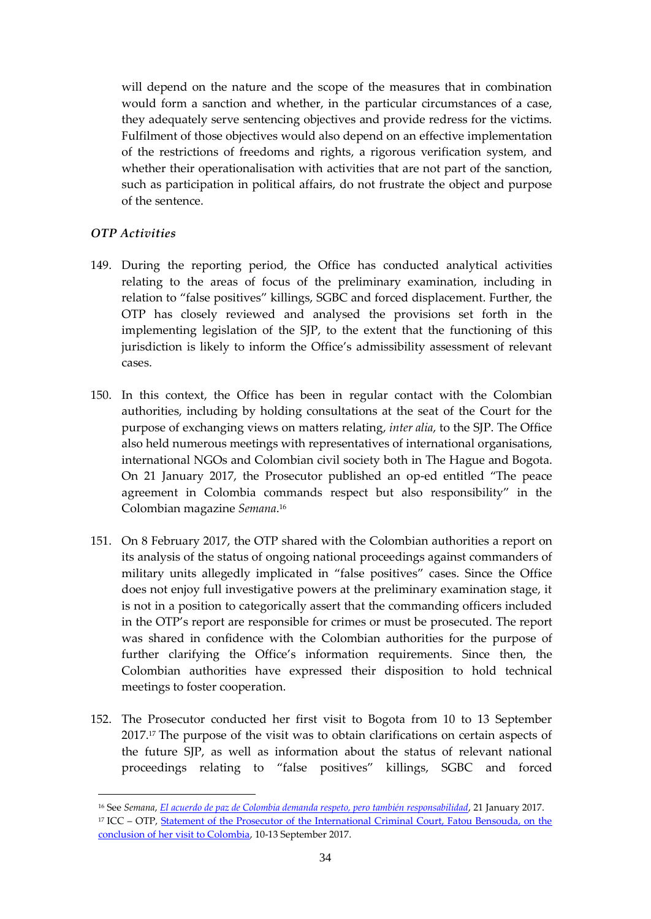will depend on the nature and the scope of the measures that in combination would form a sanction and whether, in the particular circumstances of a case, they adequately serve sentencing objectives and provide redress for the victims. Fulfilment of those objectives would also depend on an effective implementation of the restrictions of freedoms and rights, a rigorous verification system, and whether their operationalisation with activities that are not part of the sanction, such as participation in political affairs, do not frustrate the object and purpose of the sentence.

# *OTP Activities*

- 149. During the reporting period, the Office has conducted analytical activities relating to the areas of focus of the preliminary examination, including in relation to "false positives" killings, SGBC and forced displacement. Further, the OTP has closely reviewed and analysed the provisions set forth in the implementing legislation of the SJP, to the extent that the functioning of this jurisdiction is likely to inform the Office's admissibility assessment of relevant cases.
- 150. In this context, the Office has been in regular contact with the Colombian authorities, including by holding consultations at the seat of the Court for the purpose of exchanging views on matters relating, *inter alia*, to the SJP. The Office also held numerous meetings with representatives of international organisations, international NGOs and Colombian civil society both in The Hague and Bogota. On 21 January 2017, the Prosecutor published an op-ed entitled "The peace agreement in Colombia commands respect but also responsibility" in the Colombian magazine *Semana*. 16
- 151. On 8 February 2017, the OTP shared with the Colombian authorities a report on its analysis of the status of ongoing national proceedings against commanders of military units allegedly implicated in "false positives" cases. Since the Office does not enjoy full investigative powers at the preliminary examination stage, it is not in a position to categorically assert that the commanding officers included in the OTP's report are responsible for crimes or must be prosecuted. The report was shared in confidence with the Colombian authorities for the purpose of further clarifying the Office's information requirements. Since then, the Colombian authorities have expressed their disposition to hold technical meetings to foster cooperation.
- 152. The Prosecutor conducted her first visit to Bogota from 10 to 13 September 2017.<sup>17</sup> The purpose of the visit was to obtain clarifications on certain aspects of the future SJP, as well as information about the status of relevant national proceedings relating to "false positives" killings, SGBC and forced

<sup>16</sup> See *Semana*, *[El acuerdo de paz de Colombia demanda respeto, pero también responsabilidad](http://www.semana.com/nacion/articulo/deseo-corte-penal-internacional-justicia-transicional-en-colombia/512820)*, 21 January 2017. <sup>17</sup> ICC – OTP, Statement of the Prosecutor of the International Criminal Court, Fatou Bensouda, on the [conclusion of her visit to Colombia,](https://www.icc-cpi.int/Pages/item.aspx?name=170913-otp-stat-colombia) 10-13 September 2017.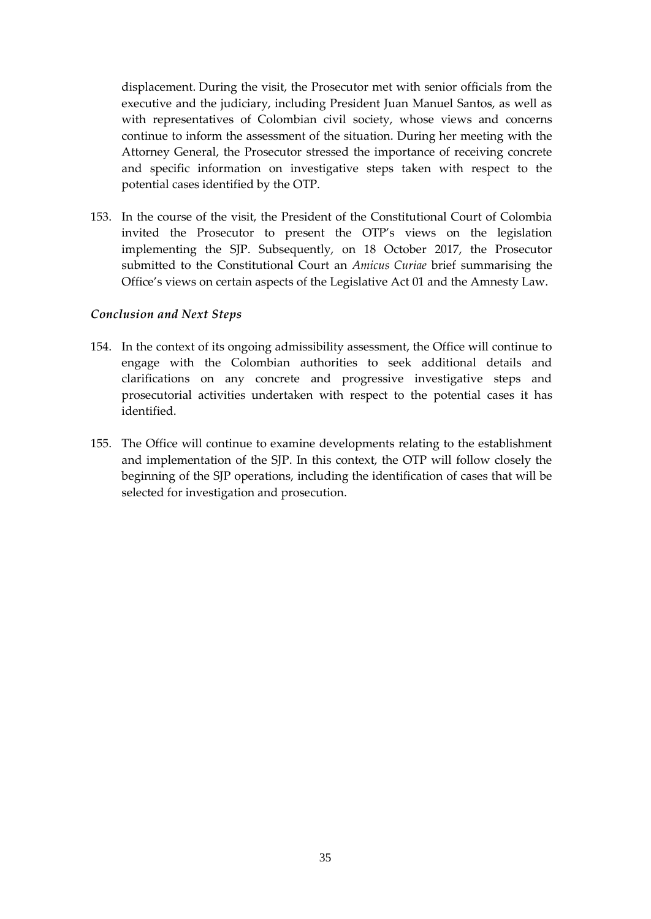displacement. During the visit, the Prosecutor met with senior officials from the executive and the judiciary, including President Juan Manuel Santos, as well as with representatives of Colombian civil society, whose views and concerns continue to inform the assessment of the situation. During her meeting with the Attorney General, the Prosecutor stressed the importance of receiving concrete and specific information on investigative steps taken with respect to the potential cases identified by the OTP.

153. In the course of the visit, the President of the Constitutional Court of Colombia invited the Prosecutor to present the OTP's views on the legislation implementing the SJP. Subsequently, on 18 October 2017, the Prosecutor submitted to the Constitutional Court an *Amicus Curiae* brief summarising the Office's views on certain aspects of the Legislative Act 01 and the Amnesty Law.

## *Conclusion and Next Steps*

- 154. In the context of its ongoing admissibility assessment, the Office will continue to engage with the Colombian authorities to seek additional details and clarifications on any concrete and progressive investigative steps and prosecutorial activities undertaken with respect to the potential cases it has identified.
- 155. The Office will continue to examine developments relating to the establishment and implementation of the SJP. In this context, the OTP will follow closely the beginning of the SJP operations, including the identification of cases that will be selected for investigation and prosecution.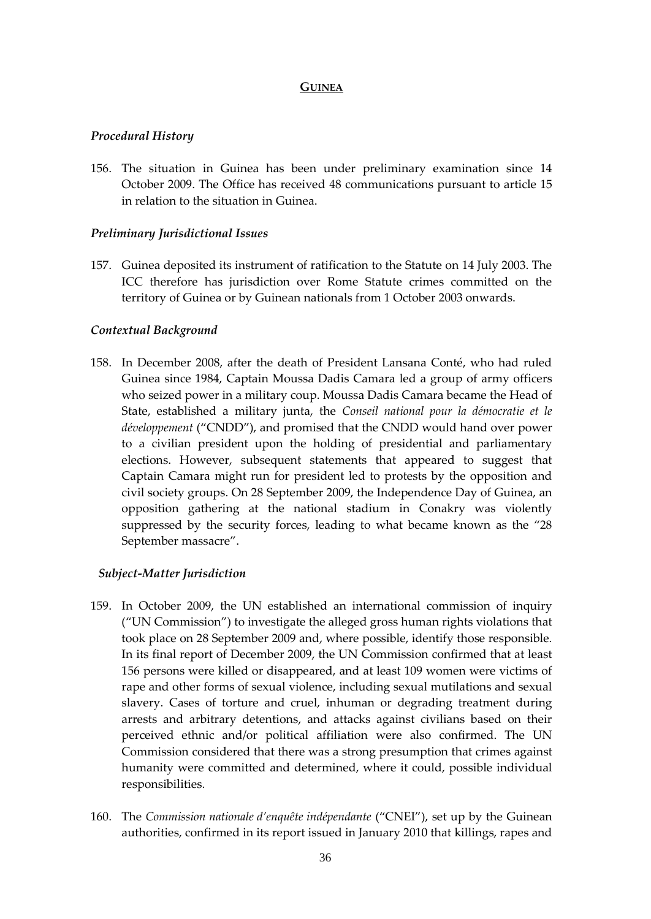#### **GUINEA**

#### *Procedural History*

156. The situation in Guinea has been under preliminary examination since 14 October 2009. The Office has received 48 communications pursuant to article 15 in relation to the situation in Guinea.

#### *Preliminary Jurisdictional Issues*

157. Guinea deposited its instrument of ratification to the Statute on 14 July 2003. The ICC therefore has jurisdiction over Rome Statute crimes committed on the territory of Guinea or by Guinean nationals from 1 October 2003 onwards.

#### *Contextual Background*

158. In December 2008, after the death of President Lansana Conté, who had ruled Guinea since 1984, Captain Moussa Dadis Camara led a group of army officers who seized power in a military coup. Moussa Dadis Camara became the Head of State, established a military junta, the *Conseil national pour la démocratie et le développement* ("CNDD"), and promised that the CNDD would hand over power to a civilian president upon the holding of presidential and parliamentary elections. However, subsequent statements that appeared to suggest that Captain Camara might run for president led to protests by the opposition and civil society groups. On 28 September 2009, the Independence Day of Guinea, an opposition gathering at the national stadium in Conakry was violently suppressed by the security forces, leading to what became known as the "28 September massacre".

## *Subject-Matter Jurisdiction*

- 159. In October 2009, the UN established an international commission of inquiry ("UN Commission") to investigate the alleged gross human rights violations that took place on 28 September 2009 and, where possible, identify those responsible. In its final report of December 2009, the UN Commission confirmed that at least 156 persons were killed or disappeared, and at least 109 women were victims of rape and other forms of sexual violence, including sexual mutilations and sexual slavery. Cases of torture and cruel, inhuman or degrading treatment during arrests and arbitrary detentions, and attacks against civilians based on their perceived ethnic and/or political affiliation were also confirmed. The UN Commission considered that there was a strong presumption that crimes against humanity were committed and determined, where it could, possible individual responsibilities.
- 160. The *Commission nationale d'enquête indépendante* ("CNEI"), set up by the Guinean authorities, confirmed in its report issued in January 2010 that killings, rapes and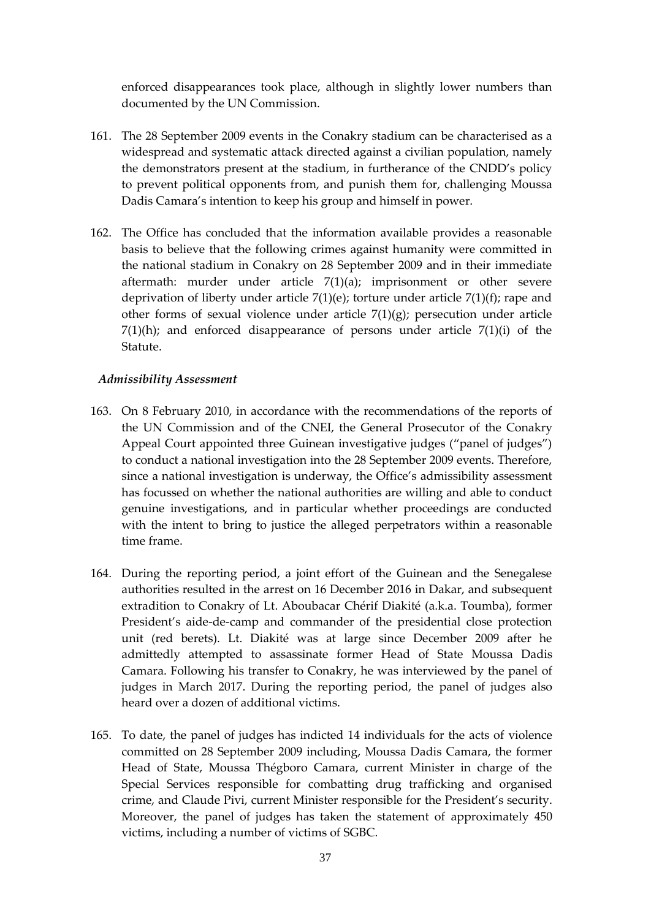enforced disappearances took place, although in slightly lower numbers than documented by the UN Commission.

- 161. The 28 September 2009 events in the Conakry stadium can be characterised as a widespread and systematic attack directed against a civilian population, namely the demonstrators present at the stadium, in furtherance of the CNDD's policy to prevent political opponents from, and punish them for, challenging Moussa Dadis Camara's intention to keep his group and himself in power.
- 162. The Office has concluded that the information available provides a reasonable basis to believe that the following crimes against humanity were committed in the national stadium in Conakry on 28 September 2009 and in their immediate aftermath: murder under article 7(1)(a); imprisonment or other severe deprivation of liberty under article 7(1)(e); torture under article 7(1)(f); rape and other forms of sexual violence under article  $7(1)(g)$ ; persecution under article  $7(1)(h)$ ; and enforced disappearance of persons under article  $7(1)(i)$  of the Statute.

## *Admissibility Assessment*

- 163. On 8 February 2010, in accordance with the recommendations of the reports of the UN Commission and of the CNEI, the General Prosecutor of the Conakry Appeal Court appointed three Guinean investigative judges ("panel of judges") to conduct a national investigation into the 28 September 2009 events. Therefore, since a national investigation is underway, the Office's admissibility assessment has focussed on whether the national authorities are willing and able to conduct genuine investigations, and in particular whether proceedings are conducted with the intent to bring to justice the alleged perpetrators within a reasonable time frame.
- 164. During the reporting period, a joint effort of the Guinean and the Senegalese authorities resulted in the arrest on 16 December 2016 in Dakar, and subsequent extradition to Conakry of Lt. Aboubacar Chérif Diakité (a.k.a. Toumba), former President's aide-de-camp and commander of the presidential close protection unit (red berets). Lt. Diakité was at large since December 2009 after he admittedly attempted to assassinate former Head of State Moussa Dadis Camara. Following his transfer to Conakry, he was interviewed by the panel of judges in March 2017. During the reporting period, the panel of judges also heard over a dozen of additional victims.
- 165. To date, the panel of judges has indicted 14 individuals for the acts of violence committed on 28 September 2009 including, Moussa Dadis Camara, the former Head of State, Moussa Thégboro Camara, current Minister in charge of the Special Services responsible for combatting drug trafficking and organised crime, and Claude Pivi, current Minister responsible for the President's security. Moreover, the panel of judges has taken the statement of approximately 450 victims, including a number of victims of SGBC.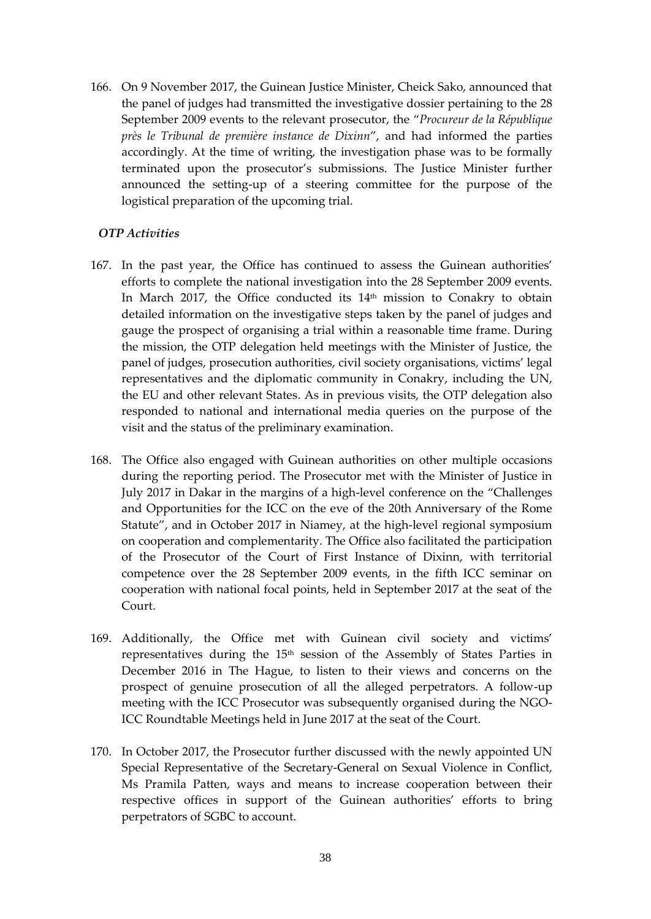166. On 9 November 2017, the Guinean Justice Minister, Cheick Sako, announced that the panel of judges had transmitted the investigative dossier pertaining to the 28 September 2009 events to the relevant prosecutor, the "*Procureur de la République près le Tribunal de première instance de Dixinn*", and had informed the parties accordingly. At the time of writing, the investigation phase was to be formally terminated upon the prosecutor's submissions. The Justice Minister further announced the setting-up of a steering committee for the purpose of the logistical preparation of the upcoming trial.

# *OTP Activities*

- 167. In the past year, the Office has continued to assess the Guinean authorities' efforts to complete the national investigation into the 28 September 2009 events. In March 2017, the Office conducted its 14<sup>th</sup> mission to Conakry to obtain detailed information on the investigative steps taken by the panel of judges and gauge the prospect of organising a trial within a reasonable time frame. During the mission, the OTP delegation held meetings with the Minister of Justice, the panel of judges, prosecution authorities, civil society organisations, victims' legal representatives and the diplomatic community in Conakry, including the UN, the EU and other relevant States. As in previous visits, the OTP delegation also responded to national and international media queries on the purpose of the visit and the status of the preliminary examination.
- 168. The Office also engaged with Guinean authorities on other multiple occasions during the reporting period. The Prosecutor met with the Minister of Justice in July 2017 in Dakar in the margins of a high-level conference on the "Challenges and Opportunities for the ICC on the eve of the 20th Anniversary of the Rome Statute", and in October 2017 in Niamey, at the high-level regional symposium on cooperation and complementarity. The Office also facilitated the participation of the Prosecutor of the Court of First Instance of Dixinn, with territorial competence over the 28 September 2009 events, in the fifth ICC seminar on cooperation with national focal points, held in September 2017 at the seat of the Court.
- 169. Additionally, the Office met with Guinean civil society and victims' representatives during the 15th session of the Assembly of States Parties in December 2016 in The Hague, to listen to their views and concerns on the prospect of genuine prosecution of all the alleged perpetrators. A follow-up meeting with the ICC Prosecutor was subsequently organised during the NGO-ICC Roundtable Meetings held in June 2017 at the seat of the Court.
- 170. In October 2017, the Prosecutor further discussed with the newly appointed UN Special Representative of the Secretary-General on Sexual Violence in Conflict, Ms Pramila Patten, ways and means to increase cooperation between their respective offices in support of the Guinean authorities' efforts to bring perpetrators of SGBC to account.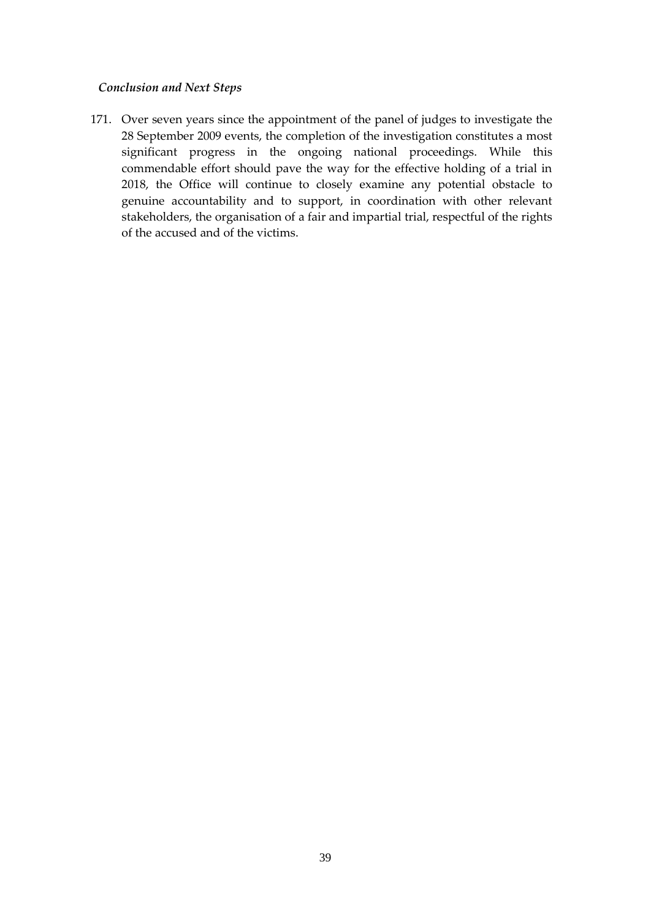## *Conclusion and Next Steps*

171. Over seven years since the appointment of the panel of judges to investigate the 28 September 2009 events, the completion of the investigation constitutes a most significant progress in the ongoing national proceedings. While this commendable effort should pave the way for the effective holding of a trial in 2018, the Office will continue to closely examine any potential obstacle to genuine accountability and to support, in coordination with other relevant stakeholders, the organisation of a fair and impartial trial, respectful of the rights of the accused and of the victims.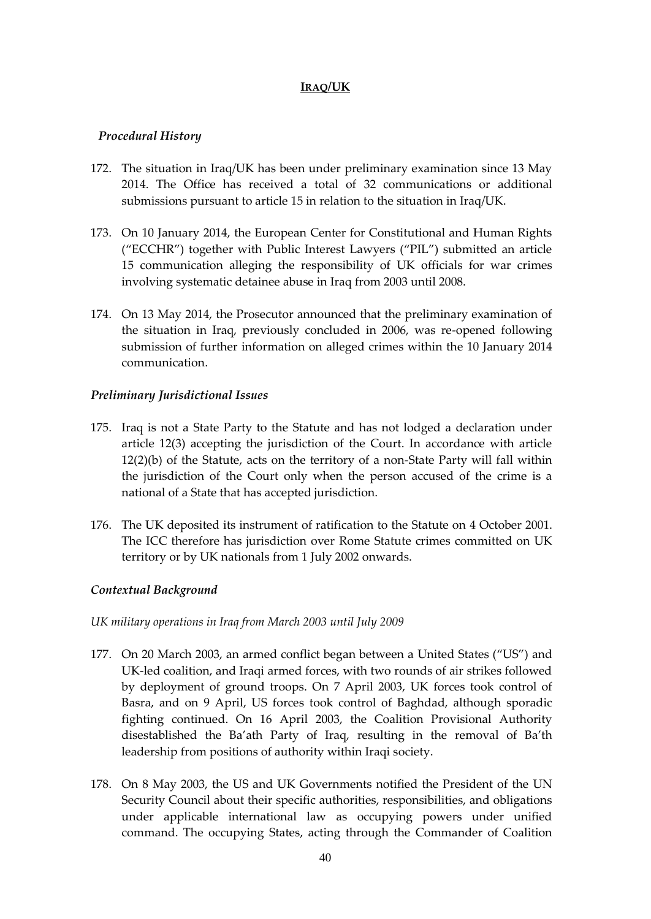## **IRAQ/UK**

## *Procedural History*

- 172. The situation in Iraq/UK has been under preliminary examination since 13 May 2014. The Office has received a total of 32 communications or additional submissions pursuant to article 15 in relation to the situation in Iraq/UK.
- 173. On 10 January 2014, the European Center for Constitutional and Human Rights ("ECCHR") together with Public Interest Lawyers ("PIL") submitted an article 15 communication alleging the responsibility of UK officials for war crimes involving systematic detainee abuse in Iraq from 2003 until 2008.
- 174. On 13 May 2014, the Prosecutor announced that the preliminary examination of the situation in Iraq, previously concluded in 2006, was re-opened following submission of further information on alleged crimes within the 10 January 2014 communication.

# *Preliminary Jurisdictional Issues*

- 175. Iraq is not a State Party to the Statute and has not lodged a declaration under article 12(3) accepting the jurisdiction of the Court. In accordance with article 12(2)(b) of the Statute, acts on the territory of a non-State Party will fall within the jurisdiction of the Court only when the person accused of the crime is a national of a State that has accepted jurisdiction.
- 176. The UK deposited its instrument of ratification to the Statute on 4 October 2001. The ICC therefore has jurisdiction over Rome Statute crimes committed on UK territory or by UK nationals from 1 July 2002 onwards.

# *Contextual Background*

## *UK military operations in Iraq from March 2003 until July 2009*

- 177. On 20 March 2003, an armed conflict began between a United States ("US") and UK-led coalition, and Iraqi armed forces, with two rounds of air strikes followed by deployment of ground troops. On 7 April 2003, UK forces took control of Basra, and on 9 April, US forces took control of Baghdad, although sporadic fighting continued. On 16 April 2003, the Coalition Provisional Authority disestablished the Ba'ath Party of Iraq, resulting in the removal of Ba'th leadership from positions of authority within Iraqi society.
- 178. On 8 May 2003, the US and UK Governments notified the President of the UN Security Council about their specific authorities, responsibilities, and obligations under applicable international law as occupying powers under unified command. The occupying States, acting through the Commander of Coalition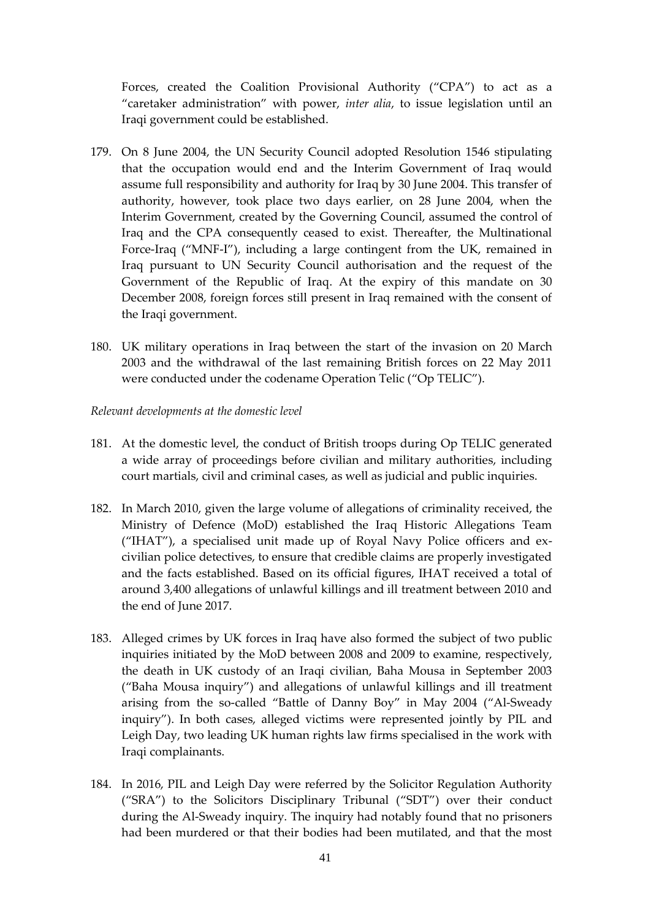Forces, created the Coalition Provisional Authority ("CPA") to act as a "caretaker administration" with power, *inter alia*, to issue legislation until an Iraqi government could be established.

- 179. On 8 June 2004, the UN Security Council adopted Resolution 1546 stipulating that the occupation would end and the Interim Government of Iraq would assume full responsibility and authority for Iraq by 30 June 2004. This transfer of authority, however, took place two days earlier, on 28 June 2004, when the Interim Government, created by the Governing Council, assumed the control of Iraq and the CPA consequently ceased to exist. Thereafter, the Multinational Force-Iraq ("MNF-I"), including a large contingent from the UK, remained in Iraq pursuant to UN Security Council authorisation and the request of the Government of the Republic of Iraq. At the expiry of this mandate on 30 December 2008, foreign forces still present in Iraq remained with the consent of the Iraqi government.
- 180. UK military operations in Iraq between the start of the invasion on 20 March 2003 and the withdrawal of the last remaining British forces on 22 May 2011 were conducted under the codename Operation Telic ("Op TELIC").
- *Relevant developments at the domestic level*
- 181. At the domestic level, the conduct of British troops during Op TELIC generated a wide array of proceedings before civilian and military authorities, including court martials, civil and criminal cases, as well as judicial and public inquiries.
- 182. In March 2010, given the large volume of allegations of criminality received, the Ministry of Defence (MoD) established the Iraq Historic Allegations Team ("IHAT"), a specialised unit made up of Royal Navy Police officers and excivilian police detectives, to ensure that credible claims are properly investigated and the facts established. Based on its official figures, IHAT received a total of around 3,400 allegations of unlawful killings and ill treatment between 2010 and the end of June 2017.
- 183. Alleged crimes by UK forces in Iraq have also formed the subject of two public inquiries initiated by the MoD between 2008 and 2009 to examine, respectively, the death in UK custody of an Iraqi civilian, Baha Mousa in September 2003 ("Baha Mousa inquiry") and allegations of unlawful killings and ill treatment arising from the so-called "Battle of Danny Boy" in May 2004 ("Al-Sweady inquiry"). In both cases, alleged victims were represented jointly by PIL and Leigh Day, two leading UK human rights law firms specialised in the work with Iraqi complainants.
- 184. In 2016, PIL and Leigh Day were referred by the Solicitor Regulation Authority ("SRA") to the Solicitors Disciplinary Tribunal ("SDT") over their conduct during the Al-Sweady inquiry. The inquiry had notably found that no prisoners had been murdered or that their bodies had been mutilated, and that the most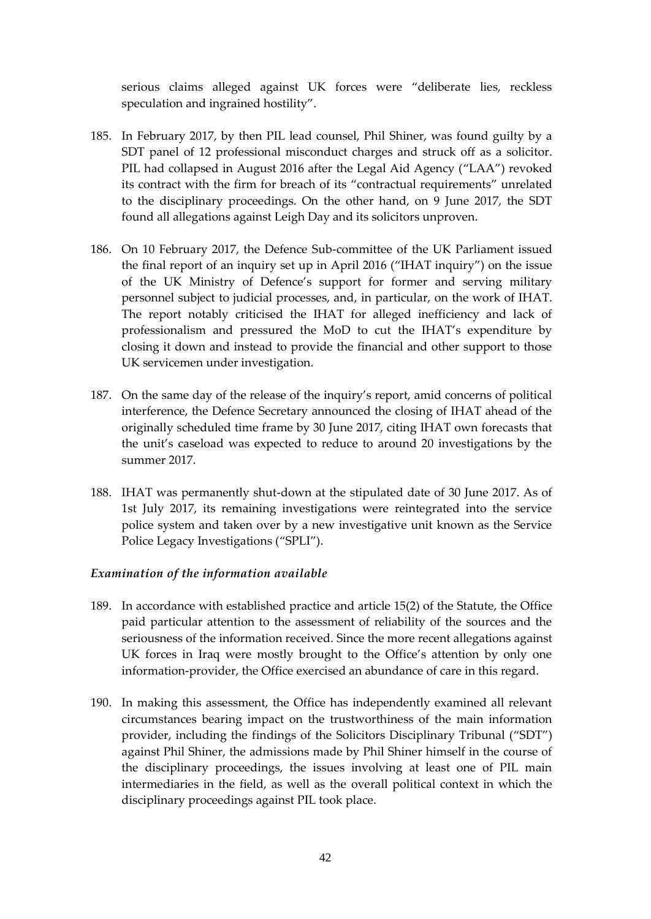serious claims alleged against UK forces were "deliberate lies, reckless speculation and ingrained hostility".

- 185. In February 2017, by then PIL lead counsel, Phil Shiner, was found guilty by a SDT panel of 12 professional misconduct charges and struck off as a solicitor. PIL had collapsed in August 2016 after the Legal Aid Agency ("LAA") revoked its contract with the firm for breach of its "contractual requirements" unrelated to the disciplinary proceedings. On the other hand, on 9 June 2017, the SDT found all allegations against Leigh Day and its solicitors unproven.
- 186. On 10 February 2017, the Defence Sub-committee of the UK Parliament issued the final report of an inquiry set up in April 2016 ("IHAT inquiry") on the issue of the UK Ministry of Defence's support for former and serving military personnel subject to judicial processes, and, in particular, on the work of IHAT. The report notably criticised the IHAT for alleged inefficiency and lack of professionalism and pressured the MoD to cut the IHAT's expenditure by closing it down and instead to provide the financial and other support to those UK servicemen under investigation.
- 187. On the same day of the release of the inquiry's report, amid concerns of political interference, the Defence Secretary announced the closing of IHAT ahead of the originally scheduled time frame by 30 June 2017, citing IHAT own forecasts that the unit's caseload was expected to reduce to around 20 investigations by the summer 2017.
- 188. IHAT was permanently shut-down at the stipulated date of 30 June 2017. As of 1st July 2017, its remaining investigations were reintegrated into the service police system and taken over by a new investigative unit known as the Service Police Legacy Investigations ("SPLI").

## *Examination of the information available*

- 189. In accordance with established practice and article 15(2) of the Statute, the Office paid particular attention to the assessment of reliability of the sources and the seriousness of the information received. Since the more recent allegations against UK forces in Iraq were mostly brought to the Office's attention by only one information-provider, the Office exercised an abundance of care in this regard.
- 190. In making this assessment, the Office has independently examined all relevant circumstances bearing impact on the trustworthiness of the main information provider, including the findings of the Solicitors Disciplinary Tribunal ("SDT") against Phil Shiner, the admissions made by Phil Shiner himself in the course of the disciplinary proceedings, the issues involving at least one of PIL main intermediaries in the field, as well as the overall political context in which the disciplinary proceedings against PIL took place.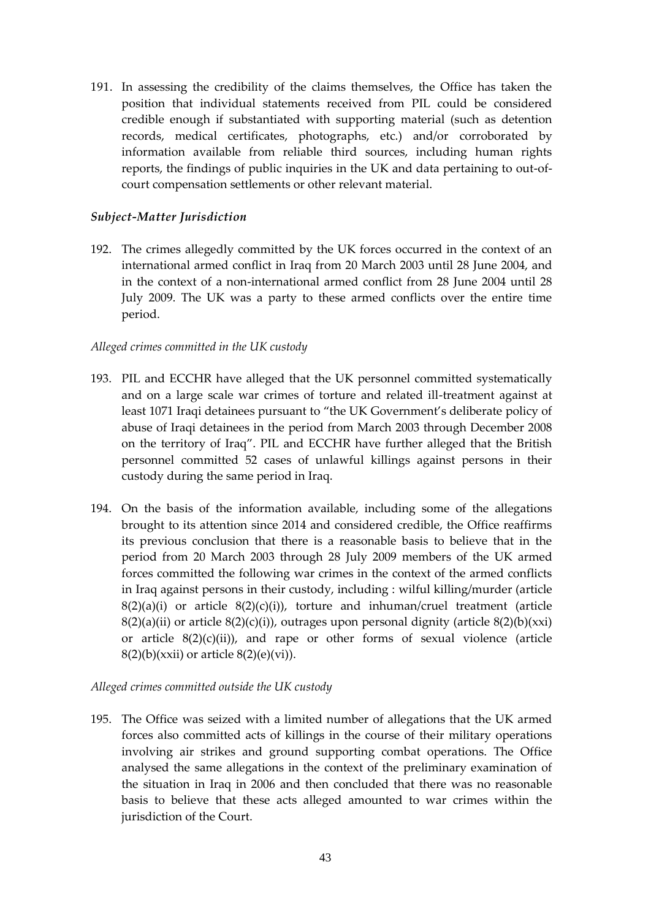191. In assessing the credibility of the claims themselves, the Office has taken the position that individual statements received from PIL could be considered credible enough if substantiated with supporting material (such as detention records, medical certificates, photographs, etc.) and/or corroborated by information available from reliable third sources, including human rights reports, the findings of public inquiries in the UK and data pertaining to out-ofcourt compensation settlements or other relevant material.

## *Subject-Matter Jurisdiction*

192. The crimes allegedly committed by the UK forces occurred in the context of an international armed conflict in Iraq from 20 March 2003 until 28 June 2004, and in the context of a non-international armed conflict from 28 June 2004 until 28 July 2009. The UK was a party to these armed conflicts over the entire time period.

## *Alleged crimes committed in the UK custody*

- 193. PIL and ECCHR have alleged that the UK personnel committed systematically and on a large scale war crimes of torture and related ill-treatment against at least 1071 Iraqi detainees pursuant to "the UK Government's deliberate policy of abuse of Iraqi detainees in the period from March 2003 through December 2008 on the territory of Iraq". PIL and ECCHR have further alleged that the British personnel committed 52 cases of unlawful killings against persons in their custody during the same period in Iraq.
- 194. On the basis of the information available, including some of the allegations brought to its attention since 2014 and considered credible, the Office reaffirms its previous conclusion that there is a reasonable basis to believe that in the period from 20 March 2003 through 28 July 2009 members of the UK armed forces committed the following war crimes in the context of the armed conflicts in Iraq against persons in their custody, including : wilful killing/murder (article  $8(2)(a)(i)$  or article  $8(2)(c)(i)$ , torture and inhuman/cruel treatment (article  $8(2)(a)(ii)$  or article  $8(2)(c)(i)$ , outrages upon personal dignity (article  $8(2)(b)(xxi)$ ) or article  $8(2)(c)(ii)$ , and rape or other forms of sexual violence (article  $8(2)(b)(xxii)$  or article  $8(2)(e)(vi)$ ).

## *Alleged crimes committed outside the UK custody*

195. The Office was seized with a limited number of allegations that the UK armed forces also committed acts of killings in the course of their military operations involving air strikes and ground supporting combat operations. The Office analysed the same allegations in the context of the preliminary examination of the situation in Iraq in 2006 and then concluded that there was no reasonable basis to believe that these acts alleged amounted to war crimes within the jurisdiction of the Court.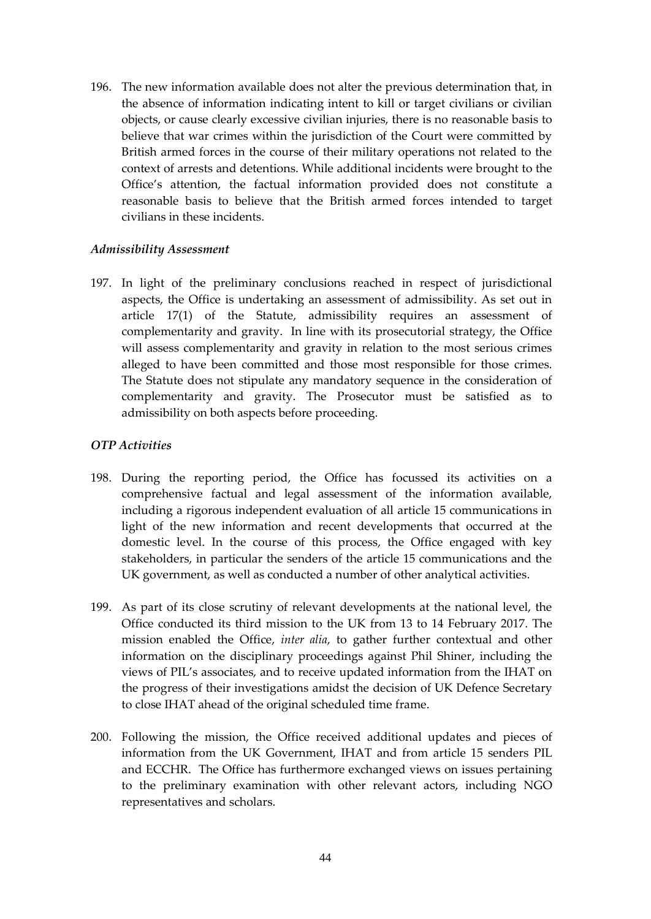196. The new information available does not alter the previous determination that, in the absence of information indicating intent to kill or target civilians or civilian objects, or cause clearly excessive civilian injuries, there is no reasonable basis to believe that war crimes within the jurisdiction of the Court were committed by British armed forces in the course of their military operations not related to the context of arrests and detentions. While additional incidents were brought to the Office's attention, the factual information provided does not constitute a reasonable basis to believe that the British armed forces intended to target civilians in these incidents.

#### *Admissibility Assessment*

197. In light of the preliminary conclusions reached in respect of jurisdictional aspects, the Office is undertaking an assessment of admissibility. As set out in article 17(1) of the Statute, admissibility requires an assessment of complementarity and gravity. In line with its prosecutorial strategy, the Office will assess complementarity and gravity in relation to the most serious crimes alleged to have been committed and those most responsible for those crimes. The Statute does not stipulate any mandatory sequence in the consideration of complementarity and gravity. The Prosecutor must be satisfied as to admissibility on both aspects before proceeding.

#### *OTP Activities*

- 198. During the reporting period, the Office has focussed its activities on a comprehensive factual and legal assessment of the information available, including a rigorous independent evaluation of all article 15 communications in light of the new information and recent developments that occurred at the domestic level. In the course of this process, the Office engaged with key stakeholders, in particular the senders of the article 15 communications and the UK government, as well as conducted a number of other analytical activities.
- 199. As part of its close scrutiny of relevant developments at the national level, the Office conducted its third mission to the UK from 13 to 14 February 2017. The mission enabled the Office, *inter alia*, to gather further contextual and other information on the disciplinary proceedings against Phil Shiner, including the views of PIL's associates, and to receive updated information from the IHAT on the progress of their investigations amidst the decision of UK Defence Secretary to close IHAT ahead of the original scheduled time frame.
- 200. Following the mission, the Office received additional updates and pieces of information from the UK Government, IHAT and from article 15 senders PIL and ECCHR. The Office has furthermore exchanged views on issues pertaining to the preliminary examination with other relevant actors, including NGO representatives and scholars.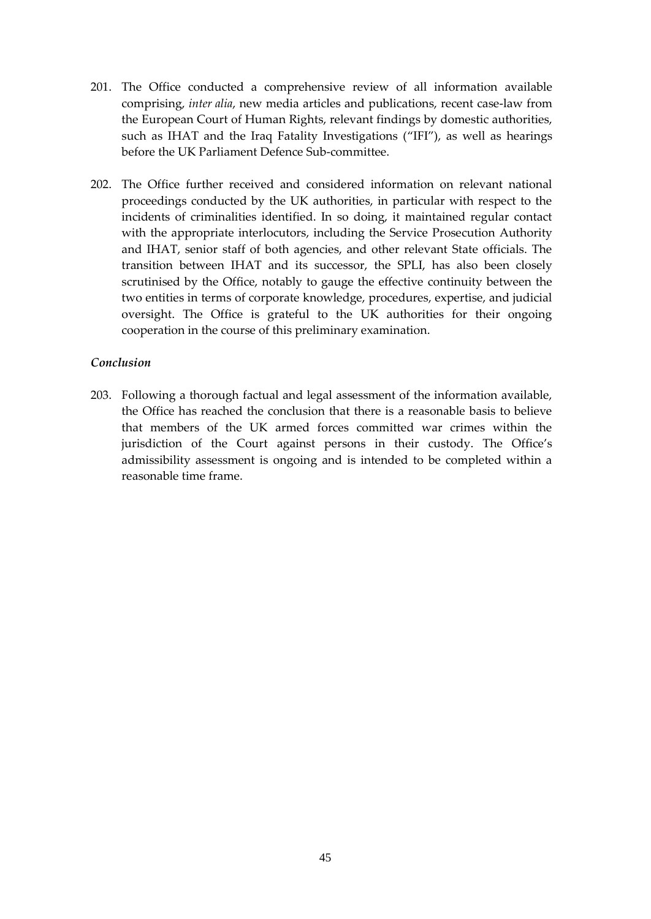- 201. The Office conducted a comprehensive review of all information available comprising, *inter alia*, new media articles and publications, recent case-law from the European Court of Human Rights, relevant findings by domestic authorities, such as IHAT and the Iraq Fatality Investigations ("IFI"), as well as hearings before the UK Parliament Defence Sub-committee.
- 202. The Office further received and considered information on relevant national proceedings conducted by the UK authorities, in particular with respect to the incidents of criminalities identified. In so doing, it maintained regular contact with the appropriate interlocutors, including the Service Prosecution Authority and IHAT, senior staff of both agencies, and other relevant State officials. The transition between IHAT and its successor, the SPLI, has also been closely scrutinised by the Office, notably to gauge the effective continuity between the two entities in terms of corporate knowledge, procedures, expertise, and judicial oversight. The Office is grateful to the UK authorities for their ongoing cooperation in the course of this preliminary examination.

#### *Conclusion*

203. Following a thorough factual and legal assessment of the information available, the Office has reached the conclusion that there is a reasonable basis to believe that members of the UK armed forces committed war crimes within the jurisdiction of the Court against persons in their custody. The Office's admissibility assessment is ongoing and is intended to be completed within a reasonable time frame.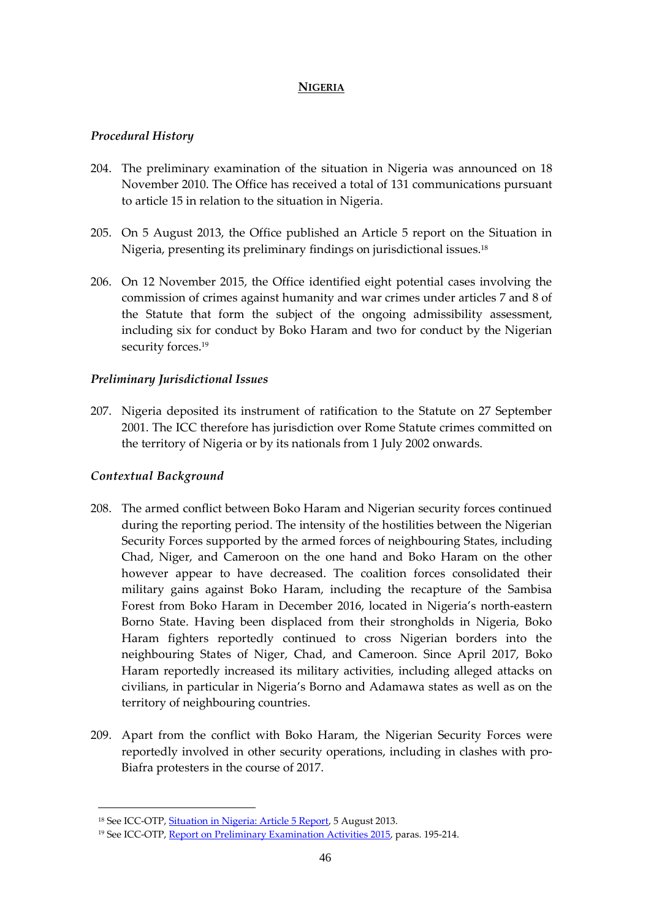## **NIGERIA**

# *Procedural History*

- 204. The preliminary examination of the situation in Nigeria was announced on 18 November 2010. The Office has received a total of 131 communications pursuant to article 15 in relation to the situation in Nigeria.
- 205. On 5 August 2013, the Office published an Article 5 report on the Situation in Nigeria, presenting its preliminary findings on jurisdictional issues.<sup>18</sup>
- 206. On 12 November 2015, the Office identified eight potential cases involving the commission of crimes against humanity and war crimes under articles 7 and 8 of the Statute that form the subject of the ongoing admissibility assessment, including six for conduct by Boko Haram and two for conduct by the Nigerian security forces.<sup>19</sup>

# *Preliminary Jurisdictional Issues*

207. Nigeria deposited its instrument of ratification to the Statute on 27 September 2001. The ICC therefore has jurisdiction over Rome Statute crimes committed on the territory of Nigeria or by its nationals from 1 July 2002 onwards.

# *Contextual Background*

1

- 208. The armed conflict between Boko Haram and Nigerian security forces continued during the reporting period. The intensity of the hostilities between the Nigerian Security Forces supported by the armed forces of neighbouring States, including Chad, Niger, and Cameroon on the one hand and Boko Haram on the other however appear to have decreased. The coalition forces consolidated their military gains against Boko Haram, including the recapture of the Sambisa Forest from Boko Haram in December 2016, located in Nigeria's north-eastern Borno State. Having been displaced from their strongholds in Nigeria, Boko Haram fighters reportedly continued to cross Nigerian borders into the neighbouring States of Niger, Chad, and Cameroon. Since April 2017, Boko Haram reportedly increased its military activities, including alleged attacks on civilians, in particular in Nigeria's Borno and Adamawa states as well as on the territory of neighbouring countries.
- 209. Apart from the conflict with Boko Haram, the Nigerian Security Forces were reportedly involved in other security operations, including in clashes with pro-Biafra protesters in the course of 2017.

<sup>&</sup>lt;sup>18</sup> See ICC-OTP, **Situation in Nigeria: Article 5 Report**, 5 August 2013.

<sup>&</sup>lt;sup>19</sup> See ICC-OTP[, Report on Preliminary Examination Activities 2015,](https://www.icc-cpi.int/Pages/item.aspx?name=otp-rep-pe-activities-2015) paras. 195-214.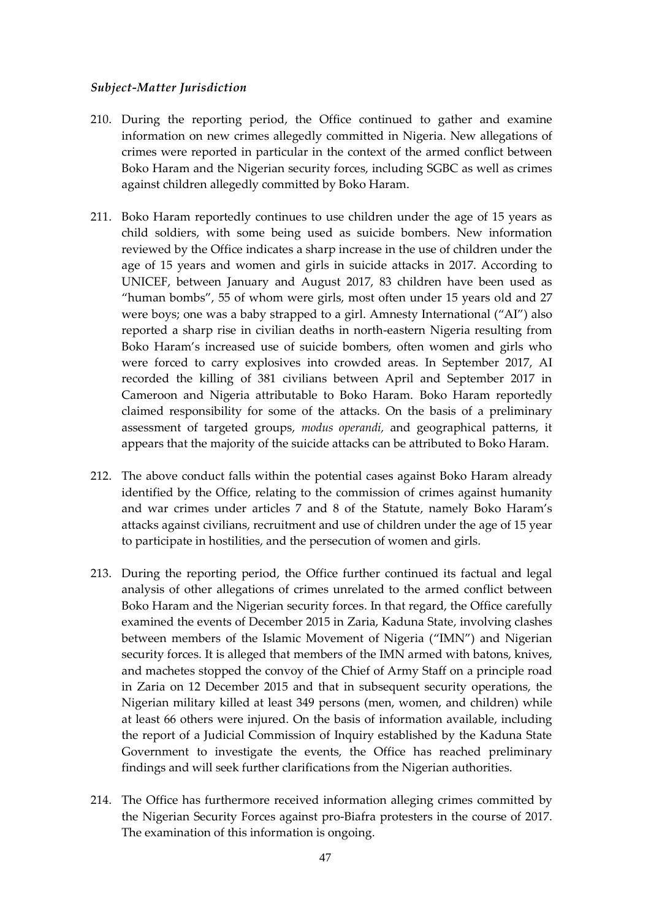#### *Subject-Matter Jurisdiction*

- 210. During the reporting period, the Office continued to gather and examine information on new crimes allegedly committed in Nigeria. New allegations of crimes were reported in particular in the context of the armed conflict between Boko Haram and the Nigerian security forces, including SGBC as well as crimes against children allegedly committed by Boko Haram.
- 211. Boko Haram reportedly continues to use children under the age of 15 years as child soldiers, with some being used as suicide bombers. New information reviewed by the Office indicates a sharp increase in the use of children under the age of 15 years and women and girls in suicide attacks in 2017. According to UNICEF, between January and August 2017, 83 children have been used as "human bombs", 55 of whom were girls, most often under 15 years old and 27 were boys; one was a baby strapped to a girl. Amnesty International ("AI") also reported a sharp rise in civilian deaths in north-eastern Nigeria resulting from Boko Haram's increased use of suicide bombers, often women and girls who were forced to carry explosives into crowded areas. In September 2017, AI recorded the killing of 381 civilians between April and September 2017 in Cameroon and Nigeria attributable to Boko Haram. Boko Haram reportedly claimed responsibility for some of the attacks. On the basis of a preliminary assessment of targeted groups, *modus operandi,* and geographical patterns, it appears that the majority of the suicide attacks can be attributed to Boko Haram.
- 212. The above conduct falls within the potential cases against Boko Haram already identified by the Office, relating to the commission of crimes against humanity and war crimes under articles 7 and 8 of the Statute, namely Boko Haram's attacks against civilians, recruitment and use of children under the age of 15 year to participate in hostilities, and the persecution of women and girls.
- 213. During the reporting period, the Office further continued its factual and legal analysis of other allegations of crimes unrelated to the armed conflict between Boko Haram and the Nigerian security forces. In that regard, the Office carefully examined the events of December 2015 in Zaria, Kaduna State, involving clashes between members of the Islamic Movement of Nigeria ("IMN") and Nigerian security forces. It is alleged that members of the IMN armed with batons, knives, and machetes stopped the convoy of the Chief of Army Staff on a principle road in Zaria on 12 December 2015 and that in subsequent security operations, the Nigerian military killed at least 349 persons (men, women, and children) while at least 66 others were injured. On the basis of information available, including the report of a Judicial Commission of Inquiry established by the Kaduna State Government to investigate the events, the Office has reached preliminary findings and will seek further clarifications from the Nigerian authorities.
- 214. The Office has furthermore received information alleging crimes committed by the Nigerian Security Forces against pro-Biafra protesters in the course of 2017. The examination of this information is ongoing.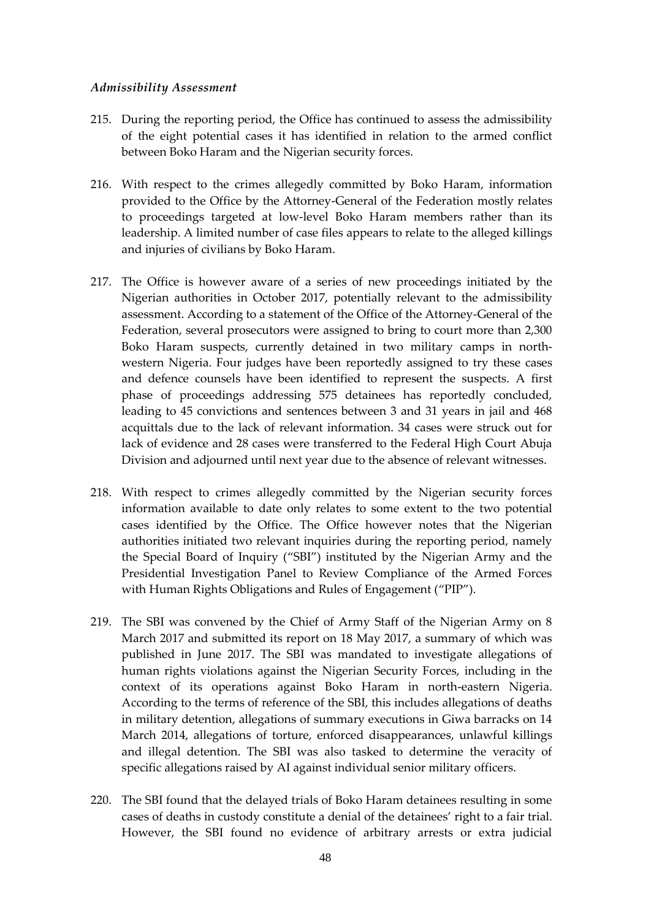#### *Admissibility Assessment*

- 215. During the reporting period, the Office has continued to assess the admissibility of the eight potential cases it has identified in relation to the armed conflict between Boko Haram and the Nigerian security forces.
- 216. With respect to the crimes allegedly committed by Boko Haram, information provided to the Office by the Attorney-General of the Federation mostly relates to proceedings targeted at low-level Boko Haram members rather than its leadership. A limited number of case files appears to relate to the alleged killings and injuries of civilians by Boko Haram.
- 217. The Office is however aware of a series of new proceedings initiated by the Nigerian authorities in October 2017, potentially relevant to the admissibility assessment. According to a statement of the Office of the Attorney-General of the Federation, several prosecutors were assigned to bring to court more than 2,300 Boko Haram suspects, currently detained in two military camps in northwestern Nigeria. Four judges have been reportedly assigned to try these cases and defence counsels have been identified to represent the suspects. A first phase of proceedings addressing 575 detainees has reportedly concluded, leading to 45 convictions and sentences between 3 and 31 years in jail and 468 acquittals due to the lack of relevant information. 34 cases were struck out for lack of evidence and 28 cases were transferred to the Federal High Court Abuja Division and adjourned until next year due to the absence of relevant witnesses.
- 218. With respect to crimes allegedly committed by the Nigerian security forces information available to date only relates to some extent to the two potential cases identified by the Office. The Office however notes that the Nigerian authorities initiated two relevant inquiries during the reporting period, namely the Special Board of Inquiry ("SBI") instituted by the Nigerian Army and the Presidential Investigation Panel to Review Compliance of the Armed Forces with Human Rights Obligations and Rules of Engagement ("PIP").
- 219. The SBI was convened by the Chief of Army Staff of the Nigerian Army on 8 March 2017 and submitted its report on 18 May 2017, a summary of which was published in June 2017. The SBI was mandated to investigate allegations of human rights violations against the Nigerian Security Forces, including in the context of its operations against Boko Haram in north-eastern Nigeria. According to the terms of reference of the SBI, this includes allegations of deaths in military detention, allegations of summary executions in Giwa barracks on 14 March 2014, allegations of torture, enforced disappearances, unlawful killings and illegal detention. The SBI was also tasked to determine the veracity of specific allegations raised by AI against individual senior military officers.
- 220. The SBI found that the delayed trials of Boko Haram detainees resulting in some cases of deaths in custody constitute a denial of the detainees' right to a fair trial. However, the SBI found no evidence of arbitrary arrests or extra judicial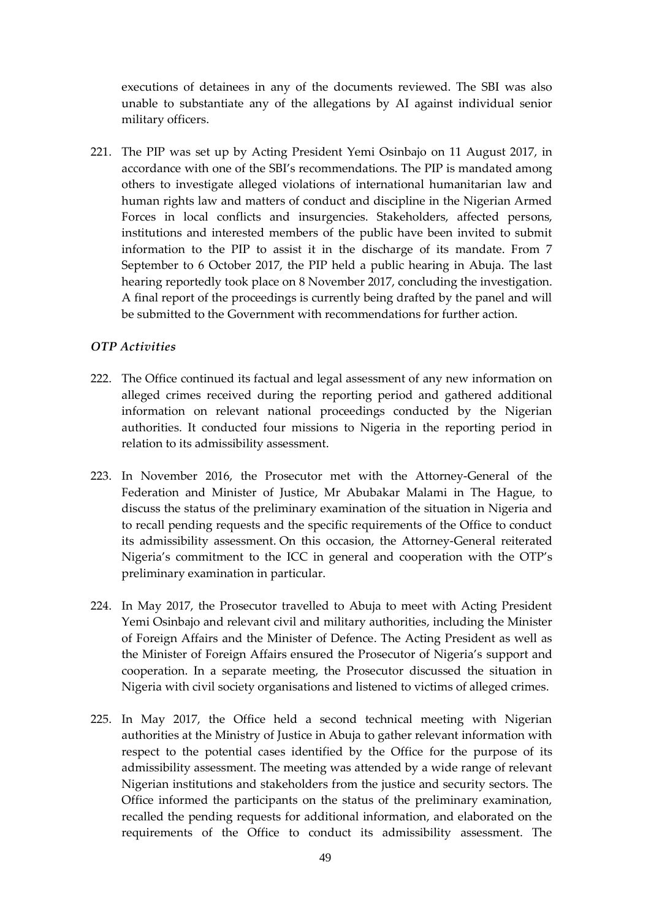executions of detainees in any of the documents reviewed. The SBI was also unable to substantiate any of the allegations by AI against individual senior military officers.

221. The PIP was set up by Acting President Yemi Osinbajo on 11 August 2017, in accordance with one of the SBI's recommendations. The PIP is mandated among others to investigate alleged violations of international humanitarian law and human rights law and matters of conduct and discipline in the Nigerian Armed Forces in local conflicts and insurgencies. Stakeholders, affected persons, institutions and interested members of the public have been invited to submit information to the PIP to assist it in the discharge of its mandate. From 7 September to 6 October 2017, the PIP held a public hearing in Abuja. The last hearing reportedly took place on 8 November 2017, concluding the investigation. A final report of the proceedings is currently being drafted by the panel and will be submitted to the Government with recommendations for further action.

## *OTP Activities*

- 222. The Office continued its factual and legal assessment of any new information on alleged crimes received during the reporting period and gathered additional information on relevant national proceedings conducted by the Nigerian authorities. It conducted four missions to Nigeria in the reporting period in relation to its admissibility assessment.
- 223. In November 2016, the Prosecutor met with the Attorney-General of the Federation and Minister of Justice, Mr Abubakar Malami in The Hague, to discuss the status of the preliminary examination of the situation in Nigeria and to recall pending requests and the specific requirements of the Office to conduct its admissibility assessment. On this occasion, the Attorney-General reiterated Nigeria's commitment to the ICC in general and cooperation with the OTP's preliminary examination in particular.
- 224. In May 2017, the Prosecutor travelled to Abuja to meet with Acting President Yemi Osinbajo and relevant civil and military authorities, including the Minister of Foreign Affairs and the Minister of Defence. The Acting President as well as the Minister of Foreign Affairs ensured the Prosecutor of Nigeria's support and cooperation. In a separate meeting, the Prosecutor discussed the situation in Nigeria with civil society organisations and listened to victims of alleged crimes.
- 225. In May 2017, the Office held a second technical meeting with Nigerian authorities at the Ministry of Justice in Abuja to gather relevant information with respect to the potential cases identified by the Office for the purpose of its admissibility assessment. The meeting was attended by a wide range of relevant Nigerian institutions and stakeholders from the justice and security sectors. The Office informed the participants on the status of the preliminary examination, recalled the pending requests for additional information, and elaborated on the requirements of the Office to conduct its admissibility assessment. The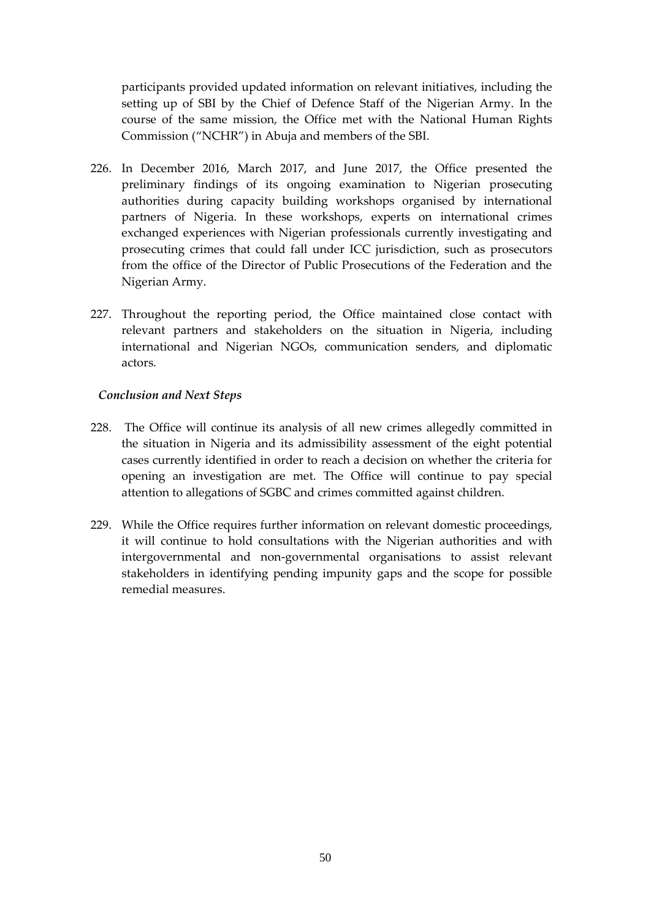participants provided updated information on relevant initiatives, including the setting up of SBI by the Chief of Defence Staff of the Nigerian Army. In the course of the same mission, the Office met with the National Human Rights Commission ("NCHR") in Abuja and members of the SBI.

- 226. In December 2016, March 2017, and June 2017, the Office presented the preliminary findings of its ongoing examination to Nigerian prosecuting authorities during capacity building workshops organised by international partners of Nigeria. In these workshops, experts on international crimes exchanged experiences with Nigerian professionals currently investigating and prosecuting crimes that could fall under ICC jurisdiction, such as prosecutors from the office of the Director of Public Prosecutions of the Federation and the Nigerian Army.
- 227. Throughout the reporting period, the Office maintained close contact with relevant partners and stakeholders on the situation in Nigeria, including international and Nigerian NGOs, communication senders, and diplomatic actors.

## *Conclusion and Next Steps*

- 228. The Office will continue its analysis of all new crimes allegedly committed in the situation in Nigeria and its admissibility assessment of the eight potential cases currently identified in order to reach a decision on whether the criteria for opening an investigation are met. The Office will continue to pay special attention to allegations of SGBC and crimes committed against children.
- 229. While the Office requires further information on relevant domestic proceedings, it will continue to hold consultations with the Nigerian authorities and with intergovernmental and non-governmental organisations to assist relevant stakeholders in identifying pending impunity gaps and the scope for possible remedial measures.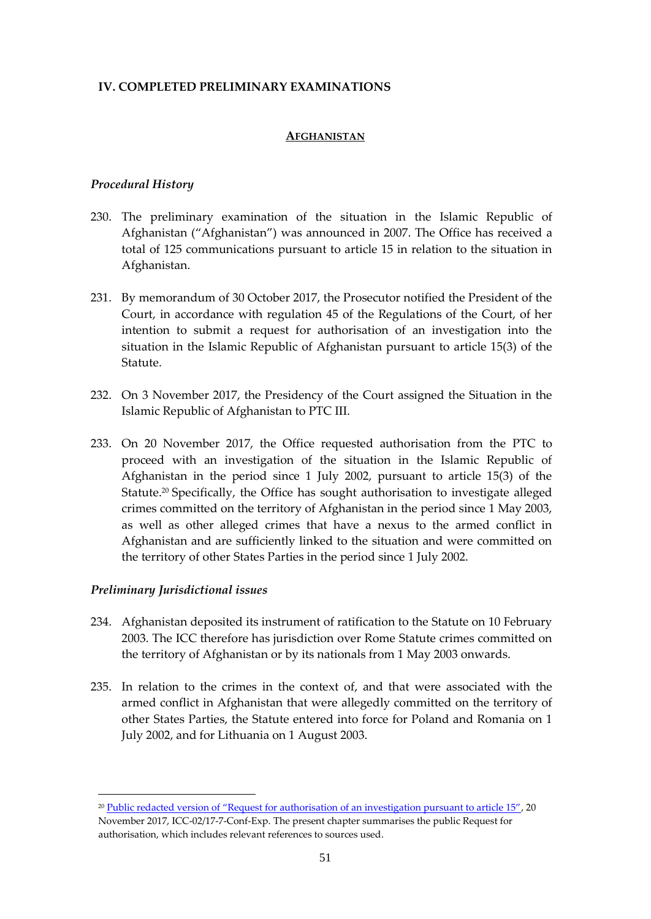## **IV. COMPLETED PRELIMINARY EXAMINATIONS**

#### **AFGHANISTAN**

#### *Procedural History*

- 230. The preliminary examination of the situation in the Islamic Republic of Afghanistan ("Afghanistan") was announced in 2007. The Office has received a total of 125 communications pursuant to article 15 in relation to the situation in Afghanistan.
- 231. By memorandum of 30 October 2017, the Prosecutor notified the President of the Court, in accordance with regulation 45 of the Regulations of the Court, of her intention to submit a request for authorisation of an investigation into the situation in the Islamic Republic of Afghanistan pursuant to article 15(3) of the **Statute**
- 232. On 3 November 2017, the Presidency of the Court assigned the Situation in the Islamic Republic of Afghanistan to PTC III.
- 233. On 20 November 2017, the Office requested authorisation from the PTC to proceed with an investigation of the situation in the Islamic Republic of Afghanistan in the period since 1 July 2002, pursuant to article 15(3) of the Statute.<sup>20</sup> Specifically, the Office has sought authorisation to investigate alleged crimes committed on the territory of Afghanistan in the period since 1 May 2003, as well as other alleged crimes that have a nexus to the armed conflict in Afghanistan and are sufficiently linked to the situation and were committed on the territory of other States Parties in the period since 1 July 2002.

#### *Preliminary Jurisdictional issues*

1

- 234. Afghanistan deposited its instrument of ratification to the Statute on 10 February 2003. The ICC therefore has jurisdiction over Rome Statute crimes committed on the territory of Afghanistan or by its nationals from 1 May 2003 onwards.
- 235. In relation to the crimes in the context of, and that were associated with the armed conflict in Afghanistan that were allegedly committed on the territory of other States Parties, the Statute entered into force for Poland and Romania on 1 July 2002, and for Lithuania on 1 August 2003.

<sup>&</sup>lt;sup>20</sup> [Public redacted version of "Request for authorisation of an investigation pursuant to article 15"](https://www.icc-cpi.int/Pages/record.aspx?docNo=ICC-02/17-7-Red), 20 November 2017, ICC-02/17-7-Conf-Exp. The present chapter summarises the public Request for authorisation, which includes relevant references to sources used.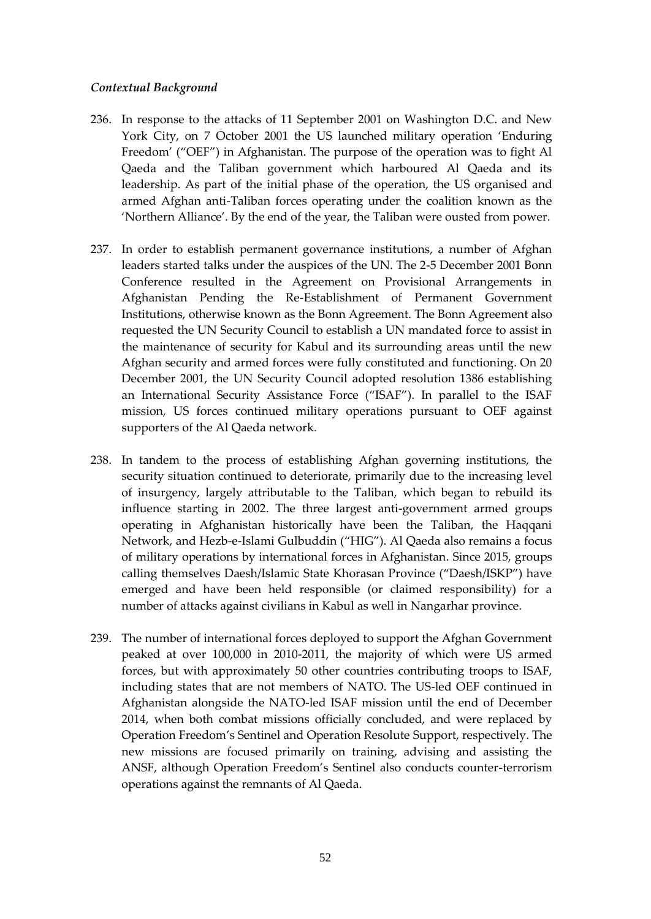## *Contextual Background*

- 236. In response to the attacks of 11 September 2001 on Washington D.C. and New York City, on 7 October 2001 the US launched military operation 'Enduring Freedom' ("OEF") in Afghanistan. The purpose of the operation was to fight Al Qaeda and the Taliban government which harboured Al Qaeda and its leadership. As part of the initial phase of the operation, the US organised and armed Afghan anti-Taliban forces operating under the coalition known as the 'Northern Alliance'. By the end of the year, the Taliban were ousted from power.
- 237. In order to establish permanent governance institutions, a number of Afghan leaders started talks under the auspices of the UN. The 2-5 December 2001 Bonn Conference resulted in the Agreement on Provisional Arrangements in Afghanistan Pending the Re-Establishment of Permanent Government Institutions, otherwise known as the Bonn Agreement. The Bonn Agreement also requested the UN Security Council to establish a UN mandated force to assist in the maintenance of security for Kabul and its surrounding areas until the new Afghan security and armed forces were fully constituted and functioning. On 20 December 2001, the UN Security Council adopted resolution 1386 establishing an International Security Assistance Force ("ISAF"). In parallel to the ISAF mission, US forces continued military operations pursuant to OEF against supporters of the Al Qaeda network.
- 238. In tandem to the process of establishing Afghan governing institutions, the security situation continued to deteriorate, primarily due to the increasing level of insurgency, largely attributable to the Taliban, which began to rebuild its influence starting in 2002. The three largest anti-government armed groups operating in Afghanistan historically have been the Taliban, the Haqqani Network, and Hezb-e-Islami Gulbuddin ("HIG"). Al Qaeda also remains a focus of military operations by international forces in Afghanistan. Since 2015, groups calling themselves Daesh/Islamic State Khorasan Province ("Daesh/ISKP") have emerged and have been held responsible (or claimed responsibility) for a number of attacks against civilians in Kabul as well in Nangarhar province.
- 239. The number of international forces deployed to support the Afghan Government peaked at over 100,000 in 2010-2011, the majority of which were US armed forces, but with approximately 50 other countries contributing troops to ISAF, including states that are not members of NATO. The US-led OEF continued in Afghanistan alongside the NATO-led ISAF mission until the end of December 2014, when both combat missions officially concluded, and were replaced by Operation Freedom's Sentinel and Operation Resolute Support, respectively. The new missions are focused primarily on training, advising and assisting the ANSF, although Operation Freedom's Sentinel also conducts counter-terrorism operations against the remnants of Al Qaeda.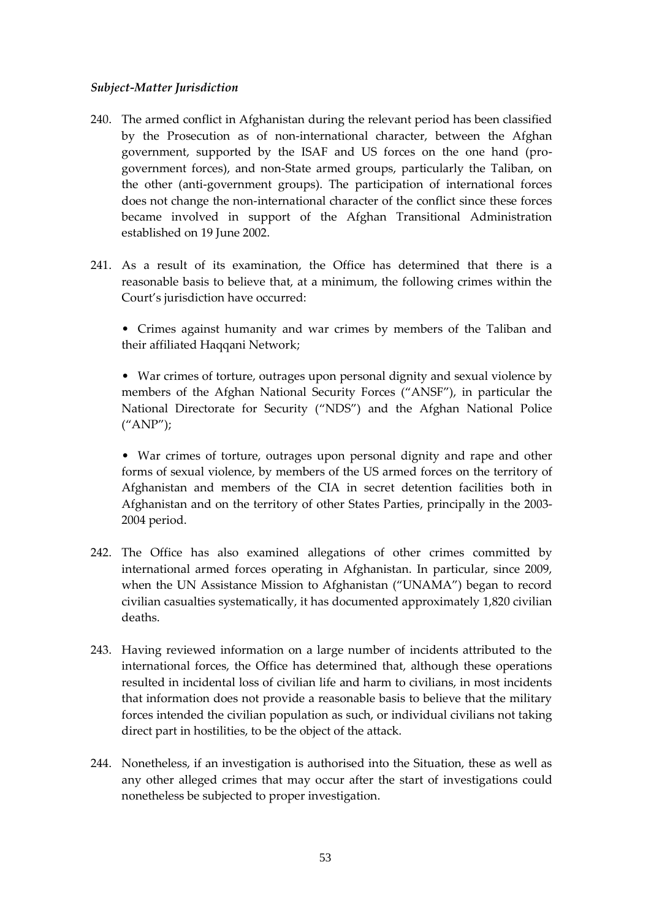## *Subject-Matter Jurisdiction*

- 240. The armed conflict in Afghanistan during the relevant period has been classified by the Prosecution as of non-international character, between the Afghan government, supported by the ISAF and US forces on the one hand (progovernment forces), and non-State armed groups, particularly the Taliban, on the other (anti-government groups). The participation of international forces does not change the non-international character of the conflict since these forces became involved in support of the Afghan Transitional Administration established on 19 June 2002.
- 241. As a result of its examination, the Office has determined that there is a reasonable basis to believe that, at a minimum, the following crimes within the Court's jurisdiction have occurred:
	- Crimes against humanity and war crimes by members of the Taliban and their affiliated Haqqani Network;

• War crimes of torture, outrages upon personal dignity and sexual violence by members of the Afghan National Security Forces ("ANSF"), in particular the National Directorate for Security ("NDS") and the Afghan National Police ("ANP");

• War crimes of torture, outrages upon personal dignity and rape and other forms of sexual violence, by members of the US armed forces on the territory of Afghanistan and members of the CIA in secret detention facilities both in Afghanistan and on the territory of other States Parties, principally in the 2003- 2004 period.

- 242. The Office has also examined allegations of other crimes committed by international armed forces operating in Afghanistan. In particular, since 2009, when the UN Assistance Mission to Afghanistan ("UNAMA") began to record civilian casualties systematically, it has documented approximately 1,820 civilian deaths.
- 243. Having reviewed information on a large number of incidents attributed to the international forces, the Office has determined that, although these operations resulted in incidental loss of civilian life and harm to civilians, in most incidents that information does not provide a reasonable basis to believe that the military forces intended the civilian population as such, or individual civilians not taking direct part in hostilities, to be the object of the attack.
- 244. Nonetheless, if an investigation is authorised into the Situation, these as well as any other alleged crimes that may occur after the start of investigations could nonetheless be subjected to proper investigation.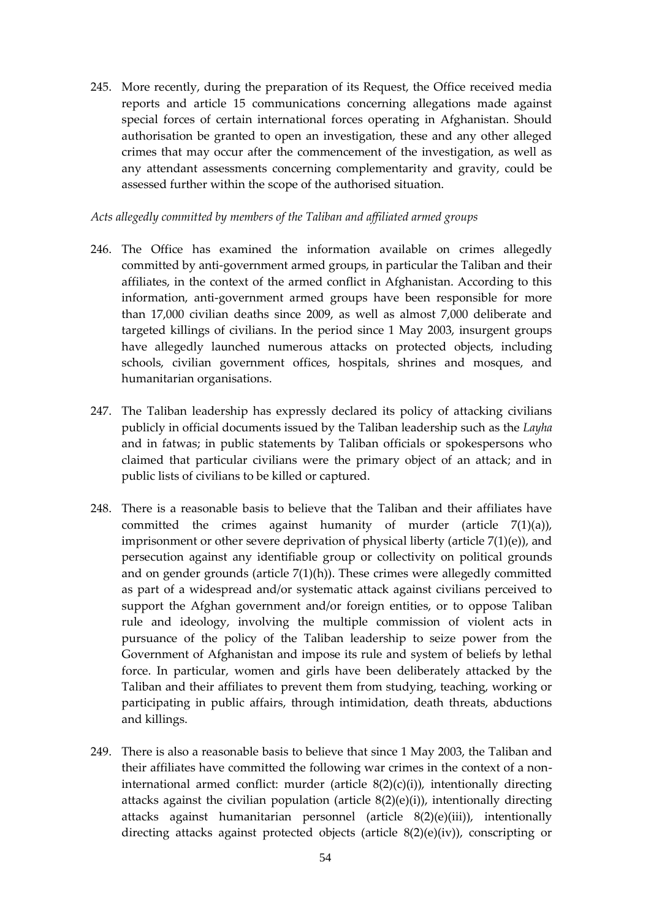245. More recently, during the preparation of its Request, the Office received media reports and article 15 communications concerning allegations made against special forces of certain international forces operating in Afghanistan. Should authorisation be granted to open an investigation, these and any other alleged crimes that may occur after the commencement of the investigation, as well as any attendant assessments concerning complementarity and gravity, could be assessed further within the scope of the authorised situation.

#### *Acts allegedly committed by members of the Taliban and affiliated armed groups*

- 246. The Office has examined the information available on crimes allegedly committed by anti-government armed groups, in particular the Taliban and their affiliates, in the context of the armed conflict in Afghanistan. According to this information, anti-government armed groups have been responsible for more than 17,000 civilian deaths since 2009, as well as almost 7,000 deliberate and targeted killings of civilians. In the period since 1 May 2003, insurgent groups have allegedly launched numerous attacks on protected objects, including schools, civilian government offices, hospitals, shrines and mosques, and humanitarian organisations.
- 247. The Taliban leadership has expressly declared its policy of attacking civilians publicly in official documents issued by the Taliban leadership such as the *Layha* and in fatwas; in public statements by Taliban officials or spokespersons who claimed that particular civilians were the primary object of an attack; and in public lists of civilians to be killed or captured.
- 248. There is a reasonable basis to believe that the Taliban and their affiliates have committed the crimes against humanity of murder (article 7(1)(a)), imprisonment or other severe deprivation of physical liberty (article 7(1)(e)), and persecution against any identifiable group or collectivity on political grounds and on gender grounds (article 7(1)(h)). These crimes were allegedly committed as part of a widespread and/or systematic attack against civilians perceived to support the Afghan government and/or foreign entities, or to oppose Taliban rule and ideology, involving the multiple commission of violent acts in pursuance of the policy of the Taliban leadership to seize power from the Government of Afghanistan and impose its rule and system of beliefs by lethal force. In particular, women and girls have been deliberately attacked by the Taliban and their affiliates to prevent them from studying, teaching, working or participating in public affairs, through intimidation, death threats, abductions and killings.
- 249. There is also a reasonable basis to believe that since 1 May 2003, the Taliban and their affiliates have committed the following war crimes in the context of a noninternational armed conflict: murder (article 8(2)(c)(i)), intentionally directing attacks against the civilian population (article 8(2)(e)(i)), intentionally directing attacks against humanitarian personnel (article 8(2)(e)(iii)), intentionally directing attacks against protected objects (article 8(2)(e)(iv)), conscripting or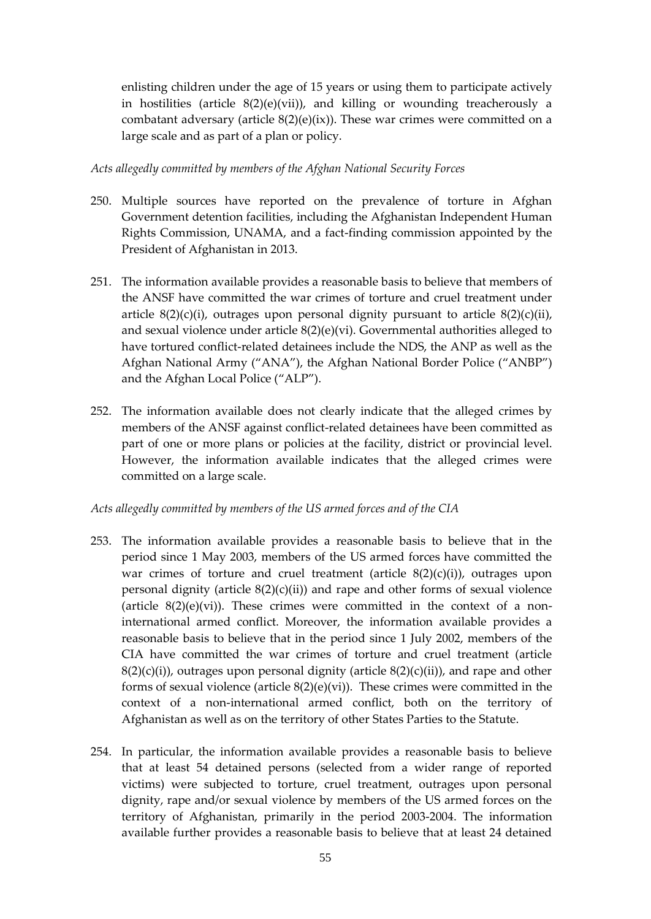enlisting children under the age of 15 years or using them to participate actively in hostilities (article  $8(2)(e)(vi)$ ), and killing or wounding treacherously a combatant adversary (article  $8(2)(e)(ix)$ ). These war crimes were committed on a large scale and as part of a plan or policy.

#### *Acts allegedly committed by members of the Afghan National Security Forces*

- 250. Multiple sources have reported on the prevalence of torture in Afghan Government detention facilities, including the Afghanistan Independent Human Rights Commission, UNAMA, and a fact-finding commission appointed by the President of Afghanistan in 2013.
- 251. The information available provides a reasonable basis to believe that members of the ANSF have committed the war crimes of torture and cruel treatment under article  $8(2)(c)(i)$ , outrages upon personal dignity pursuant to article  $8(2)(c)(ii)$ , and sexual violence under article  $8(2)(e)(vi)$ . Governmental authorities alleged to have tortured conflict-related detainees include the NDS, the ANP as well as the Afghan National Army ("ANA"), the Afghan National Border Police ("ANBP") and the Afghan Local Police ("ALP").
- 252. The information available does not clearly indicate that the alleged crimes by members of the ANSF against conflict-related detainees have been committed as part of one or more plans or policies at the facility, district or provincial level. However, the information available indicates that the alleged crimes were committed on a large scale.

#### *Acts allegedly committed by members of the US armed forces and of the CIA*

- 253. The information available provides a reasonable basis to believe that in the period since 1 May 2003, members of the US armed forces have committed the war crimes of torture and cruel treatment (article  $8(2)(c)(i)$ ), outrages upon personal dignity (article  $8(2)(c)(ii)$ ) and rape and other forms of sexual violence (article  $8(2)(e)(vi)$ ). These crimes were committed in the context of a noninternational armed conflict. Moreover, the information available provides a reasonable basis to believe that in the period since 1 July 2002, members of the CIA have committed the war crimes of torture and cruel treatment (article  $8(2)(c)(i)$ , outrages upon personal dignity (article  $8(2)(c)(ii)$ ), and rape and other forms of sexual violence (article 8(2)(e)(vi)). These crimes were committed in the context of a non-international armed conflict, both on the territory of Afghanistan as well as on the territory of other States Parties to the Statute.
- 254. In particular, the information available provides a reasonable basis to believe that at least 54 detained persons (selected from a wider range of reported victims) were subjected to torture, cruel treatment, outrages upon personal dignity, rape and/or sexual violence by members of the US armed forces on the territory of Afghanistan, primarily in the period 2003-2004. The information available further provides a reasonable basis to believe that at least 24 detained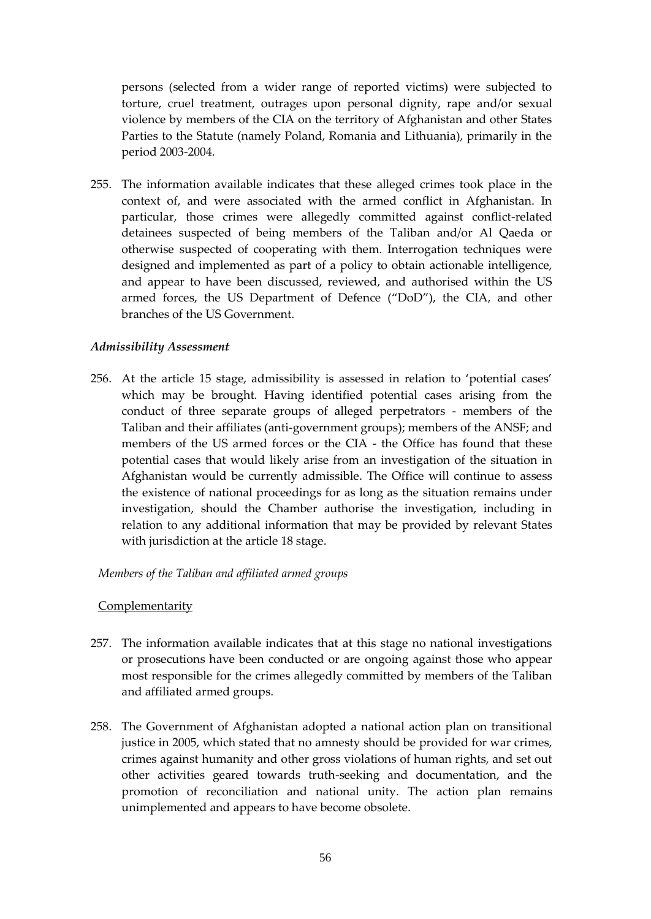persons (selected from a wider range of reported victims) were subjected to torture, cruel treatment, outrages upon personal dignity, rape and/or sexual violence by members of the CIA on the territory of Afghanistan and other States Parties to the Statute (namely Poland, Romania and Lithuania), primarily in the period 2003-2004.

255. The information available indicates that these alleged crimes took place in the context of, and were associated with the armed conflict in Afghanistan. In particular, those crimes were allegedly committed against conflict-related detainees suspected of being members of the Taliban and/or Al Qaeda or otherwise suspected of cooperating with them. Interrogation techniques were designed and implemented as part of a policy to obtain actionable intelligence, and appear to have been discussed, reviewed, and authorised within the US armed forces, the US Department of Defence ("DoD"), the CIA, and other branches of the US Government.

#### *Admissibility Assessment*

256. At the article 15 stage, admissibility is assessed in relation to 'potential cases' which may be brought. Having identified potential cases arising from the conduct of three separate groups of alleged perpetrators - members of the Taliban and their affiliates (anti-government groups); members of the ANSF; and members of the US armed forces or the CIA - the Office has found that these potential cases that would likely arise from an investigation of the situation in Afghanistan would be currently admissible. The Office will continue to assess the existence of national proceedings for as long as the situation remains under investigation, should the Chamber authorise the investigation, including in relation to any additional information that may be provided by relevant States with jurisdiction at the article 18 stage.

#### *Members of the Taliban and affiliated armed groups*

#### **Complementarity**

- 257. The information available indicates that at this stage no national investigations or prosecutions have been conducted or are ongoing against those who appear most responsible for the crimes allegedly committed by members of the Taliban and affiliated armed groups.
- 258. The Government of Afghanistan adopted a national action plan on transitional justice in 2005, which stated that no amnesty should be provided for war crimes, crimes against humanity and other gross violations of human rights, and set out other activities geared towards truth-seeking and documentation, and the promotion of reconciliation and national unity. The action plan remains unimplemented and appears to have become obsolete.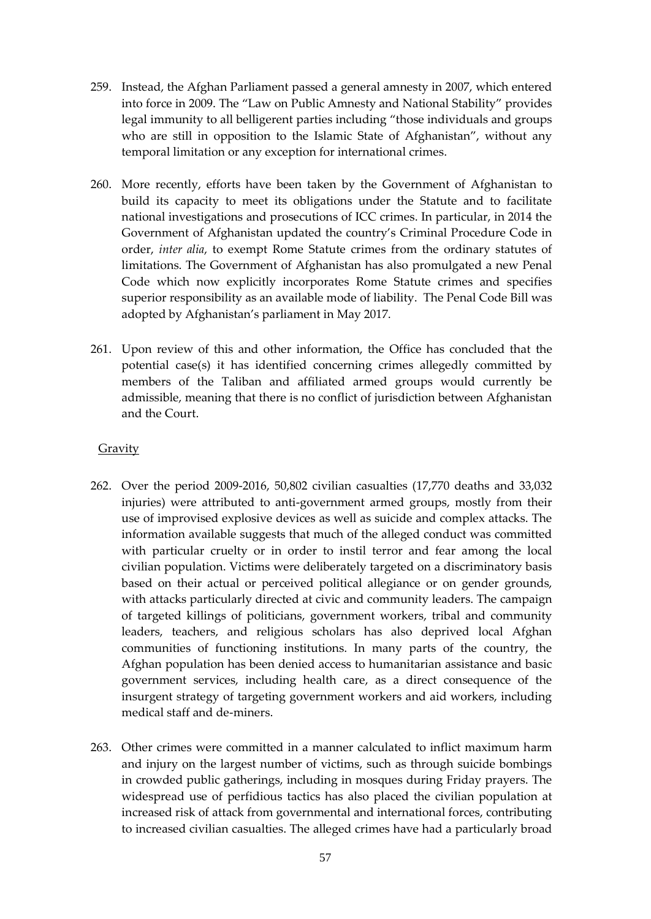- 259. Instead, the Afghan Parliament passed a general amnesty in 2007, which entered into force in 2009. The "Law on Public Amnesty and National Stability" provides legal immunity to all belligerent parties including "those individuals and groups who are still in opposition to the Islamic State of Afghanistan", without any temporal limitation or any exception for international crimes.
- 260. More recently, efforts have been taken by the Government of Afghanistan to build its capacity to meet its obligations under the Statute and to facilitate national investigations and prosecutions of ICC crimes. In particular, in 2014 the Government of Afghanistan updated the country's Criminal Procedure Code in order, *inter alia*, to exempt Rome Statute crimes from the ordinary statutes of limitations. The Government of Afghanistan has also promulgated a new Penal Code which now explicitly incorporates Rome Statute crimes and specifies superior responsibility as an available mode of liability. The Penal Code Bill was adopted by Afghanistan's parliament in May 2017.
- 261. Upon review of this and other information, the Office has concluded that the potential case(s) it has identified concerning crimes allegedly committed by members of the Taliban and affiliated armed groups would currently be admissible, meaning that there is no conflict of jurisdiction between Afghanistan and the Court.

## **Gravity**

- 262. Over the period 2009-2016, 50,802 civilian casualties (17,770 deaths and 33,032 injuries) were attributed to anti-government armed groups, mostly from their use of improvised explosive devices as well as suicide and complex attacks. The information available suggests that much of the alleged conduct was committed with particular cruelty or in order to instil terror and fear among the local civilian population. Victims were deliberately targeted on a discriminatory basis based on their actual or perceived political allegiance or on gender grounds, with attacks particularly directed at civic and community leaders. The campaign of targeted killings of politicians, government workers, tribal and community leaders, teachers, and religious scholars has also deprived local Afghan communities of functioning institutions. In many parts of the country, the Afghan population has been denied access to humanitarian assistance and basic government services, including health care, as a direct consequence of the insurgent strategy of targeting government workers and aid workers, including medical staff and de-miners.
- 263. Other crimes were committed in a manner calculated to inflict maximum harm and injury on the largest number of victims, such as through suicide bombings in crowded public gatherings, including in mosques during Friday prayers. The widespread use of perfidious tactics has also placed the civilian population at increased risk of attack from governmental and international forces, contributing to increased civilian casualties. The alleged crimes have had a particularly broad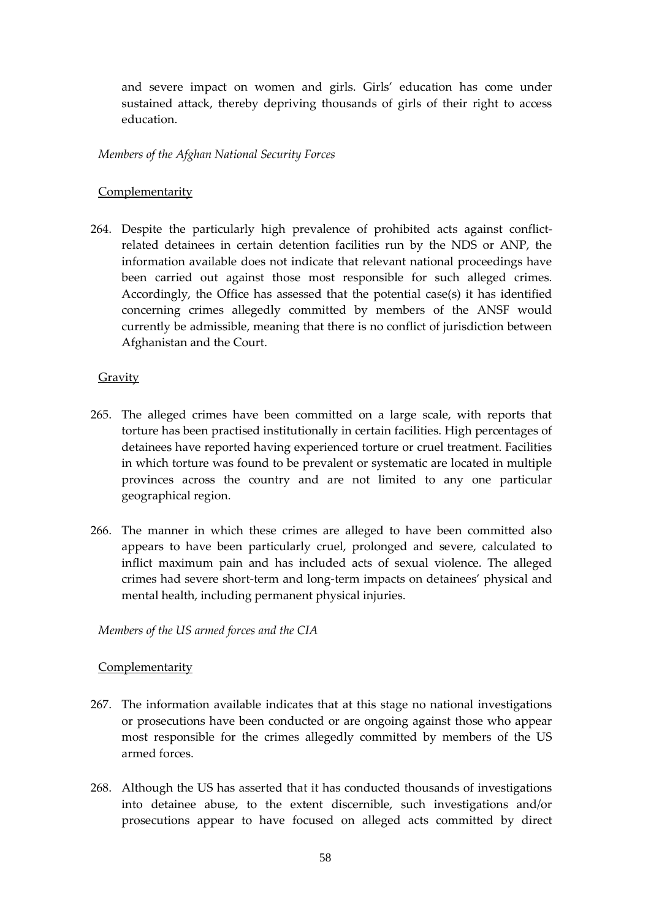and severe impact on women and girls. Girls' education has come under sustained attack, thereby depriving thousands of girls of their right to access education.

## *Members of the Afghan National Security Forces*

# Complementarity

264. Despite the particularly high prevalence of prohibited acts against conflictrelated detainees in certain detention facilities run by the NDS or ANP, the information available does not indicate that relevant national proceedings have been carried out against those most responsible for such alleged crimes. Accordingly, the Office has assessed that the potential case(s) it has identified concerning crimes allegedly committed by members of the ANSF would currently be admissible, meaning that there is no conflict of jurisdiction between Afghanistan and the Court.

# **Gravity**

- 265. The alleged crimes have been committed on a large scale, with reports that torture has been practised institutionally in certain facilities. High percentages of detainees have reported having experienced torture or cruel treatment. Facilities in which torture was found to be prevalent or systematic are located in multiple provinces across the country and are not limited to any one particular geographical region.
- 266. The manner in which these crimes are alleged to have been committed also appears to have been particularly cruel, prolonged and severe, calculated to inflict maximum pain and has included acts of sexual violence. The alleged crimes had severe short-term and long-term impacts on detainees' physical and mental health, including permanent physical injuries.

## *Members of the US armed forces and the CIA*

# **Complementarity**

- 267. The information available indicates that at this stage no national investigations or prosecutions have been conducted or are ongoing against those who appear most responsible for the crimes allegedly committed by members of the US armed forces.
- 268. Although the US has asserted that it has conducted thousands of investigations into detainee abuse, to the extent discernible, such investigations and/or prosecutions appear to have focused on alleged acts committed by direct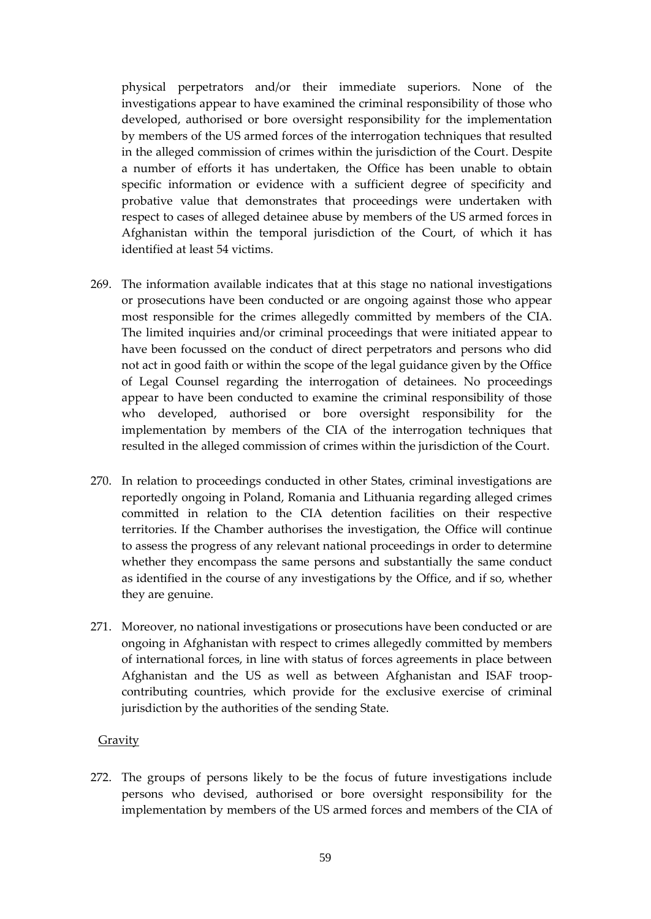physical perpetrators and/or their immediate superiors. None of the investigations appear to have examined the criminal responsibility of those who developed, authorised or bore oversight responsibility for the implementation by members of the US armed forces of the interrogation techniques that resulted in the alleged commission of crimes within the jurisdiction of the Court. Despite a number of efforts it has undertaken, the Office has been unable to obtain specific information or evidence with a sufficient degree of specificity and probative value that demonstrates that proceedings were undertaken with respect to cases of alleged detainee abuse by members of the US armed forces in Afghanistan within the temporal jurisdiction of the Court, of which it has identified at least 54 victims.

- 269. The information available indicates that at this stage no national investigations or prosecutions have been conducted or are ongoing against those who appear most responsible for the crimes allegedly committed by members of the CIA. The limited inquiries and/or criminal proceedings that were initiated appear to have been focussed on the conduct of direct perpetrators and persons who did not act in good faith or within the scope of the legal guidance given by the Office of Legal Counsel regarding the interrogation of detainees. No proceedings appear to have been conducted to examine the criminal responsibility of those who developed, authorised or bore oversight responsibility for the implementation by members of the CIA of the interrogation techniques that resulted in the alleged commission of crimes within the jurisdiction of the Court.
- 270. In relation to proceedings conducted in other States, criminal investigations are reportedly ongoing in Poland, Romania and Lithuania regarding alleged crimes committed in relation to the CIA detention facilities on their respective territories. If the Chamber authorises the investigation, the Office will continue to assess the progress of any relevant national proceedings in order to determine whether they encompass the same persons and substantially the same conduct as identified in the course of any investigations by the Office, and if so, whether they are genuine.
- 271. Moreover, no national investigations or prosecutions have been conducted or are ongoing in Afghanistan with respect to crimes allegedly committed by members of international forces, in line with status of forces agreements in place between Afghanistan and the US as well as between Afghanistan and ISAF troopcontributing countries, which provide for the exclusive exercise of criminal jurisdiction by the authorities of the sending State.

## **Gravity**

272. The groups of persons likely to be the focus of future investigations include persons who devised, authorised or bore oversight responsibility for the implementation by members of the US armed forces and members of the CIA of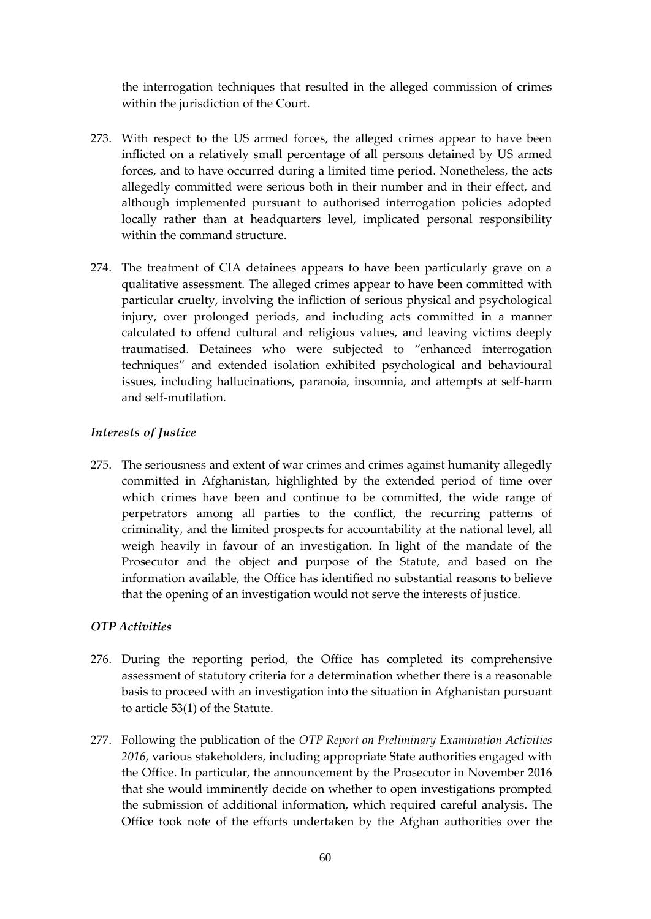the interrogation techniques that resulted in the alleged commission of crimes within the jurisdiction of the Court.

- 273. With respect to the US armed forces, the alleged crimes appear to have been inflicted on a relatively small percentage of all persons detained by US armed forces, and to have occurred during a limited time period. Nonetheless, the acts allegedly committed were serious both in their number and in their effect, and although implemented pursuant to authorised interrogation policies adopted locally rather than at headquarters level, implicated personal responsibility within the command structure.
- 274. The treatment of CIA detainees appears to have been particularly grave on a qualitative assessment. The alleged crimes appear to have been committed with particular cruelty, involving the infliction of serious physical and psychological injury, over prolonged periods, and including acts committed in a manner calculated to offend cultural and religious values, and leaving victims deeply traumatised. Detainees who were subjected to "enhanced interrogation techniques" and extended isolation exhibited psychological and behavioural issues, including hallucinations, paranoia, insomnia, and attempts at self-harm and self-mutilation.

# *Interests of Justice*

275. The seriousness and extent of war crimes and crimes against humanity allegedly committed in Afghanistan, highlighted by the extended period of time over which crimes have been and continue to be committed, the wide range of perpetrators among all parties to the conflict, the recurring patterns of criminality, and the limited prospects for accountability at the national level, all weigh heavily in favour of an investigation. In light of the mandate of the Prosecutor and the object and purpose of the Statute, and based on the information available, the Office has identified no substantial reasons to believe that the opening of an investigation would not serve the interests of justice.

# *OTP Activities*

- 276. During the reporting period, the Office has completed its comprehensive assessment of statutory criteria for a determination whether there is a reasonable basis to proceed with an investigation into the situation in Afghanistan pursuant to article 53(1) of the Statute.
- 277. Following the publication of the *OTP Report on Preliminary Examination Activities 2016*, various stakeholders, including appropriate State authorities engaged with the Office. In particular, the announcement by the Prosecutor in November 2016 that she would imminently decide on whether to open investigations prompted the submission of additional information, which required careful analysis. The Office took note of the efforts undertaken by the Afghan authorities over the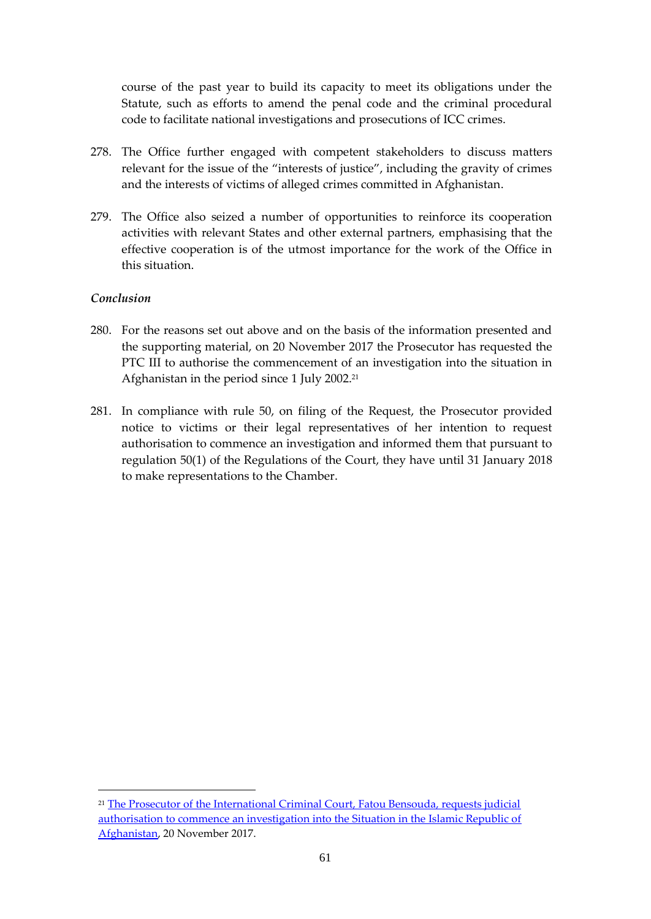course of the past year to build its capacity to meet its obligations under the Statute, such as efforts to amend the penal code and the criminal procedural code to facilitate national investigations and prosecutions of ICC crimes.

- 278. The Office further engaged with competent stakeholders to discuss matters relevant for the issue of the "interests of justice", including the gravity of crimes and the interests of victims of alleged crimes committed in Afghanistan.
- 279. The Office also seized a number of opportunities to reinforce its cooperation activities with relevant States and other external partners, emphasising that the effective cooperation is of the utmost importance for the work of the Office in this situation.

## *Conclusion*

1

- 280. For the reasons set out above and on the basis of the information presented and the supporting material, on 20 November 2017 the Prosecutor has requested the PTC III to authorise the commencement of an investigation into the situation in Afghanistan in the period since 1 July 2002.<sup>21</sup>
- 281. In compliance with rule 50, on filing of the Request, the Prosecutor provided notice to victims or their legal representatives of her intention to request authorisation to commence an investigation and informed them that pursuant to regulation 50(1) of the Regulations of the Court, they have until 31 January 2018 to make representations to the Chamber.

<sup>&</sup>lt;sup>21</sup> The Prosecutor of the International Criminal Court, Fatou Bensouda, requests judicial [authorisation to commence an investigation into the Situation in the Islamic Republic of](https://www.icc-cpi.int/Pages/item.aspx?name=171120-otp-stat-afgh)  [Afghanistan,](https://www.icc-cpi.int/Pages/item.aspx?name=171120-otp-stat-afgh) 20 November 2017.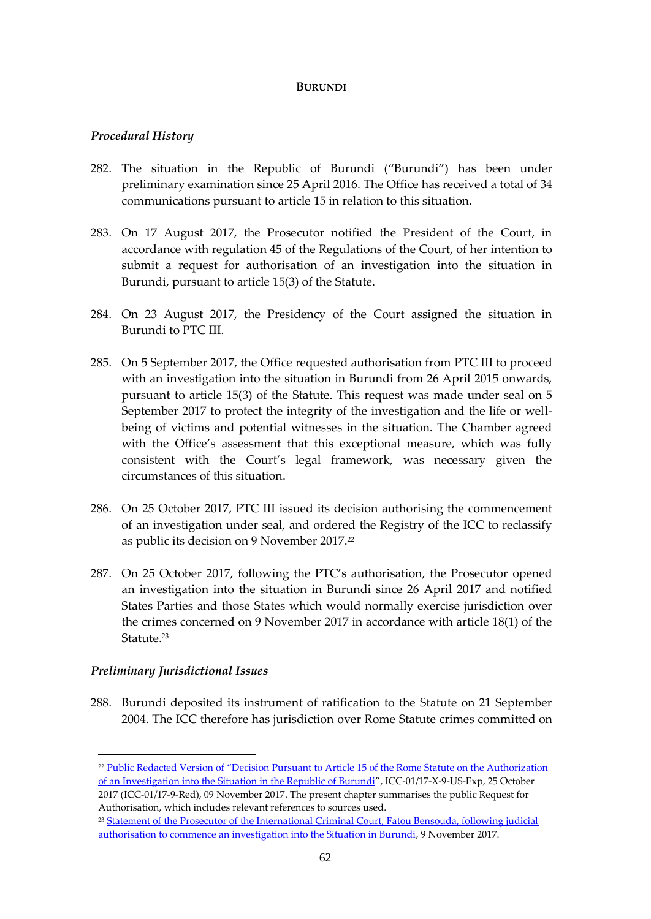#### **BURUNDI**

#### *Procedural History*

- 282. The situation in the Republic of Burundi ("Burundi") has been under preliminary examination since 25 April 2016. The Office has received a total of 34 communications pursuant to article 15 in relation to this situation.
- 283. On 17 August 2017, the Prosecutor notified the President of the Court, in accordance with regulation 45 of the Regulations of the Court, of her intention to submit a request for authorisation of an investigation into the situation in Burundi, pursuant to article 15(3) of the Statute.
- 284. On 23 August 2017, the Presidency of the Court assigned the situation in Burundi to PTC III.
- 285. On 5 September 2017, the Office requested authorisation from PTC III to proceed with an investigation into the situation in Burundi from 26 April 2015 onwards, pursuant to article 15(3) of the Statute. This request was made under seal on 5 September 2017 to protect the integrity of the investigation and the life or wellbeing of victims and potential witnesses in the situation. The Chamber agreed with the Office's assessment that this exceptional measure, which was fully consistent with the Court's legal framework, was necessary given the circumstances of this situation.
- 286. On 25 October 2017, PTC III issued its decision authorising the commencement of an investigation under seal, and ordered the Registry of the ICC to reclassify as public its decision on 9 November 2017. 22
- 287. On 25 October 2017, following the PTC's authorisation, the Prosecutor opened an investigation into the situation in Burundi since 26 April 2017 and notified States Parties and those States which would normally exercise jurisdiction over the crimes concerned on 9 November 2017 in accordance with article 18(1) of the Statute.<sup>23</sup>

#### *Preliminary Jurisdictional Issues*

<u>.</u>

288. Burundi deposited its instrument of ratification to the Statute on 21 September 2004. The ICC therefore has jurisdiction over Rome Statute crimes committed on

<sup>&</sup>lt;sup>22</sup> Public Redacted Version of "Decision Pursuant to Article 15 of the Rome Statute on the Authorization [of an Investigation into the Situation in the Republic of Burundi](https://www.icc-cpi.int/Pages/record.aspx?docNo=ICC-01/17-9-Red)", ICC-01/17-X-9-US-Exp, 25 October 2017 (ICC-01/17-9-Red), 09 November 2017. The present chapter summarises the public Request for Authorisation, which includes relevant references to sources used.

<sup>&</sup>lt;sup>23</sup> Statement of the Prosecutor of the International Criminal Court, Fatou Bensouda, following judicial [authorisation to commence an investigation into the Situation in Burundi,](https://www.icc-cpi.int/Pages/item.aspx?name=171109_otp_statement) 9 November 2017.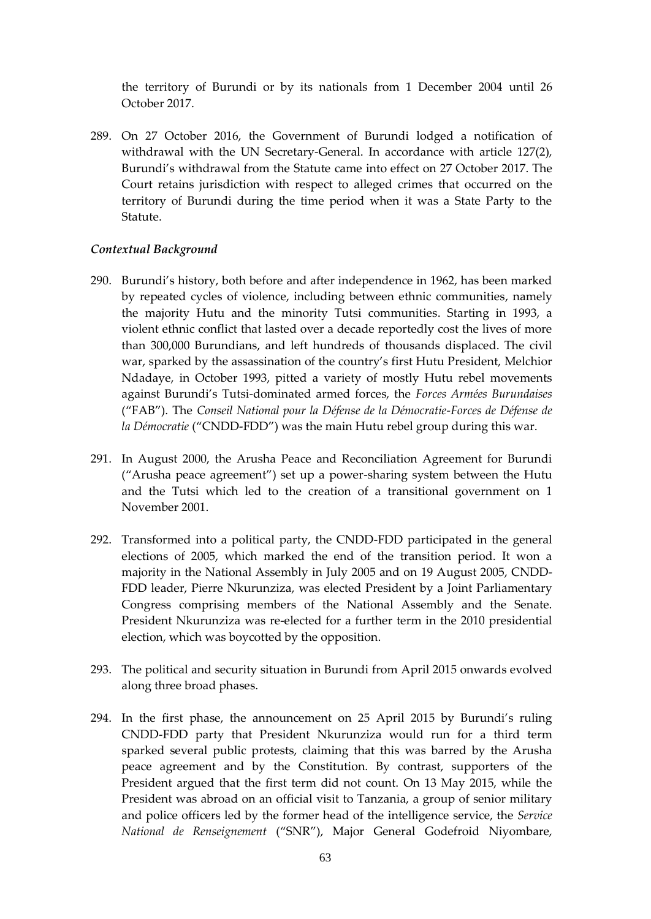the territory of Burundi or by its nationals from 1 December 2004 until 26 October 2017.

289. On 27 October 2016, the Government of Burundi lodged a notification of withdrawal with the UN Secretary-General. In accordance with article 127(2), Burundi's withdrawal from the Statute came into effect on 27 October 2017. The Court retains jurisdiction with respect to alleged crimes that occurred on the territory of Burundi during the time period when it was a State Party to the Statute.

## *Contextual Background*

- 290. Burundi's history, both before and after independence in 1962, has been marked by repeated cycles of violence, including between ethnic communities, namely the majority Hutu and the minority Tutsi communities. Starting in 1993, a violent ethnic conflict that lasted over a decade reportedly cost the lives of more than 300,000 Burundians, and left hundreds of thousands displaced. The civil war, sparked by the assassination of the country's first Hutu President, Melchior Ndadaye, in October 1993, pitted a variety of mostly Hutu rebel movements against Burundi's Tutsi-dominated armed forces, the *Forces Armées Burundaises* ("FAB"). The *Conseil National pour la Défense de la Démocratie-Forces de Défense de la Démocratie* ("CNDD-FDD") was the main Hutu rebel group during this war.
- 291. In August 2000, the Arusha Peace and Reconciliation Agreement for Burundi ("Arusha peace agreement") set up a power-sharing system between the Hutu and the Tutsi which led to the creation of a transitional government on 1 November 2001.
- 292. Transformed into a political party, the CNDD-FDD participated in the general elections of 2005, which marked the end of the transition period. It won a majority in the National Assembly in July 2005 and on 19 August 2005, CNDD-FDD leader, Pierre Nkurunziza, was elected President by a Joint Parliamentary Congress comprising members of the National Assembly and the Senate. President Nkurunziza was re-elected for a further term in the 2010 presidential election, which was boycotted by the opposition.
- 293. The political and security situation in Burundi from April 2015 onwards evolved along three broad phases.
- 294. In the first phase, the announcement on 25 April 2015 by Burundi's ruling CNDD-FDD party that President Nkurunziza would run for a third term sparked several public protests, claiming that this was barred by the Arusha peace agreement and by the Constitution. By contrast, supporters of the President argued that the first term did not count. On 13 May 2015, while the President was abroad on an official visit to Tanzania, a group of senior military and police officers led by the former head of the intelligence service, the *Service National de Renseignement* ("SNR"), Major General Godefroid Niyombare,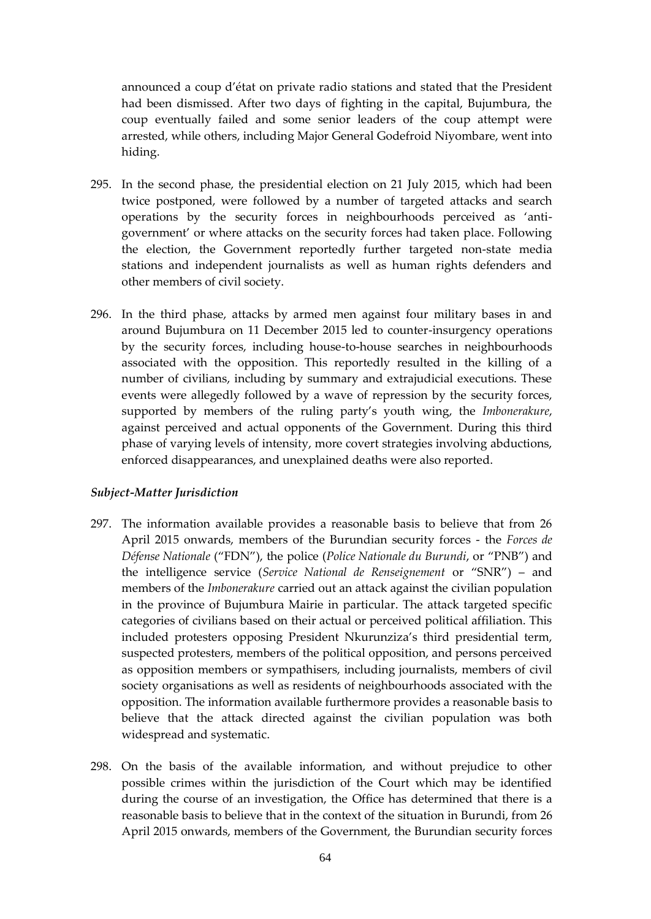announced a coup d'état on private radio stations and stated that the President had been dismissed. After two days of fighting in the capital, Bujumbura, the coup eventually failed and some senior leaders of the coup attempt were arrested, while others, including Major General Godefroid Niyombare, went into hiding.

- 295. In the second phase, the presidential election on 21 July 2015, which had been twice postponed, were followed by a number of targeted attacks and search operations by the security forces in neighbourhoods perceived as 'antigovernment' or where attacks on the security forces had taken place. Following the election, the Government reportedly further targeted non-state media stations and independent journalists as well as human rights defenders and other members of civil society.
- 296. In the third phase, attacks by armed men against four military bases in and around Bujumbura on 11 December 2015 led to counter-insurgency operations by the security forces, including house-to-house searches in neighbourhoods associated with the opposition. This reportedly resulted in the killing of a number of civilians, including by summary and extrajudicial executions. These events were allegedly followed by a wave of repression by the security forces, supported by members of the ruling party's youth wing, the *Imbonerakure*, against perceived and actual opponents of the Government. During this third phase of varying levels of intensity, more covert strategies involving abductions, enforced disappearances, and unexplained deaths were also reported.

#### *Subject-Matter Jurisdiction*

- 297. The information available provides a reasonable basis to believe that from 26 April 2015 onwards, members of the Burundian security forces - the *Forces de Défense Nationale* ("FDN"), the police (*Police Nationale du Burundi*, or "PNB") and the intelligence service (*Service National de Renseignement* or "SNR") – and members of the *Imbonerakure* carried out an attack against the civilian population in the province of Bujumbura Mairie in particular. The attack targeted specific categories of civilians based on their actual or perceived political affiliation. This included protesters opposing President Nkurunziza's third presidential term, suspected protesters, members of the political opposition, and persons perceived as opposition members or sympathisers, including journalists, members of civil society organisations as well as residents of neighbourhoods associated with the opposition. The information available furthermore provides a reasonable basis to believe that the attack directed against the civilian population was both widespread and systematic.
- 298. On the basis of the available information, and without prejudice to other possible crimes within the jurisdiction of the Court which may be identified during the course of an investigation, the Office has determined that there is a reasonable basis to believe that in the context of the situation in Burundi, from 26 April 2015 onwards, members of the Government, the Burundian security forces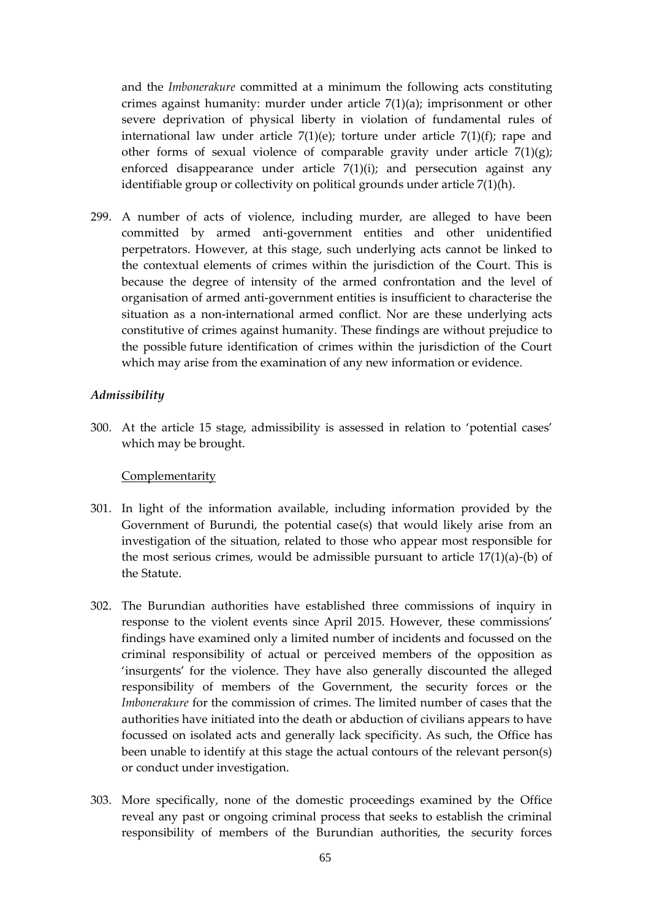and the *Imbonerakure* committed at a minimum the following acts constituting crimes against humanity: murder under article 7(1)(a); imprisonment or other severe deprivation of physical liberty in violation of fundamental rules of international law under article  $7(1)(e)$ ; torture under article  $7(1)(f)$ ; rape and other forms of sexual violence of comparable gravity under article  $7(1)(g)$ ; enforced disappearance under article  $7(1)(i)$ ; and persecution against any identifiable group or collectivity on political grounds under article 7(1)(h).

299. A number of acts of violence, including murder, are alleged to have been committed by armed anti-government entities and other unidentified perpetrators. However, at this stage, such underlying acts cannot be linked to the contextual elements of crimes within the jurisdiction of the Court. This is because the degree of intensity of the armed confrontation and the level of organisation of armed anti-government entities is insufficient to characterise the situation as a non-international armed conflict. Nor are these underlying acts constitutive of crimes against humanity. These findings are without prejudice to the possible future identification of crimes within the jurisdiction of the Court which may arise from the examination of any new information or evidence.

#### *Admissibility*

300. At the article 15 stage, admissibility is assessed in relation to 'potential cases' which may be brought.

#### **Complementarity**

- 301. In light of the information available, including information provided by the Government of Burundi, the potential case(s) that would likely arise from an investigation of the situation, related to those who appear most responsible for the most serious crimes, would be admissible pursuant to article  $17(1)(a)$ -(b) of the Statute.
- 302. The Burundian authorities have established three commissions of inquiry in response to the violent events since April 2015. However, these commissions' findings have examined only a limited number of incidents and focussed on the criminal responsibility of actual or perceived members of the opposition as 'insurgents' for the violence. They have also generally discounted the alleged responsibility of members of the Government, the security forces or the *Imbonerakure* for the commission of crimes. The limited number of cases that the authorities have initiated into the death or abduction of civilians appears to have focussed on isolated acts and generally lack specificity. As such, the Office has been unable to identify at this stage the actual contours of the relevant person(s) or conduct under investigation.
- 303. More specifically, none of the domestic proceedings examined by the Office reveal any past or ongoing criminal process that seeks to establish the criminal responsibility of members of the Burundian authorities, the security forces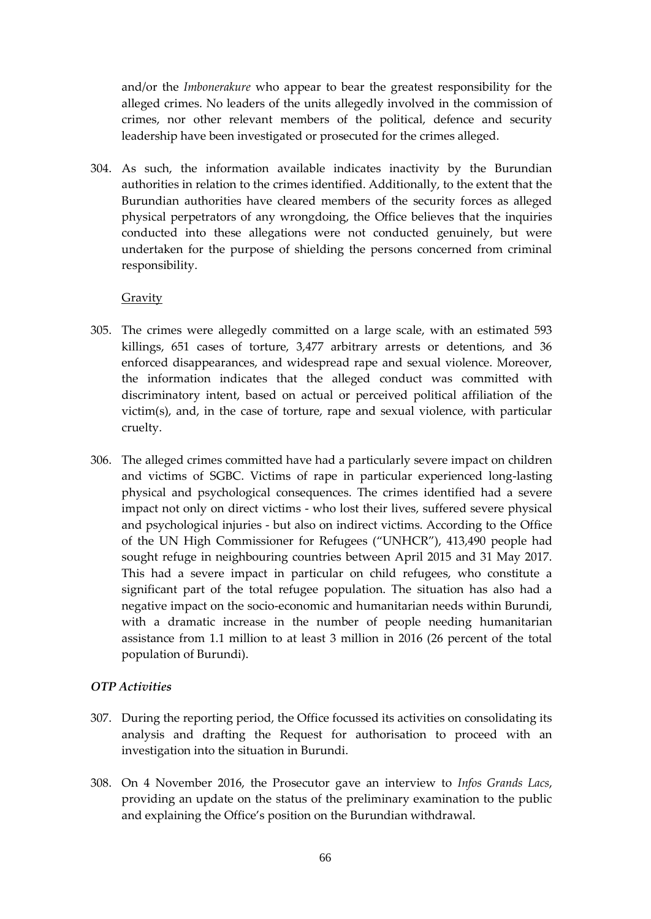and/or the *Imbonerakure* who appear to bear the greatest responsibility for the alleged crimes. No leaders of the units allegedly involved in the commission of crimes, nor other relevant members of the political, defence and security leadership have been investigated or prosecuted for the crimes alleged.

304. As such, the information available indicates inactivity by the Burundian authorities in relation to the crimes identified. Additionally, to the extent that the Burundian authorities have cleared members of the security forces as alleged physical perpetrators of any wrongdoing, the Office believes that the inquiries conducted into these allegations were not conducted genuinely, but were undertaken for the purpose of shielding the persons concerned from criminal responsibility.

## **Gravity**

- 305. The crimes were allegedly committed on a large scale, with an estimated 593 killings, 651 cases of torture, 3,477 arbitrary arrests or detentions, and 36 enforced disappearances, and widespread rape and sexual violence. Moreover, the information indicates that the alleged conduct was committed with discriminatory intent, based on actual or perceived political affiliation of the victim(s), and, in the case of torture, rape and sexual violence, with particular cruelty.
- 306. The alleged crimes committed have had a particularly severe impact on children and victims of SGBC. Victims of rape in particular experienced long-lasting physical and psychological consequences. The crimes identified had a severe impact not only on direct victims - who lost their lives, suffered severe physical and psychological injuries - but also on indirect victims. According to the Office of the UN High Commissioner for Refugees ("UNHCR"), 413,490 people had sought refuge in neighbouring countries between April 2015 and 31 May 2017. This had a severe impact in particular on child refugees, who constitute a significant part of the total refugee population. The situation has also had a negative impact on the socio-economic and humanitarian needs within Burundi, with a dramatic increase in the number of people needing humanitarian assistance from 1.1 million to at least 3 million in 2016 (26 percent of the total population of Burundi).

# *OTP Activities*

- 307. During the reporting period, the Office focussed its activities on consolidating its analysis and drafting the Request for authorisation to proceed with an investigation into the situation in Burundi.
- 308. On 4 November 2016, the Prosecutor gave an interview to *Infos Grands Lacs*, providing an update on the status of the preliminary examination to the public and explaining the Office's position on the Burundian withdrawal.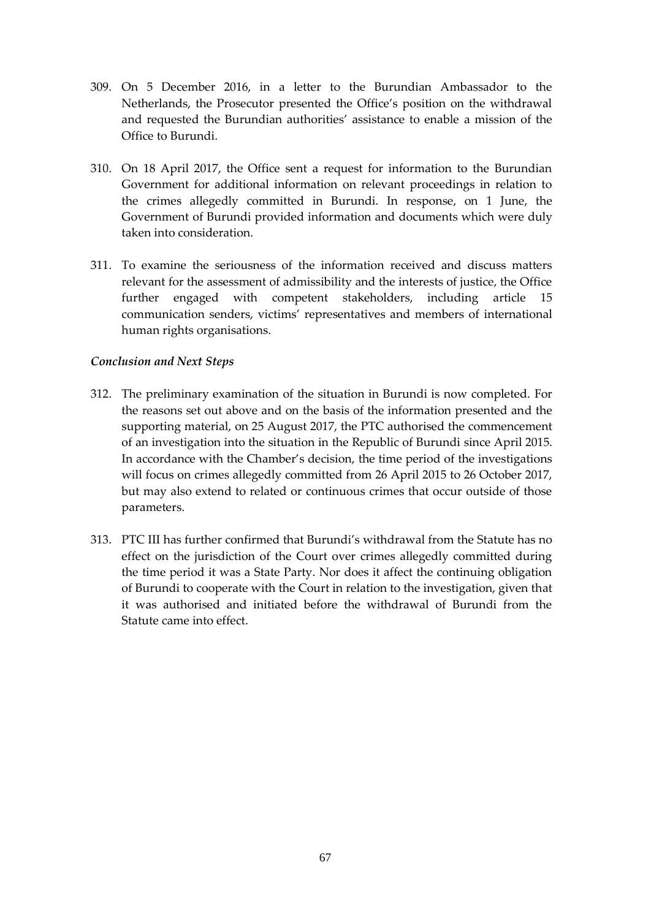- 309. On 5 December 2016, in a letter to the Burundian Ambassador to the Netherlands, the Prosecutor presented the Office's position on the withdrawal and requested the Burundian authorities' assistance to enable a mission of the Office to Burundi.
- 310. On 18 April 2017, the Office sent a request for information to the Burundian Government for additional information on relevant proceedings in relation to the crimes allegedly committed in Burundi. In response, on 1 June, the Government of Burundi provided information and documents which were duly taken into consideration.
- 311. To examine the seriousness of the information received and discuss matters relevant for the assessment of admissibility and the interests of justice, the Office further engaged with competent stakeholders, including article 15 communication senders, victims' representatives and members of international human rights organisations.

# *Conclusion and Next Steps*

- 312. The preliminary examination of the situation in Burundi is now completed. For the reasons set out above and on the basis of the information presented and the supporting material, on 25 August 2017, the PTC authorised the commencement of an investigation into the situation in the Republic of Burundi since April 2015. In accordance with the Chamber's decision, the time period of the investigations will focus on crimes allegedly committed from 26 April 2015 to 26 October 2017, but may also extend to related or continuous crimes that occur outside of those parameters.
- 313. PTC III has further confirmed that Burundi's withdrawal from the Statute has no effect on the jurisdiction of the Court over crimes allegedly committed during the time period it was a State Party. Nor does it affect the continuing obligation of Burundi to cooperate with the Court in relation to the investigation, given that it was authorised and initiated before the withdrawal of Burundi from the Statute came into effect.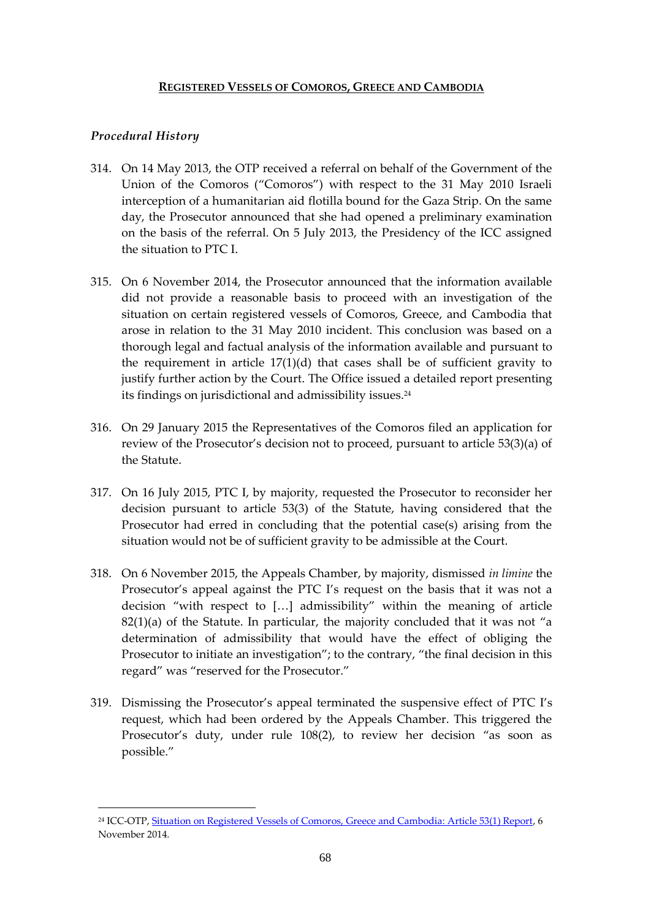# **REGISTERED VESSELS OF COMOROS, GREECE AND CAMBODIA**

# *Procedural History*

1

- 314. On 14 May 2013, the OTP received a referral on behalf of the Government of the Union of the Comoros ("Comoros") with respect to the 31 May 2010 Israeli interception of a humanitarian aid flotilla bound for the Gaza Strip. On the same day, the Prosecutor announced that she had opened a preliminary examination on the basis of the referral. On 5 July 2013, the Presidency of the ICC assigned the situation to PTC I.
- 315. On 6 November 2014, the Prosecutor announced that the information available did not provide a reasonable basis to proceed with an investigation of the situation on certain registered vessels of Comoros, Greece, and Cambodia that arose in relation to the 31 May 2010 incident. This conclusion was based on a thorough legal and factual analysis of the information available and pursuant to the requirement in article 17(1)(d) that cases shall be of sufficient gravity to justify further action by the Court. The Office issued a detailed report presenting its findings on jurisdictional and admissibility issues.<sup>24</sup>
- 316. On 29 January 2015 the Representatives of the Comoros filed an application for review of the Prosecutor's decision not to proceed, pursuant to article 53(3)(a) of the Statute.
- 317. On 16 July 2015, PTC I, by majority, requested the Prosecutor to reconsider her decision pursuant to article 53(3) of the Statute, having considered that the Prosecutor had erred in concluding that the potential case(s) arising from the situation would not be of sufficient gravity to be admissible at the Court.
- 318. On 6 November 2015, the Appeals Chamber, by majority, dismissed *in limine* the Prosecutor's appeal against the PTC I's request on the basis that it was not a decision "with respect to […] admissibility" within the meaning of article  $82(1)(a)$  of the Statute. In particular, the majority concluded that it was not "a determination of admissibility that would have the effect of obliging the Prosecutor to initiate an investigation"; to the contrary, "the final decision in this regard" was "reserved for the Prosecutor."
- 319. Dismissing the Prosecutor's appeal terminated the suspensive effect of PTC I's request, which had been ordered by the Appeals Chamber. This triggered the Prosecutor's duty, under rule 108(2), to review her decision "as soon as possible."

<sup>&</sup>lt;sup>24</sup> ICC-OTP, [Situation on Registered Vessels of Comoros, Greece and Cambodia: Article 53\(1\) Report,](http://www.icc-cpi.int/iccdocs/otp/OTP-COM-Article_53(1)-Report-06Nov2014Eng.pdf) 6 November 2014.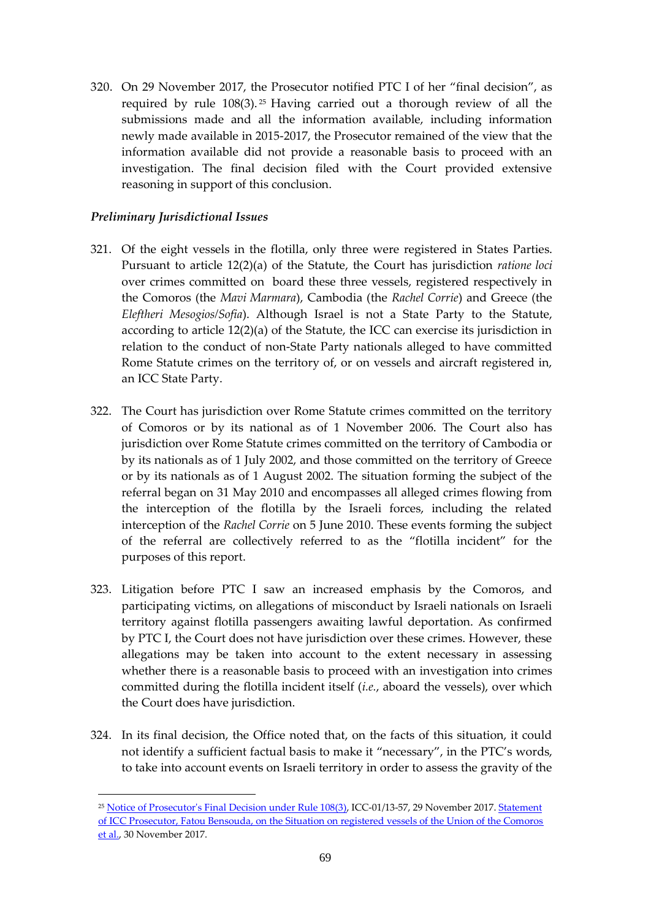320. On 29 November 2017, the Prosecutor notified PTC I of her "final decision", as required by rule 108(3). <sup>25</sup> Having carried out a thorough review of all the submissions made and all the information available, including information newly made available in 2015-2017, the Prosecutor remained of the view that the information available did not provide a reasonable basis to proceed with an investigation. The final decision filed with the Court provided extensive reasoning in support of this conclusion.

# *Preliminary Jurisdictional Issues*

1

- 321. Of the eight vessels in the flotilla, only three were registered in States Parties. Pursuant to article 12(2)(a) of the Statute, the Court has jurisdiction *ratione loci* over crimes committed on board these three vessels, registered respectively in the Comoros (the *Mavi Marmara*), Cambodia (the *Rachel Corrie*) and Greece (the *Eleftheri Mesogios/Sofia*). Although Israel is not a State Party to the Statute, according to article 12(2)(a) of the Statute, the ICC can exercise its jurisdiction in relation to the conduct of non-State Party nationals alleged to have committed Rome Statute crimes on the territory of, or on vessels and aircraft registered in, an ICC State Party.
- 322. The Court has jurisdiction over Rome Statute crimes committed on the territory of Comoros or by its national as of 1 November 2006. The Court also has jurisdiction over Rome Statute crimes committed on the territory of Cambodia or by its nationals as of 1 July 2002, and those committed on the territory of Greece or by its nationals as of 1 August 2002. The situation forming the subject of the referral began on 31 May 2010 and encompasses all alleged crimes flowing from the interception of the flotilla by the Israeli forces, including the related interception of the *Rachel Corrie* on 5 June 2010. These events forming the subject of the referral are collectively referred to as the "flotilla incident" for the purposes of this report.
- 323. Litigation before PTC I saw an increased emphasis by the Comoros, and participating victims, on allegations of misconduct by Israeli nationals on Israeli territory against flotilla passengers awaiting lawful deportation. As confirmed by PTC I, the Court does not have jurisdiction over these crimes. However, these allegations may be taken into account to the extent necessary in assessing whether there is a reasonable basis to proceed with an investigation into crimes committed during the flotilla incident itself (*i.e.*, aboard the vessels), over which the Court does have jurisdiction.
- 324. In its final decision, the Office noted that, on the facts of this situation, it could not identify a sufficient factual basis to make it "necessary", in the PTC's words, to take into account events on Israeli territory in order to assess the gravity of the

<sup>&</sup>lt;sup>25</sup> [Notice of Prosecutor's Final Decision under Rule 108\(3\),](https://www.icc-cpi.int/Pages/record.aspx?docNo=ICC-01/13-57) ICC-01/13-57, 29 November 2017. Statement [of ICC Prosecutor, Fatou Bensouda, on the Situation on registered vessels of the Union of the Comoros](https://www.icc-cpi.int/Pages/item.aspx?name=171130_OTP_Comoros)  [et al.,](https://www.icc-cpi.int/Pages/item.aspx?name=171130_OTP_Comoros) 30 November 2017.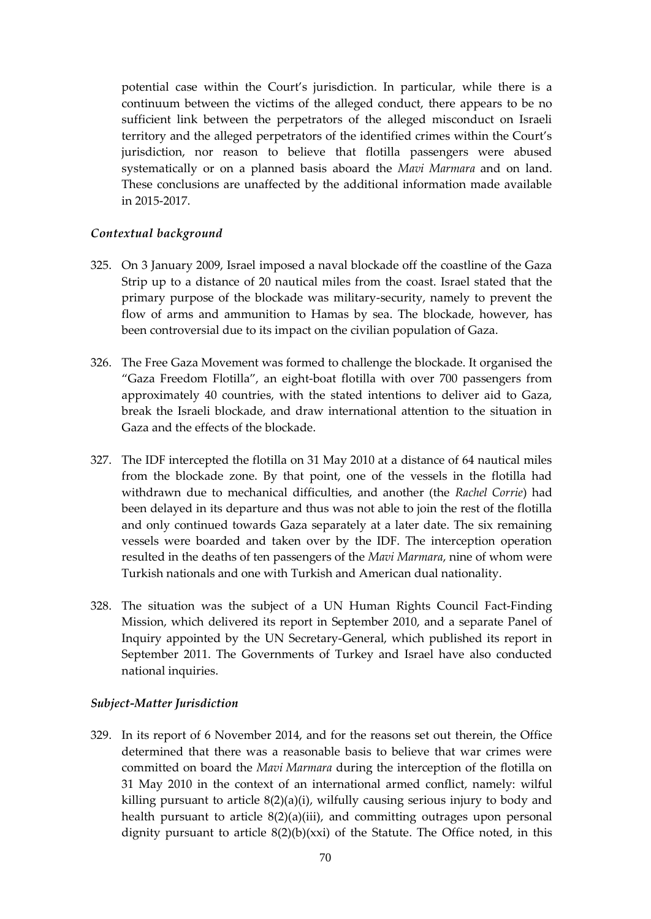potential case within the Court's jurisdiction. In particular, while there is a continuum between the victims of the alleged conduct, there appears to be no sufficient link between the perpetrators of the alleged misconduct on Israeli territory and the alleged perpetrators of the identified crimes within the Court's jurisdiction, nor reason to believe that flotilla passengers were abused systematically or on a planned basis aboard the *Mavi Marmara* and on land. These conclusions are unaffected by the additional information made available in 2015-2017.

## *Contextual background*

- 325. On 3 January 2009, Israel imposed a naval blockade off the coastline of the Gaza Strip up to a distance of 20 nautical miles from the coast. Israel stated that the primary purpose of the blockade was military-security, namely to prevent the flow of arms and ammunition to Hamas by sea. The blockade, however, has been controversial due to its impact on the civilian population of Gaza.
- 326. The Free Gaza Movement was formed to challenge the blockade. It organised the "Gaza Freedom Flotilla", an eight-boat flotilla with over 700 passengers from approximately 40 countries, with the stated intentions to deliver aid to Gaza, break the Israeli blockade, and draw international attention to the situation in Gaza and the effects of the blockade.
- 327. The IDF intercepted the flotilla on 31 May 2010 at a distance of 64 nautical miles from the blockade zone. By that point, one of the vessels in the flotilla had withdrawn due to mechanical difficulties, and another (the *Rachel Corrie*) had been delayed in its departure and thus was not able to join the rest of the flotilla and only continued towards Gaza separately at a later date. The six remaining vessels were boarded and taken over by the IDF. The interception operation resulted in the deaths of ten passengers of the *Mavi Marmara*, nine of whom were Turkish nationals and one with Turkish and American dual nationality.
- 328. The situation was the subject of a UN Human Rights Council Fact-Finding Mission, which delivered its report in September 2010, and a separate Panel of Inquiry appointed by the UN Secretary-General, which published its report in September 2011. The Governments of Turkey and Israel have also conducted national inquiries.

# *Subject-Matter Jurisdiction*

329. In its report of 6 November 2014, and for the reasons set out therein, the Office determined that there was a reasonable basis to believe that war crimes were committed on board the *Mavi Marmara* during the interception of the flotilla on 31 May 2010 in the context of an international armed conflict, namely: wilful killing pursuant to article 8(2)(a)(i), wilfully causing serious injury to body and health pursuant to article 8(2)(a)(iii), and committing outrages upon personal dignity pursuant to article  $8(2)(b)(xx)$  of the Statute. The Office noted, in this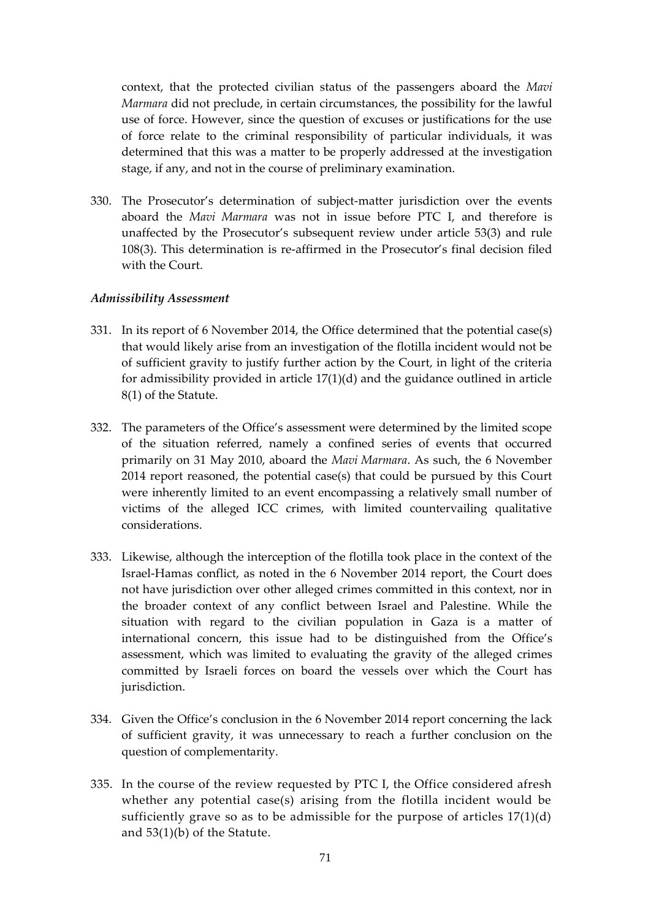context, that the protected civilian status of the passengers aboard the *Mavi Marmara* did not preclude, in certain circumstances, the possibility for the lawful use of force. However, since the question of excuses or justifications for the use of force relate to the criminal responsibility of particular individuals, it was determined that this was a matter to be properly addressed at the investigation stage, if any, and not in the course of preliminary examination.

330. The Prosecutor's determination of subject-matter jurisdiction over the events aboard the *Mavi Marmara* was not in issue before PTC I, and therefore is unaffected by the Prosecutor's subsequent review under article 53(3) and rule 108(3). This determination is re-affirmed in the Prosecutor's final decision filed with the Court.

## *Admissibility Assessment*

- 331. In its report of 6 November 2014, the Office determined that the potential case(s) that would likely arise from an investigation of the flotilla incident would not be of sufficient gravity to justify further action by the Court, in light of the criteria for admissibility provided in article 17(1)(d) and the guidance outlined in article 8(1) of the Statute.
- 332. The parameters of the Office's assessment were determined by the limited scope of the situation referred, namely a confined series of events that occurred primarily on 31 May 2010, aboard the *Mavi Marmara*. As such, the 6 November 2014 report reasoned, the potential case(s) that could be pursued by this Court were inherently limited to an event encompassing a relatively small number of victims of the alleged ICC crimes, with limited countervailing qualitative considerations.
- 333. Likewise, although the interception of the flotilla took place in the context of the Israel-Hamas conflict, as noted in the 6 November 2014 report, the Court does not have jurisdiction over other alleged crimes committed in this context, nor in the broader context of any conflict between Israel and Palestine. While the situation with regard to the civilian population in Gaza is a matter of international concern, this issue had to be distinguished from the Office's assessment, which was limited to evaluating the gravity of the alleged crimes committed by Israeli forces on board the vessels over which the Court has jurisdiction.
- 334. Given the Office's conclusion in the 6 November 2014 report concerning the lack of sufficient gravity, it was unnecessary to reach a further conclusion on the question of complementarity.
- 335. In the course of the review requested by PTC I, the Office considered afresh whether any potential case(s) arising from the flotilla incident would be sufficiently grave so as to be admissible for the purpose of articles 17(1)(d) and 53(1)(b) of the Statute.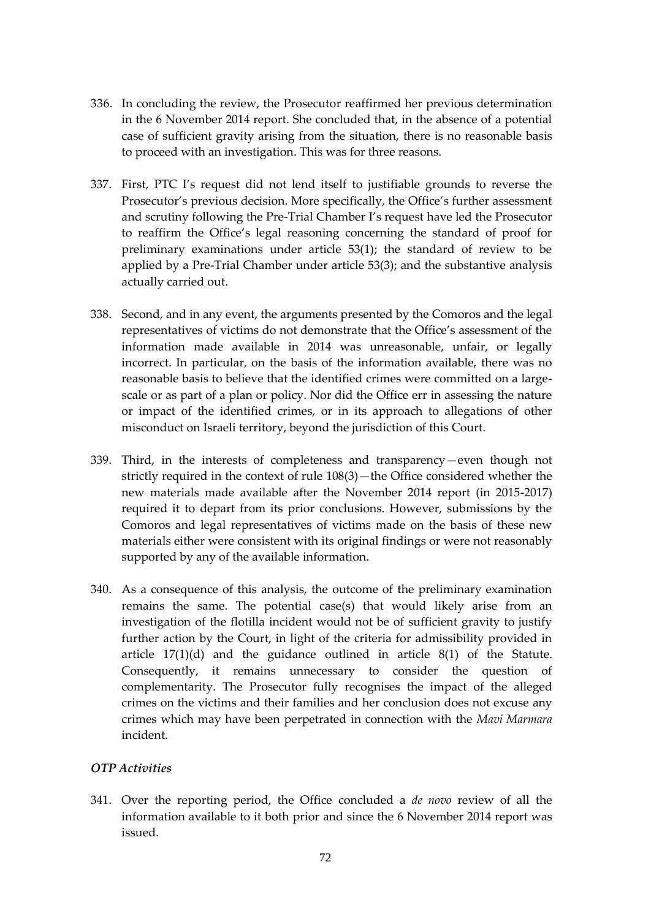- 336. In concluding the review, the Prosecutor reaffirmed her previous determination in the 6 November 2014 report. She concluded that, in the absence of a potential case of sufficient gravity arising from the situation, there is no reasonable basis to proceed with an investigation. This was for three reasons.
- 337. First, PTC I's request did not lend itself to justifiable grounds to reverse the Prosecutor's previous decision. More specifically, the Office's further assessment and scrutiny following the Pre-Trial Chamber I's request have led the Prosecutor to reaffirm the Office's legal reasoning concerning the standard of proof for preliminary examinations under article 53(1); the standard of review to be applied by a Pre-Trial Chamber under article 53(3); and the substantive analysis actually carried out.
- 338. Second, and in any event, the arguments presented by the Comoros and the legal representatives of victims do not demonstrate that the Office's assessment of the information made available in 2014 was unreasonable, unfair, or legally incorrect. In particular, on the basis of the information available, there was no reasonable basis to believe that the identified crimes were committed on a largescale or as part of a plan or policy. Nor did the Office err in assessing the nature or impact of the identified crimes, or in its approach to allegations of other misconduct on Israeli territory, beyond the jurisdiction of this Court.
- 339. Third, in the interests of completeness and transparency—even though not strictly required in the context of rule 108(3)—the Office considered whether the new materials made available after the November 2014 report (in 2015-2017) required it to depart from its prior conclusions. However, submissions by the Comoros and legal representatives of victims made on the basis of these new materials either were consistent with its original findings or were not reasonably supported by any of the available information.
- 340. As a consequence of this analysis, the outcome of the preliminary examination remains the same. The potential case(s) that would likely arise from an investigation of the flotilla incident would not be of sufficient gravity to justify further action by the Court, in light of the criteria for admissibility provided in article 17(1)(d) and the guidance outlined in article 8(1) of the Statute. Consequently, it remains unnecessary to consider the question of complementarity. The Prosecutor fully recognises the impact of the alleged crimes on the victims and their families and her conclusion does not excuse any crimes which may have been perpetrated in connection with the *Mavi Marmara* incident.

## *OTP Activities*

341. Over the reporting period, the Office concluded a *de novo* review of all the information available to it both prior and since the 6 November 2014 report was issued.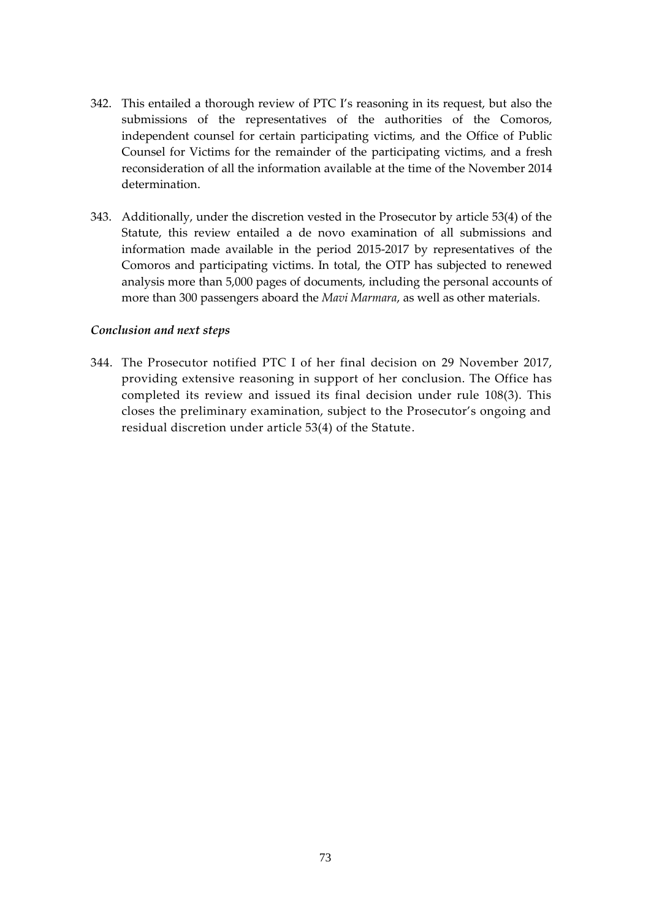- 342. This entailed a thorough review of PTC I's reasoning in its request, but also the submissions of the representatives of the authorities of the Comoros, independent counsel for certain participating victims, and the Office of Public Counsel for Victims for the remainder of the participating victims, and a fresh reconsideration of all the information available at the time of the November 2014 determination.
- 343. Additionally, under the discretion vested in the Prosecutor by article 53(4) of the Statute, this review entailed a de novo examination of all submissions and information made available in the period 2015-2017 by representatives of the Comoros and participating victims. In total, the OTP has subjected to renewed analysis more than 5,000 pages of documents, including the personal accounts of more than 300 passengers aboard the *Mavi Marmara*, as well as other materials.

## *Conclusion and next steps*

344. The Prosecutor notified PTC I of her final decision on 29 November 2017, providing extensive reasoning in support of her conclusion. The Office has completed its review and issued its final decision under rule 108(3). This closes the preliminary examination, subject to the Prosecutor's ongoing and residual discretion under article 53(4) of the Statute.